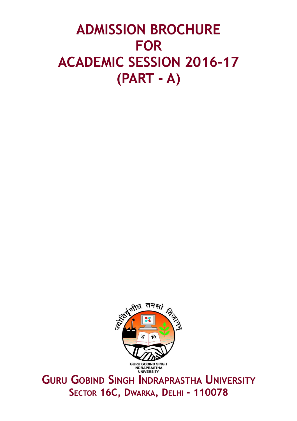# **ADMISSION BROCHURE FOR ACADEMIC SESSION 2016-17 (PART - A)**



**GURU GOBIND SINGH INDRAPRASTHA UNIVERSITY SECTOR 16C, DWARKA, DELHI - 110078**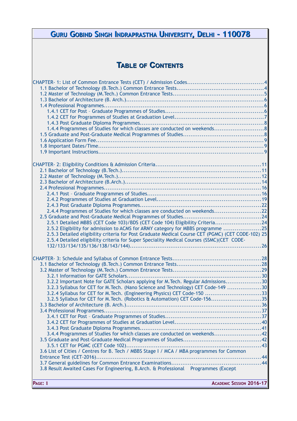| GURU GOBIND SINGH INDRAPRASTHA UNIVERSITY, DELHI - 110078                                                                                                       |  |
|-----------------------------------------------------------------------------------------------------------------------------------------------------------------|--|
|                                                                                                                                                                 |  |
|                                                                                                                                                                 |  |
| <b>TABLE OF CONTENTS</b>                                                                                                                                        |  |
|                                                                                                                                                                 |  |
|                                                                                                                                                                 |  |
|                                                                                                                                                                 |  |
|                                                                                                                                                                 |  |
|                                                                                                                                                                 |  |
|                                                                                                                                                                 |  |
| 1.4.4 Programmes of Studies for which classes are conducted on weekends8                                                                                        |  |
|                                                                                                                                                                 |  |
|                                                                                                                                                                 |  |
|                                                                                                                                                                 |  |
|                                                                                                                                                                 |  |
|                                                                                                                                                                 |  |
|                                                                                                                                                                 |  |
|                                                                                                                                                                 |  |
|                                                                                                                                                                 |  |
|                                                                                                                                                                 |  |
| 2.4.4 Programmes of Studies for which classes are conducted on weekends22                                                                                       |  |
|                                                                                                                                                                 |  |
| 2.5.1 Detailed MBBS (CET Code 103)/BDS (CET Code 104) Eligibility Criteria24<br>2.5.2 Eligibility for admission to ACMS for ARMY category for MBBS programme 25 |  |
| 2.5.3 Detailed eligibility criteria for Post Graduate Medical Course CET (PGMC) (CET CODE-102) 25                                                               |  |
| 2.5.4 Detailed eligibility criteria for Super Speciality Medical Courses (SSMC)(CET CODE-                                                                       |  |
|                                                                                                                                                                 |  |
|                                                                                                                                                                 |  |
|                                                                                                                                                                 |  |
|                                                                                                                                                                 |  |
| 3.2.2 Important Note for GATE Scholars applying for M.Tech. Regular Admissions30                                                                                |  |
| 3.2.3 Syllabus for CET for M. Tech. (Nano Science and Technology) CET Code-149 30<br>3.2.4 Syllabus for CET for M. Tech. (Engineering Physics) CET Code-150 33  |  |
| 3.2.5 Syllabus for CET for M.Tech. (Robotics & Automation) CET Code-15635                                                                                       |  |
|                                                                                                                                                                 |  |
|                                                                                                                                                                 |  |
|                                                                                                                                                                 |  |
|                                                                                                                                                                 |  |
| 3.4.4 Programmes of Studies for which classes are conducted on weekends42                                                                                       |  |
|                                                                                                                                                                 |  |
| 3.6 List of Cities / Centres for B. Tech / MBBS Stage I / MCA / MBA programmes for Common                                                                       |  |
|                                                                                                                                                                 |  |
| 3.8 Result Awaited Cases For Engineering, B.Arch. & Professional Programmes (Except                                                                             |  |
|                                                                                                                                                                 |  |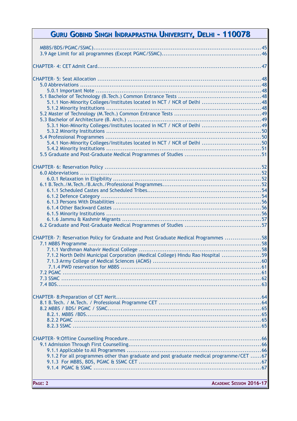| GURU GOBIND SINGH INDRAPRASTHA UNIVERSITY, DELHI - 110078                               |
|-----------------------------------------------------------------------------------------|
|                                                                                         |
|                                                                                         |
|                                                                                         |
|                                                                                         |
|                                                                                         |
|                                                                                         |
| 5.1.1 Non-Minority Colleges/Institutes located in NCT / NCR of Delhi 48                 |
|                                                                                         |
|                                                                                         |
|                                                                                         |
| 5.3.1 Non-Minority Colleges/Institutes located in NCT / NCR of Delhi  49                |
|                                                                                         |
| 5.4.1 Non-Minority Colleges/Institutes located in NCT / NCR of Delhi 50                 |
|                                                                                         |
|                                                                                         |
|                                                                                         |
|                                                                                         |
|                                                                                         |
|                                                                                         |
|                                                                                         |
|                                                                                         |
|                                                                                         |
|                                                                                         |
|                                                                                         |
|                                                                                         |
|                                                                                         |
| CHAPTER- 7: Reservation Policy for Graduate and Post Graduate Medical Programmes 58     |
|                                                                                         |
|                                                                                         |
| 7.1.2 North Delhi Municipal Corporation (Medical College) Hindu Rao Hospital 59         |
|                                                                                         |
|                                                                                         |
|                                                                                         |
|                                                                                         |
|                                                                                         |
|                                                                                         |
|                                                                                         |
|                                                                                         |
|                                                                                         |
|                                                                                         |
|                                                                                         |
|                                                                                         |
|                                                                                         |
|                                                                                         |
| 9.1.2 For all programmes other than graduate and post graduate medical programme/CET 67 |
|                                                                                         |
|                                                                                         |
|                                                                                         |
| PAGE: 2<br><b>ACADEMIC SESSION 2016-17</b>                                              |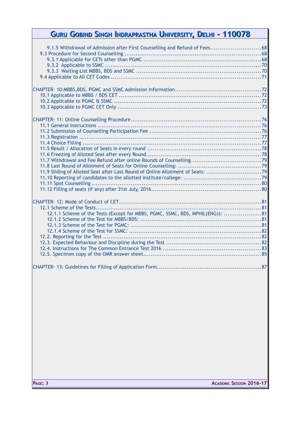| 9.1.5 Withdrawal of Admission after First Counselling and Refund of Fees68     |  |
|--------------------------------------------------------------------------------|--|
|                                                                                |  |
|                                                                                |  |
|                                                                                |  |
|                                                                                |  |
|                                                                                |  |
|                                                                                |  |
|                                                                                |  |
|                                                                                |  |
|                                                                                |  |
|                                                                                |  |
|                                                                                |  |
|                                                                                |  |
|                                                                                |  |
|                                                                                |  |
|                                                                                |  |
|                                                                                |  |
|                                                                                |  |
|                                                                                |  |
|                                                                                |  |
|                                                                                |  |
|                                                                                |  |
|                                                                                |  |
| 11.9 Sliding of Alloted Seat after Last Round of Online Allotment of Seats: 79 |  |
|                                                                                |  |
|                                                                                |  |
|                                                                                |  |
|                                                                                |  |
|                                                                                |  |
|                                                                                |  |
| 12.1.1 Scheme of the Tests (Except for MBBS, PGMC, SSMC, BDS, MPHIL(ENG)): 81  |  |
|                                                                                |  |
|                                                                                |  |
|                                                                                |  |
|                                                                                |  |
|                                                                                |  |
|                                                                                |  |
|                                                                                |  |
|                                                                                |  |
|                                                                                |  |
|                                                                                |  |
|                                                                                |  |
|                                                                                |  |
|                                                                                |  |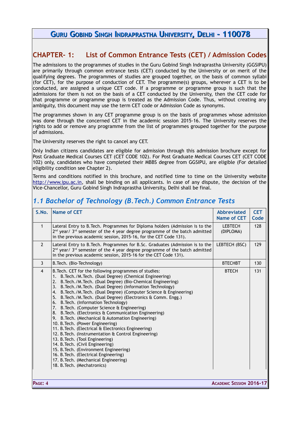### <span id="page-4-1"></span>**CHAPTER- 1: List of Common Entrance Tests (CET) / Admission Codes**

The admissions to the programmes of studies in the Guru Gobind Singh Indraprastha University (GGSIPU) are primarily through common entrance tests (CET) conducted by the University or on merit of the qualifying degrees. The programmes of studies are grouped together, on the basis of common syllabi (for CET), for the purpose of conduction of CET. The programme(s) groups, wherever a CET is to be conducted, are assigned a unique CET code. If a programme or programme group is such that the admissions for them is not on the basis of a CET conducted by the University, then the CET code for that programme or programme group is treated as the Admission Code. Thus, without creating any ambiguity, this document may use the term CET code or Admission Code as synonyms.

The programmes shown in any CET programme group is on the basis of programmes whose admission was done through the concerned CET in the academic session 2015-16. The University reserves the rights to add or remove any programme from the list of programmes grouped together for the purpose of admissions.

The University reserves the right to cancel any CET.

Only Indian citizens candidates are eligible for admission through this admission brochure except for Post Graduate Medical Courses CET (CET CODE 102). For Post Graduate Medical Courses CET (CET CODE 102) only, candidates who have completed their MBBS degree from GGSIPU, are eligible (For detailed eligibility condition see Chapter 2).

Terms and conditions notified in this brochure, and notified time to time on the University website [http://www.ipu.ac.in,](http://ipu.ac.in/) shall be binding on all applicants. In case of any dispute, the decision of the Vice-Chancellor, Guru Gobind Singh Indraprastha University, Delhi shall be final.

### <span id="page-4-0"></span>*1.1 Bachelor of Technology (B.Tech.) Common Entrance Tests*

| S.No.          | <b>Name of CET</b>                                                                                                                                                                                                                                                                                                                                                                                                                                                                                                                                                                                                                                                                                                                                                                                                                                                                                                                                                                     | <b>Abbreviated</b><br>Name of CET | <b>CET</b><br>Code |
|----------------|----------------------------------------------------------------------------------------------------------------------------------------------------------------------------------------------------------------------------------------------------------------------------------------------------------------------------------------------------------------------------------------------------------------------------------------------------------------------------------------------------------------------------------------------------------------------------------------------------------------------------------------------------------------------------------------------------------------------------------------------------------------------------------------------------------------------------------------------------------------------------------------------------------------------------------------------------------------------------------------|-----------------------------------|--------------------|
| $\mathbf{1}$   | Lateral Entry to B. Tech. Programmes for Diploma holders (Admission is to the<br>2 <sup>nd</sup> year/ 3 <sup>rd</sup> semester of the 4 year degree programme of the batch admitted<br>in the previous academic session, 2015-16, for the CET Code 131).                                                                                                                                                                                                                                                                                                                                                                                                                                                                                                                                                                                                                                                                                                                              | <b>LEBTECH</b><br>(DIPLOMA)       | 128                |
| $\overline{2}$ | Lateral Entry to B. Tech. Programmes for B.Sc. Graduates (Admission is to the<br>2 <sup>nd</sup> year/ 3 <sup>rd</sup> semester of the 4 year degree programme of the batch admitted<br>in the previous academic session, 2015-16 for the CET Code 131).                                                                                                                                                                                                                                                                                                                                                                                                                                                                                                                                                                                                                                                                                                                               | LEBTECH (BSC)                     | 129                |
| $\overline{3}$ | B. Tech. (Bio-Technology)                                                                                                                                                                                                                                                                                                                                                                                                                                                                                                                                                                                                                                                                                                                                                                                                                                                                                                                                                              | <b>BTECHBT</b>                    | 130                |
| $\overline{4}$ | B. Tech. CET for the following programmes of studies:<br>B. Tech./M. Tech. (Dual Degree) (Chemical Engineering)<br>B. Tech./M. Tech. (Dual Degree) (Bio-Chemical Engineering)<br>2.<br>3. B. Tech./M. Tech. (Dual Degree) (Information Technology)<br>4. B. Tech./M. Tech. (Dual Degree) (Computer Science & Engineering)<br>5. B. Tech./M. Tech. (Dual Degree) (Electronics & Comm. Engg.)<br>6. B. Tech. (Information Technology)<br>7. B. Tech. (Computer Science & Engineering)<br>8. B. Tech. (Electronics & Communication Engineering)<br>9. B. Tech. (Mechanical & Automation Engineering)<br>10. B. Tech. (Power Engineering)<br>11. B. Tech. (Electrical & Electronics Engineering)<br>12. B. Tech. (Instrumentation & Control Engineering)<br>13. B. Tech. (Tool Engineering)<br>14. B. Tech. (Civil Engineering)<br>15. B. Tech. (Environment Engineering)<br>16. B. Tech. (Electrical Engineering)<br>17. B. Tech. (Mechanical Engineering)<br>18. B. Tech. (Mechatronics) | <b>BTECH</b>                      | 131                |
|                |                                                                                                                                                                                                                                                                                                                                                                                                                                                                                                                                                                                                                                                                                                                                                                                                                                                                                                                                                                                        |                                   |                    |

**PAGE: 4 ACADEMIC SESSION 2016-17**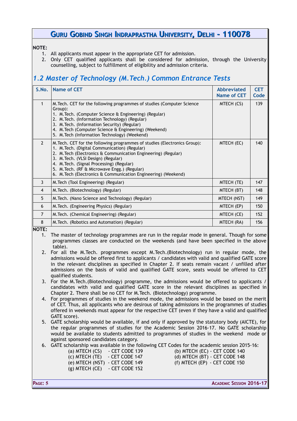#### **NOTE:**

- 1. All applicants must appear in the appropriate CET for admission.
- 2. Only CET qualified applicants shall be considered for admission, through the University counselling, subject to fulfillment of eligibility and admission criteria.

# <span id="page-5-0"></span>*1.2 Master of Technology (M.Tech.) Common Entrance Tests*

| S.No.               | <b>Name of CET</b>                                                                                                                                                                                                                                                                                                                                                                                 | <b>Abbreviated</b><br><b>Name of CET</b> | <b>CET</b><br>Code |
|---------------------|----------------------------------------------------------------------------------------------------------------------------------------------------------------------------------------------------------------------------------------------------------------------------------------------------------------------------------------------------------------------------------------------------|------------------------------------------|--------------------|
| 1                   | M. Tech. CET for the following programmes of studies (Computer Science<br>Group):<br>1. M. Tech. (Computer Science & Engineering) (Regular)<br>2. M. Tech. (Information Technology) (Regular)<br>3. M. Tech. (Information Security) (Regular)<br>4. M. Tech (Computer Science & Engineering) (Weekend)<br>5. M. Tech (Information Technology) (Weekend)                                            | MTECH (CS)                               | 139                |
| $\overline{2}$      | M. Tech. CET for the following programmes of studies (Electronics Group):<br>1. M. Tech. (Digital Communication) (Regular)<br>2. M. Tech (Electronics & Communication Engineering) (Regular)<br>3. M. Tech. (VLSI Design) (Regular)<br>4. M. Tech. (Signal Processing) (Regular)<br>5. M. Tech. (RF & Microwave Engg.) (Regular)<br>6. M. Tech (Electronics & Communication Engineering) (Weekend) | MTECH (EC)                               | 140                |
| 3                   | M. Tech (Tool Engineering) (Regular)                                                                                                                                                                                                                                                                                                                                                               | MTECH (TE)                               | 147                |
| 4                   | M. Tech. (Biotechnology) (Regular)                                                                                                                                                                                                                                                                                                                                                                 | MTECH (BT)                               | 148                |
| 5                   | M. Tech. (Nano Science and Technology) (Regular)                                                                                                                                                                                                                                                                                                                                                   | MTECH (NST)                              | 149                |
| 6                   | M. Tech. (Engineering Physics) (Regular)                                                                                                                                                                                                                                                                                                                                                           | MTECH (EP)                               | 150                |
| 7                   | M. Tech. (Chemical Engineering) (Regular)                                                                                                                                                                                                                                                                                                                                                          | MTECH (CE)                               | 152                |
| 8<br>$\blacksquare$ | M. Tech. (Robotics and Automation) (Regular)                                                                                                                                                                                                                                                                                                                                                       | MTECH (RA)                               | 156                |

**NOTE:** 

1. The master of technology programmes are run in the regular mode in general. Though for some programmes classes are conducted on the weekends (and have been specified in the above table).

- 2. For all the M.Tech. programmes except M.Tech.(Biotechnology) run in regular mode, the admissions would be offered first to applicants / candidates with valid and qualified GATE score in the relevant disciplines as specified in Chapter 2. If seats remain vacant / unfilled after admissions on the basis of valid and qualified GATE score, seats would be offered to CET qualified students.
- 3. For the M.Tech.(Biotechnology) programme, the admissions would be offered to applicants / candidates with valid and qualified GATE score in the relevant disciplines as specified in Chapter 2. There shall be no CET for M.Tech. (Biotechnology) programme.
- 4. For programmes of studies in the weekend mode, the admissions would be based on the merit of CET. Thus, all applicants who are desirous of taking admissions in the programmes of studies offered in weekends must appear for the respective CET (even if they have a valid and qualified GATE score).
- 5. GATE scholarship would be available, if and only if approved by the statutory body (AICTE), for the regular programmes of studies for the Academic Session 2016-17. No GATE scholarship would be available to students admitted to programmes of studies in the weekend mode or against sponsored candidates category.
- 6. GATE scholarship was available in the following CET Codes for the academic session 2015-16:

(a) MTECH  $(CS) - CET CODE 139$  (b) MTECH  $(EC) - CET CODE 140$ (c) MTECH (TE) - CET CODE 147 (d) MTECH (BT) - CET CODE 148 (e) MTECH (NST) - CET CODE 149 (f) MTECH (EP) - CET CODE 150 (g) MTECH (CE) - CET CODE 152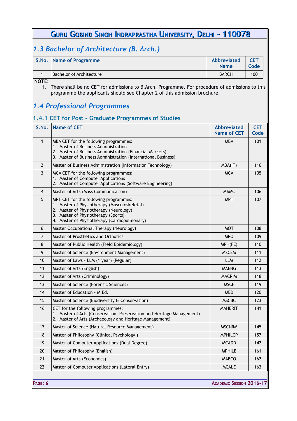# <span id="page-6-2"></span>*1.3 Bachelor of Architecture (B. Arch.)*

| S.No. Name of Programme  | Abbreviated<br><b>Name</b> | Codel |
|--------------------------|----------------------------|-------|
| Bachelor of Architecture | <b>BARCH</b>               | 100   |

**NOTE:**

1. There shall be no CET for admissions to B.Arch. Programme. For procedure of admissions to this programme the applicants should see Chapter 2 of this admission brochure.

### <span id="page-6-1"></span>*1.4 Professional Programmes*

### <span id="page-6-0"></span>**1.4.1 CET for Post – Graduate Programmes of Studies**

| S.No.          | <b>Name of CET</b>                                                                                                                                                                                                     | <b>Abbreviated</b><br><b>Name of CET</b> | <b>CET</b><br>Code |
|----------------|------------------------------------------------------------------------------------------------------------------------------------------------------------------------------------------------------------------------|------------------------------------------|--------------------|
| $\mathbf{1}$   | MBA CET for the following programmes:<br>1. Master of Business Administration<br>2. Master of Business Administration (Financial Markets)<br>3. Master of Business Administration (International Business)             | <b>MBA</b>                               | 101                |
| $\overline{2}$ | Master of Business Administration (Information Technology)                                                                                                                                                             | MBA(IT)                                  | 116                |
| 3              | MCA CET for the following programmes:<br>1. Master of Computer Applications<br>2. Master of Computer Applications (Software Engineering)                                                                               | <b>MCA</b>                               | 105                |
| 4              | Master of Arts (Mass Communication)                                                                                                                                                                                    | <b>MAMC</b>                              | 106                |
| 5              | MPT CET for the following programmes:<br>1. Master of Physiotherapy (Musculoskeletal)<br>2. Master of Physiotherapy (Neurology)<br>3. Master of Physiotherapy (Sports)<br>4. Master of Physiotherapy (Cardiopulmonary) | <b>MPT</b>                               | 107                |
| 6              | Master Occupational Therapy (Neurology)                                                                                                                                                                                | <b>MOT</b>                               | 108                |
| 7              | Master of Prosthetics and Orthotics                                                                                                                                                                                    | <b>MPO</b>                               | 109                |
| $\bf 8$        | Master of Public Health (Field Epidemiology)                                                                                                                                                                           | MPH(FE)                                  | 110                |
| 9              | Master of Science (Environment Management)                                                                                                                                                                             | <b>MSCEM</b>                             | 111                |
| 10             | Master of Laws - LLM (1 year) (Regular)                                                                                                                                                                                | <b>LLM</b>                               | 112                |
| 11             | Master of Arts (English)                                                                                                                                                                                               | <b>MAENG</b>                             | 113                |
| 12             | Master of Arts (Criminology)                                                                                                                                                                                           | <b>MACRIM</b>                            | 118                |
| 13             | Master of Science (Forensic Sciences)                                                                                                                                                                                  | <b>MSCF</b>                              | 119                |
| 14             | Master of Education - M.Ed.                                                                                                                                                                                            | <b>MED</b>                               | 120                |
| 15             | Master of Science (Biodiversity & Conservation)                                                                                                                                                                        | <b>MSCBC</b>                             | 123                |
| 16             | CET for the following programmes:<br>1. Master of Arts (Conservation, Preservation and Heritage Management)<br>2. Master of Arts (Archaeology and Heritage Management)                                                 | <b>MAHERIT</b>                           | 141                |
| 17             | Master of Science (Natural Resource Management)                                                                                                                                                                        | <b>MSCNRM</b>                            | 145                |
| 18             | Master of Philosophy (Clinical Psychology)                                                                                                                                                                             | <b>MPHILCP</b>                           | 157                |
| 19             | Master of Computer Applications (Dual Degree)                                                                                                                                                                          | <b>MCADD</b>                             | 142                |
| 20             | Master of Philosophy (English)                                                                                                                                                                                         | <b>MPHILE</b>                            | 161                |
| 21             | Master of Arts (Economics)                                                                                                                                                                                             | <b>MAECO</b>                             | 162                |
| 22             | Master of Computer Applications (Lateral Entry)                                                                                                                                                                        | <b>MCALE</b>                             | 163                |
| PAGE: 6        |                                                                                                                                                                                                                        | <b>ACADEMIC SESSION 2016-17</b>          |                    |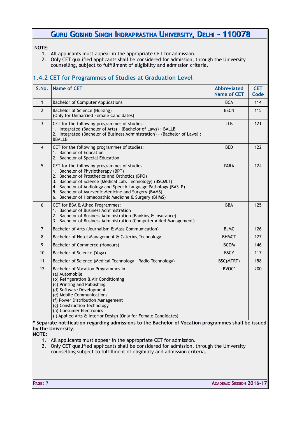#### **NOTE:**

- 1. All applicants must appear in the appropriate CET for admission.
- 2. Only CET qualified applicants shall be considered for admission, through the University counselling, subject to fulfillment of eligibility and admission criteria.

### <span id="page-7-0"></span>**1.4.2 CET for Programmes of Studies at Graduation Level**

| S.No.          | <b>Name of CET</b>                                                                                                                                                                                                                                                                                                                                                                 | <b>Abbreviated</b><br><b>Name of CET</b> | <b>CET</b><br>Code |
|----------------|------------------------------------------------------------------------------------------------------------------------------------------------------------------------------------------------------------------------------------------------------------------------------------------------------------------------------------------------------------------------------------|------------------------------------------|--------------------|
| $\mathbf{1}$   | <b>Bachelor of Computer Applications</b>                                                                                                                                                                                                                                                                                                                                           | <b>BCA</b>                               | 114                |
| $\overline{2}$ | Bachelor of Science (Nursing)<br>(Only for Unmarried Female Candidates)                                                                                                                                                                                                                                                                                                            | <b>BSCN</b>                              | 115                |
| 3              | CET for the following programmes of studies:<br>1. Integrated (Bachelor of Arts) - (Bachelor of Laws) : BALLB<br>2. Integrated (Bachelor of Business Administration) - (Bachelor of Laws) :<br><b>BBALLB</b>                                                                                                                                                                       | <b>LLB</b>                               | 121                |
| 4              | CET for the following programmes of studies:<br>1. Bachelor of Education<br>2. Bachelor of Special Education                                                                                                                                                                                                                                                                       | <b>BED</b>                               | 122                |
| 5              | CET for the following programmes of studies<br>1. Bachelor of Physiotherapy (BPT)<br>2. Bachelor of Prosthetics and Orthotics (BPO)<br>3. Bachelor of Science (Medical Lab. Technology) (BSCMLT)<br>4. Bachelor of Audiology and Speech Language Pathology (BASLP)<br>5. Bachelor of Ayurvedic Medicine and Surgery (BAMS)<br>6. Bachelor of Homeopathic Medicine & Surgery (BHMS) | PARA                                     | 124                |
| 6              | CET for BBA & Allied Programmes:<br>1. Bachelor of Business Administration<br>2. Bachelor of Business Administration (Banking & Insurance)<br>3. Bachelor of Business Administration (Computer Aided Management)                                                                                                                                                                   | <b>BBA</b>                               | 125                |
| $\overline{7}$ | Bachelor of Arts (Journalism & Mass Communication)                                                                                                                                                                                                                                                                                                                                 | <b>BJMC</b>                              | 126                |
| 8              | Bachelor of Hotel Management & Catering Technology                                                                                                                                                                                                                                                                                                                                 | <b>BHMCT</b>                             | 127                |
| 9              | Bachelor of Commerce (Honours)                                                                                                                                                                                                                                                                                                                                                     | <b>BCOM</b>                              | 146                |
| 10             | Bachelor of Science (Yoga)                                                                                                                                                                                                                                                                                                                                                         | <b>BSCY</b>                              | 117                |
| 11             | Bachelor of Science (Medical Technology - Radio Technology)                                                                                                                                                                                                                                                                                                                        | BSC(MTRT)                                | 158                |
| 12             | Bachelor of Vocation Programmes in<br>(a) Automobile<br>(b) Refrigeration & Air Conditioning<br>(c) Printing and Publishing<br>(d) Software Development<br>(e) Mobile Communications<br>(f) Power Distribution Management<br>(g) Construction Technology<br>(h) Consumer Electronics<br>(I) Applied Arts & Interior Design (Only for Female Candidates)                            | BVOC*                                    | 200                |

**\* Separate notification regarding admissions to the Bachelor of Vocation programmes shall be issued by the University.**

**NOTE:** 

- 1. All applicants must appear in the appropriate CET for admission.
- 2. Only CET qualified applicants shall be considered for admission, through the University counselling subject to fulfillment of eligibility and admission criteria.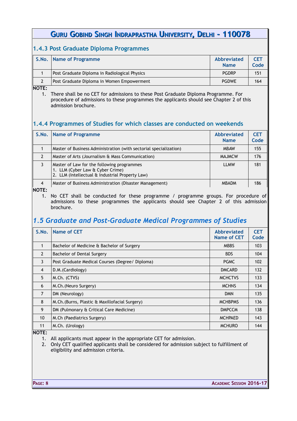### <span id="page-8-2"></span>**1.4.3 Post Graduate Diploma Programmes**

| S.No. Name of Programme                       | Abbreviated<br><b>Name</b> | <b>CET</b><br>Code |
|-----------------------------------------------|----------------------------|--------------------|
| Post Graduate Diploma in Radiological Physics | <b>PGDRP</b>               | 151                |
| Post Graduate Diploma in Women Empowerment    | <b>PGDWE</b>               | 164                |

**NOTE:**

1. There shall be no CET for admissions to these Post Graduate Diploma Programme. For procedure of admissions to these programmes the applicants should see Chapter 2 of this admission brochure.

### <span id="page-8-1"></span>**1.4.4 Programmes of Studies for which classes are conducted on weekends**

| S.No.          | Name of Programme                                                                                                                 | <b>Abbreviated</b><br><b>Name</b> | <b>CET</b><br>Code |
|----------------|-----------------------------------------------------------------------------------------------------------------------------------|-----------------------------------|--------------------|
|                | Master of Business Administration (with sectorial specialization)                                                                 | <b>MBAW</b>                       | 155                |
| 2              | Master of Arts (Journalism & Mass Communication)                                                                                  | <b>MAJMCW</b>                     | 176                |
|                | Master of Law for the following programmes<br>1. LLM (Cyber Law & Cyber Crime)<br>2. LLM (Intellectual & Industrial Property Law) | <b>LLMW</b>                       | 181                |
| $\overline{4}$ | Master of Business Administration (Disaster Management)                                                                           | <b>MBADM</b>                      | 186                |

**NOTE:**

1. No CET shall be conducted for these programme / programme groups. For procedure of admissions to these programmes the applicants should see Chapter 2 of this admission brochure.

### <span id="page-8-0"></span>*1.5 Graduate and Post-Graduate Medical Programmes of Studies*

| S.No.          | <b>Name of CET</b>                              | <b>Abbreviated</b><br>Name of CET | <b>CET</b><br>Code |
|----------------|-------------------------------------------------|-----------------------------------|--------------------|
| 1              | Bachelor of Medicine & Bachelor of Surgery      | <b>MBBS</b>                       | 103                |
| $\overline{2}$ | Bachelor of Dental Surgery                      | <b>BDS</b>                        | 104                |
| 3              | Post Graduate Medical Courses (Degree/ Diploma) | <b>PGMC</b>                       | 102                |
| 4              | D.M. (Cardiology)                               | <b>DMCARD</b>                     | 132                |
| 5              | M.Ch. (CTVS)                                    | <b>MCHCTVS</b>                    | 133                |
| 6              | M.Ch. (Neuro Surgery)                           | <b>MCHNS</b>                      | 134                |
| $\overline{7}$ | DM (Neurology)                                  | <b>DMN</b>                        | 135                |
| 8              | M.Ch. (Burns, Plastic & Maxillofacial Surgery)  | <b>MCHBPMS</b>                    | 136                |
| 9              | DM (Pulmonary & Critical Care Medicine)         | <b>DMPCCM</b>                     | 138                |
| 10             | M.Ch (Paediatrics Surgery)                      | <b>MCHPAED</b>                    | 143                |
| 11             | M.Ch. (Urology)                                 | <b>MCHURO</b>                     | 144                |
|                |                                                 |                                   |                    |

**NOTE:** 

1. All applicants must appear in the appropriate CET for admission.

2. Only CET qualified applicants shall be considered for admission subject to fulfillment of eligibility and admission criteria.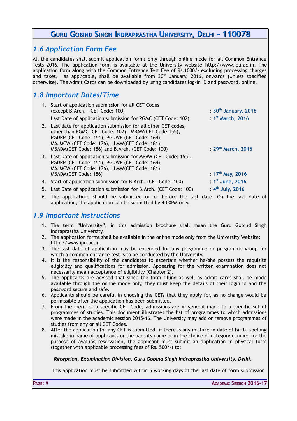### <span id="page-9-2"></span>*1.6 Application Form Fee*

All the candidates shall submit application forms only through online mode for all Common Entrance Tests 2016. The application form is available at the University website [http://www.ipu.ac.in.](http://www.ipu.ac.in/) The application form along with the Common Entrance Test Fee of Rs.1000/- excluding processing charges and taxes, as applicable, shall be available from  $30<sup>th</sup>$  January, 2016, onwards (Unless specified otherwise). The Admit Cards can be downloaded by using candidates log-in ID and password, online.

### <span id="page-9-1"></span>*1.8 Important Dates/Time*

| 1. Start of application submission for all CET Codes<br>(except B.Arch. - CET Code: 100)                                                                                                                                                                                      | : 30 <sup>th</sup> January, 2016 |
|-------------------------------------------------------------------------------------------------------------------------------------------------------------------------------------------------------------------------------------------------------------------------------|----------------------------------|
| Last Date of application submission for PGMC (CET Code: 102)                                                                                                                                                                                                                  | : $1st$ March, 2016              |
| 2. Last date for application submission for all other CET codes,<br>other than PGMC (CET Code: 102), MBAW(CET Code:155),<br>PGDRP (CET Code: 151), PGDWE (CET Code: 164),<br>MAJMCW (CET Code: 176), LLMW(CET Code: 181),<br>MBADM(CET Code: 186) and B.Arch. (CET Code: 100) | : $29th$ March, 2016             |
| 3. Last Date of application submission for MBAW (CET Code: 155),<br>PGDRP (CET Code: 151), PGDWE (CET Code: 164),<br>MAJMCW (CET Code: 176), LLMW(CET Code: 181),<br>MBADM(CET Code: 186)                                                                                     | : $17^{th}$ May, 2016            |
| 4. Start of application submission for B.Arch. (CET Code: 100)                                                                                                                                                                                                                | : $1st$ June, 2016               |
| 5. Last Date of application submission for B.Arch. (CET Code: 100)                                                                                                                                                                                                            | : $4^{th}$ July, 2016            |

6. The applications should be submitted on or before the last date. On the last date of application, the application can be submitted by 4.00PM only.

### <span id="page-9-0"></span>*1.9 Important Instructions*

- 1. The term "University", in this admission brochure shall mean the Guru Gobind Singh Indraprastha University.
- 2. The application forms shall be available in the online mode only from the University Website: [http://www.ipu.ac.in](http://ipu.ac.in/)
- 3. The last date of application may be extended for any programme or programme group for which a common entrance test is to be conducted by the University.
- 4. It is the responsibility of the candidates to ascertain whether he/she possess the requisite eligibility and qualifications for admission. Appearing for the written examination does not necessarily mean acceptance of eligibility (Chapter 2).
- 5. The applicants are advised that since the form filling as well as admit cards shall be made available through the online mode only, they must keep the details of their login id and the password secure and safe.
- 6. Applicants should be careful in choosing the CETs that they apply for, as no change would be permissible after the application has been submitted.
- 7. From the merit of a specific CET Code, admissions are in general made to a specific set of programmes of studies. This document illustrates the list of programmes to which admissions were made in the academic session 2015-16. The University may add or remove programmes of studies from any or all CET Codes.
- 8. After the application for any CET is submitted, if there is any mistake in date of birth, spelling mistake in name of applicants or the parents name or in the choice of category claimed for the purpose of availing reservation, the applicant must submit an application in physical form (together with applicable processing fees of Rs. 500/-) to:

#### *Reception, Examination Division, Guru Gobind Singh Indraprastha University, Delhi.*

This application must be submitted within 5 working days of the last date of form submission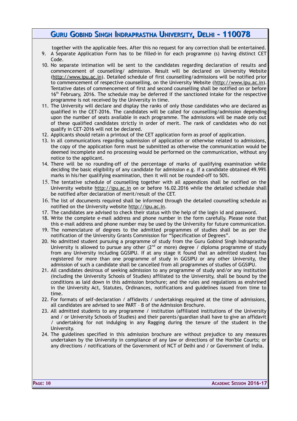together with the applicable fees. After this no request for any correction shall be entertained.

- 9. A Separate Application Form has to be filled-in for each programme (s) having distinct CET Code.
- 10. No separate intimation will be sent to the candidates regarding declaration of results and commencement of counselling/ admission. Result will be declared on University Website [\(http://www.ipu.ac.in\)](http://www.ipu.ac.in/). Detailed schedule of first counselling/admissions will be notified prior to commencement of respective counselling, on the University Website [\(http://www.ipu.ac.in\)](http://www.ipu.ac.in/). Tentative dates of commencement of first and second counselling shall be notified on or before 16<sup>th</sup> February, 2016. The schedule may be deferred if the sanctioned intake for the respective programme is not received by the University in time.
- 11. The University will declare and display the ranks of only those candidates who are declared as qualified in the CET-2016. The candidates will be called for counselling/admission depending upon the number of seats available in each programme. The admissions will be made only out of these qualified candidates strictly in order of merit. The rank of candidates who do not qualify in CET-2016 will not be declared.
- 12. Applicants should retain a printout of the CET application form as proof of application.
- 13. In all communications regarding submission of application or otherwise related to admissions, the copy of the application form must be submitted as otherwise the communication would be deemed incomplete and no processing would be performed on the communication, without any notice to the applicant.
- 14. There will be no rounding-off of the percentage of marks of qualifying examination while deciding the basic eligibility of any candidate for admission e.g. if a candidate obtained 49.99% marks in his/her qualifying examination, then it will not be rounded-off to 50%.
- 15. The tentative schedule of counselling together with all appendices shall be notified on the University website [http://ipu.ac.in](http://ipu.ac.in/) on or before 16.02.2016 while the detailed schedule shall be notified after declaration of merit/result of the CET.
- 16. The list of documents required shall be informed through the detailed counselling schedule as notified on the University website [http://ipu.ac.in.](http://ipu.ac.in/)
- 17. The candidates are advised to check their status with the help of the login id and password.
- 18. Write the complete e-mail address and phone number in the form carefully. Please note that this e-mail address and phone number may be used by the University for future communication.
- 19. The nomenclature of degrees to the admitted programmes of studies shall be as per the notification of the University Grants Commission for "Specification of Degrees".
- 20. No admitted student pursuing a programme of study from the Guru Gobind Singh Indraprastha University is allowed to pursue any other ( $2<sup>nd</sup>$  or more) degree / diploma programme of study from any University including GGSIPU. If at any stage it found that an admitted student has registered for more than one programme of study in GGSIPU or any other University, the admission of such a candidate shall be cancelled from all programmes of studies of GGSIPU.
- 21. All candidates desirous of seeking admission to any programme of study and/or any institution (including the University Schools of Studies) affiliated to the University, shall be bound by the conditions as laid down in this admission brochure; and the rules and regulations as enshrined in the University Act, Statutes, Ordinances, notifications and guidelines issued from time to time.
- 22. For formats of self-declaration / affidavits / undertakings required at the time of admissions, all candidates are advised to see PART – B of the Admission Brochure.
- 23. All admitted students to any programme / institution (affiliated institutions of the University and / or University Schools of Studies) and their parents/guardian shall have to give an affidavit / undertaking for not indulging in any Ragging during the tenure of the student in the University.
- 24. The guidelines specified in this admission brochure are without prejudice to any measures undertaken by the University in compliance of any law or directions of the Hon'ble Courts; or any directions / notifications of the Government of NCT of Delhi and / or Government of India.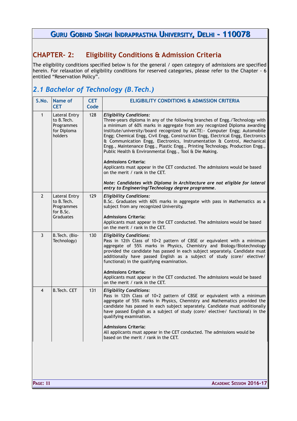### <span id="page-11-1"></span>**CHAPTER- 2: Eligibility Conditions & Admission Criteria**

The eligibility conditions specified below is for the general / open category of admissions are specified herein. For relaxation of eligibility conditions for reserved categories, please refer to the Chapter - 6 entitled "Reservation Policy".

# <span id="page-11-0"></span>*2.1 Bachelor of Technology (B.Tech.)*

| S.No.          | Name of<br><b>CET</b>                                                       | <b>CET</b><br>Code | <b>ELIGIBILITY CONDITIONS &amp; ADMISSION CRITERIA</b>                                                                                                                                                                                                                                                                                                                                                                                                                                                                                                                                                                                                                                                                                                                                                                                                                     |
|----------------|-----------------------------------------------------------------------------|--------------------|----------------------------------------------------------------------------------------------------------------------------------------------------------------------------------------------------------------------------------------------------------------------------------------------------------------------------------------------------------------------------------------------------------------------------------------------------------------------------------------------------------------------------------------------------------------------------------------------------------------------------------------------------------------------------------------------------------------------------------------------------------------------------------------------------------------------------------------------------------------------------|
| $\mathbf{1}$   | <b>Lateral Entry</b><br>to B. Tech.<br>Programmes<br>for Diploma<br>holders | 128                | <b>Eligibility Conditions:</b><br>Three-years diploma in any of the following branches of Engg./Technology with<br>a minimum of 60% marks in aggregate from any recognized Diploma awarding<br>institute/university/board recognized by AICTE:- Computer Engg; Automobile<br>Engg; Chemical Engg, Civil Engg, Construction Engg, Electrical Engg, Electronics<br>& Communication Engg, Electronics, Instrumentation & Control, Mechanical<br>Engg., Maintenance Engg., Plastic Engg., Printing Technology, Production Engg.,<br>Public Health & Environmental Engg., Tool & Die Making.<br><b>Admissions Criteria:</b><br>Applicants must appear in the CET conducted. The admissions would be based<br>on the merit / rank in the CET.<br>Note: Candidates with Diploma in Architecture are not eligible for lateral<br>entry to Engineering/Technology degree programme. |
| $\overline{2}$ | <b>Lateral Entry</b><br>to B. Tech.<br>Programmes<br>for B.Sc.<br>Graduates | 129                | <b>Eligibility Conditions:</b><br>B.Sc. Graduates with 60% marks in aggregate with pass in Mathematics as a<br>subject from any recognized University.<br><b>Admissions Criteria:</b><br>Applicants must appear in the CET conducted. The admissions would be based<br>on the merit / rank in the CET.                                                                                                                                                                                                                                                                                                                                                                                                                                                                                                                                                                     |
| 3              | B. Tech. (Bio-<br>Technology)                                               | 130                | <b>Eligibility Conditions:</b><br>Pass in 12th Class of 10+2 pattern of CBSE or equivalent with a minimum<br>aggregate of 55% marks in Physics, Chemistry and Biology/Biotechnology<br>provided the candidate has passed in each subject separately. Candidate must<br>additionally have passed English as a subject of study (core/ elective/<br>functional) in the qualifying examination.<br><b>Admissions Criteria:</b><br>Applicants must appear in the CET conducted. The admissions would be based<br>on the merit / rank in the CET.                                                                                                                                                                                                                                                                                                                               |
| 4              | B. Tech. CET                                                                | 131                | <b>Eligibility Conditions:</b><br>Pass in 12th Class of 10+2 pattern of CBSE or equivalent with a minimum<br>aggregate of 55% marks in Physics, Chemistry and Mathematics provided the<br>candidate has passed in each subject separately. Candidate must additionally<br>have passed English as a subject of study (core/ elective/ functional) in the<br>qualifying examination.<br><b>Admissions Criteria:</b><br>All applicants must appear in the CET conducted. The admissions would be<br>based on the merit / rank in the CET.                                                                                                                                                                                                                                                                                                                                     |
|                |                                                                             |                    |                                                                                                                                                                                                                                                                                                                                                                                                                                                                                                                                                                                                                                                                                                                                                                                                                                                                            |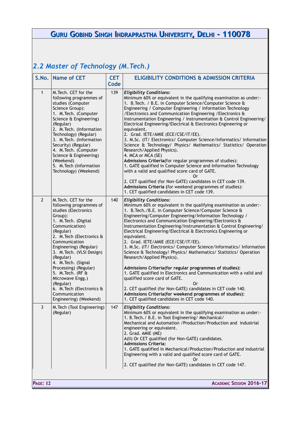# <span id="page-12-0"></span>*2.2 Master of Technology (M.Tech.)*

|                | S.No. Name of CET                                                                                                                                                                                                                                                                                                                                                                                                                         | <b>CET</b><br>Code | <b>ELIGIBILITY CONDITIONS &amp; ADMISSION CRITERIA</b>                                                                                                                                                                                                                                                                                                                                                                                                                                                                                                                                                                                                                                                                                                                                                                                                                                                                                                                                                                                                            |
|----------------|-------------------------------------------------------------------------------------------------------------------------------------------------------------------------------------------------------------------------------------------------------------------------------------------------------------------------------------------------------------------------------------------------------------------------------------------|--------------------|-------------------------------------------------------------------------------------------------------------------------------------------------------------------------------------------------------------------------------------------------------------------------------------------------------------------------------------------------------------------------------------------------------------------------------------------------------------------------------------------------------------------------------------------------------------------------------------------------------------------------------------------------------------------------------------------------------------------------------------------------------------------------------------------------------------------------------------------------------------------------------------------------------------------------------------------------------------------------------------------------------------------------------------------------------------------|
| $\mathbf{1}$   | M. Tech. CET for the<br>following programmes of<br>studies (Computer<br>Science Group):<br>1. M. Tech. (Computer<br>Science & Engineering)<br>(Regular)<br>2. M. Tech. (Information<br>Technology) (Regular)<br>3. M. Tech. (Information<br>Security) (Regular)<br>4. M. Tech. (Computer<br>Science & Engineering)<br>(Weekend)<br>5. M. Tech (Information<br>Technology) (Weekend)                                                       | 139                | <b>Eligibility Conditions:</b><br>Minimum 60% or equivalent in the qualifying examination as under:-<br>1. B. Tech. / B.E. in Computer Science/Computer Science &<br>Engineering / Computer Engineering / Information Technology<br>/Electronics and Communication Engineering / Electronics &<br>Instrumentation Engineering / Instrumentation & Control Engineering/<br>Electrical Engineering/Electrical & Electronics Engineering or<br>equivalent.<br>2. Grad. IETE/AMIE (ECE/CSE/IT/EE).<br>3. M.Sc. (IT/ Electronics/ Computer Science/Informatics/ Information<br>Science & Technology/ Physics/ Mathematics/ Statistics/ Operation<br>Research/Applied Physics).<br>4. MCA or MCA (SE)<br>Admissions Criteria(for regular programmes of studies):<br>1. GATE qualified in Computer Science and Information Technology<br>with a valid and qualified score card of GATE.<br>0r<br>2. CET qualified (for Non-GATE) candidates in CET code 139.<br>Admissions Criteria (for weekend programmes of studies):<br>1. CET qualified candidates in CET code 139. |
| $\overline{2}$ | M. Tech. CET for the<br>following programmes of<br>studies (Electronics<br>Group):<br>1. M. Tech. (Digital<br>Communication)<br>(Regular)<br>2. M. Tech (Electronics &<br>Communication<br>Engineering) (Regular)<br>3. M. Tech. (VLSI Design)<br>(Regular)<br>4. M. Tech. (Signal<br>Processing) (Regular)<br>5. M. Tech. (RF &<br>Microwave Engg.)<br>(Regular)<br>6. M. Tech (Electronics &<br>Communication<br>Engineering) (Weekend) | 140                | <b>Eligibility Conditions:</b><br>Minimum 60% or equivalent in the qualifying examination as under:-<br>1. B. Tech. / B.E. in Computer Science/Computer Science &<br>Engineering/Computer Engineering/Information Technology /<br>Electronics and Communication Engineering/Electronics &<br>Instrumentation Engineering/Instrumentation & Control Engineering/<br>Electrical Engineering/Electrical & Electronics Engineering or<br>equivalent.<br>2. Grad. IETE/AMIE (ECE/CSE/IT/EE).<br>3. M.Sc. (IT/ Electronics/ Computer Science/Informatics/ Information<br>Science & Technology/ Physics/ Mathematics/ Statistics/ Operation<br>Research/Applied Physics).<br>Admissions Criteria(for regular programmes of studies):<br>1. GATE qualified in Electronics and Communication with a valid and<br>qualified score card of GATE.<br>Or<br>2. CET qualified (for Non-GATE) candidates in CET code 140.<br>Admissions Criteria(for weekend programmes of studies):<br>1. CET qualified candidates in CET code 140.                                             |
| $\mathbf{3}$   | M. Tech (Tool Engineering)<br>(Regular)                                                                                                                                                                                                                                                                                                                                                                                                   | 147                | <b>Eligibility Conditions:</b><br>Minimum 60% or equivalent in the qualifying examination as under:-<br>1. B. Tech. / B.E. in Tool Engineering / Mechanical /<br>Mechanical and Automation / Production/Production and industrial<br>engineering or equivalent.<br>2. Grad. AMIE (ME)<br>A(II) Or CET qualified (for Non-GATE) candidates.<br><b>Admissions Criteria:</b><br>1. GATE qualified in Mechanical/Production/Production and industrial<br>Engineering with a valid and qualified score card of GATE.<br>0r<br>2. CET qualified (for Non-GATE) candidates in CET code 147.                                                                                                                                                                                                                                                                                                                                                                                                                                                                              |

**PAGE: 12 ACADEMIC SESSION 2016-17**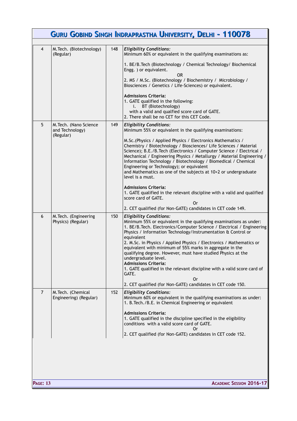|                | GURU GOBIND SINGH INDRAPRASTHA UNIVERSITY, DELHI - 110078 |     |                                                                                                                                                                                                                                                                                                                                                                                                                                                                                                                                                                                                              |  |  |
|----------------|-----------------------------------------------------------|-----|--------------------------------------------------------------------------------------------------------------------------------------------------------------------------------------------------------------------------------------------------------------------------------------------------------------------------------------------------------------------------------------------------------------------------------------------------------------------------------------------------------------------------------------------------------------------------------------------------------------|--|--|
|                |                                                           |     |                                                                                                                                                                                                                                                                                                                                                                                                                                                                                                                                                                                                              |  |  |
| $\overline{4}$ | M. Tech. (Biotechnology)<br>(Regular)                     | 148 | <b>Eligibility Conditions:</b><br>Minimum 60% or equivalent in the qualifying examinations as:                                                                                                                                                                                                                                                                                                                                                                                                                                                                                                               |  |  |
|                |                                                           |     | 1. BE/B. Tech (Biotechnology / Chemical Technology/ Biochemical<br>Engg. ) or equivalent.                                                                                                                                                                                                                                                                                                                                                                                                                                                                                                                    |  |  |
|                |                                                           |     | OR<br>2. MS / M.Sc. (Biotechnology / Biochemistry / Microbiology /<br>Biosciences / Genetics / Life-Sciences) or equivalent.                                                                                                                                                                                                                                                                                                                                                                                                                                                                                 |  |  |
|                |                                                           |     | <b>Admissions Criteria:</b><br>1. GATE qualified in the following:<br>BT (Biotechnology)<br>i.<br>with a valid and qualfied score card of GATE.<br>2. There shall be no CET for this CET Code.                                                                                                                                                                                                                                                                                                                                                                                                               |  |  |
| 5              | M. Tech. (Nano Science<br>and Technology)<br>(Regular)    | 149 | <b>Eligibility Conditions:</b><br>Minimum 55% or equivalent in the qualifying examinations:                                                                                                                                                                                                                                                                                                                                                                                                                                                                                                                  |  |  |
|                |                                                           |     | M.Sc. (Physics / Applied Physics / Electronics Mathematics /<br>Chemistry / Biotechnology / Biosciences/ Life Sciences / Material<br>Science); B.E./B.Tech (Electronics / Computer Science / Electrical /<br>Mechanical / Engineering Physics / Metallurgy / Material Engineering /<br>Information Technology / Biotechnology / Biomedical / Chemical<br>Engineering or Technology); or equivalent<br>and Mathematics as one of the subjects at 10+2 or undergraduate<br>level is a must.                                                                                                                    |  |  |
|                |                                                           |     | <b>Admissions Criteria:</b><br>1. GATE qualified in the relevant discipline with a valid and qualified<br>score card of GATE.                                                                                                                                                                                                                                                                                                                                                                                                                                                                                |  |  |
|                |                                                           |     | 0r<br>2. CET qualified (for Non-GATE) candidates in CET code 149.                                                                                                                                                                                                                                                                                                                                                                                                                                                                                                                                            |  |  |
| 6              | M. Tech. (Engineering<br>Physics) (Regular)               | 150 | <b>Eligibility Conditions:</b><br>Minimum 55% or equivalent in the qualifying examinations as under:<br>1. BE/B. Tech. Electronics/Computer Science / Electrical / Engineering<br>Physics / Information Technology/Instrumentation & Control or<br>equivalent<br>2. M.Sc. in Physics / Applied Physics / Electronics / Mathematics or<br>equivalent with minimum of 55% marks in aggregate in the<br>qualifying degree. However, must have studied Physics at the<br>undergraduate level.<br><b>Admissions Criteria:</b><br>1. GATE qualified in the relevant discipline with a valid score card of<br>GATE. |  |  |
|                |                                                           |     | 0r<br>2. CET qualified (for Non-GATE) candidates in CET code 150.                                                                                                                                                                                                                                                                                                                                                                                                                                                                                                                                            |  |  |
| $\overline{7}$ | M. Tech. (Chemical<br>Engineering) (Regular)              | 152 | <b>Eligibility Conditions:</b><br>Minimum 60% or equivalent in the qualifying examinations as under:<br>1. B. Tech. / B.E. in Chemical Engineering or equivalent                                                                                                                                                                                                                                                                                                                                                                                                                                             |  |  |
|                |                                                           |     | <b>Admissions Criteria:</b><br>1. GATE qualified in the discipline specified in the eligibility<br>conditions with a valid score card of GATE.<br>0r                                                                                                                                                                                                                                                                                                                                                                                                                                                         |  |  |
|                |                                                           |     | 2. CET qualified (for Non-GATE) candidates in CET code 152.                                                                                                                                                                                                                                                                                                                                                                                                                                                                                                                                                  |  |  |
|                |                                                           |     |                                                                                                                                                                                                                                                                                                                                                                                                                                                                                                                                                                                                              |  |  |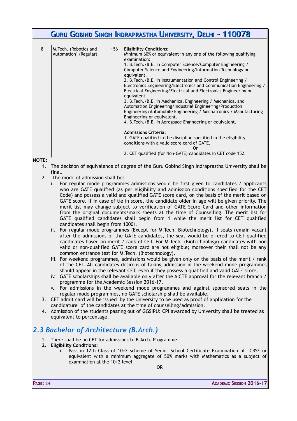|   | <b>GURU GOBIND SINGH INDRAPRASTHA UNIVERSITY, DELHI - 110078</b> |     |                                                                                                                                                                                                                                                                                                                                                                                                                                                                                                                                                                                                                                                                                                                                                                                                                                                                                                                                                 |  |  |
|---|------------------------------------------------------------------|-----|-------------------------------------------------------------------------------------------------------------------------------------------------------------------------------------------------------------------------------------------------------------------------------------------------------------------------------------------------------------------------------------------------------------------------------------------------------------------------------------------------------------------------------------------------------------------------------------------------------------------------------------------------------------------------------------------------------------------------------------------------------------------------------------------------------------------------------------------------------------------------------------------------------------------------------------------------|--|--|
|   |                                                                  |     |                                                                                                                                                                                                                                                                                                                                                                                                                                                                                                                                                                                                                                                                                                                                                                                                                                                                                                                                                 |  |  |
| 8 | M. Tech. (Robotics and<br>Automation) (Regular)                  | 156 | <b>Eligibility Conditions:</b><br>Minimum 60% or equivalent in any one of the following qualifying<br>examination:<br>1. B. Tech./B.E. in Computer Science/Computer Engineering /<br>Computer Science and Engineering/Information Technology or<br>equivalent.<br>2. B. Tech. / B.E. in instrumentation and Control Engineering /<br>Electronics Engineering/Electronics and Communication Engineering /<br>Electrical Engineering/Electrical and Electronics Engineering or<br>equivalent.<br>3. B. Tech. / B.E. in Mechanical Engineering / Mechanical and<br>Automation Engineering/Industrial Engineering/Production<br>Engineering/Automobile Engineering / Mechatronics / Manufacturing<br>Engineering or equivalent.<br>4. B. Tech./B.E. in Aerospace Engineering or equivalent.<br><b>Admissions Criteria:</b><br>1. GATE qualified in the discipline specified in the eligibility<br>conditions with a valid score card of GATE.<br>Or |  |  |
|   |                                                                  |     | 2. CET qualified (for Non-GATE) candidates in CET code 152.                                                                                                                                                                                                                                                                                                                                                                                                                                                                                                                                                                                                                                                                                                                                                                                                                                                                                     |  |  |

#### **NOTE:**

- 1. The decision of equivalence of degree of the Guru Gobind Singh Indraprastha University shall be final.
- 2. The mode of admission shall be:
	- i. For regular mode programmes admissions would be first given to candidates / applicants who are GATE qualified (as per eligibility and admission conditions specified for the CET Code) and possess a valid and qualified GATE score card, on the basis of the merit based on GATE score. If in case of tie in score, the candidate older in age will be given priority. The merit list may change subject to verification of GATE Score Card and other information from the original documents/mark sheets at the time of Counselling. The merit list for GATE qualified candidates shall begin from 1 while the merit list for CET qualified candidates shall begin from 10001.
	- ii. For regular mode programmes (Except for M.Tech. Biotechnology), if seats remain vacant after the admissions of the GATE candidates, the seat would be offered to CET qualified candidates based on merit / rank of CET. For M.Tech. (Biotechnology) candidates with non valid or non-qualified GATE score card are not eligible; moreover their shall not be any common entrance test for M.Tech. (Biotechnology).
	- iii. For weekend programmes, admissions would be given only on the basis of the merit / rank of the CET. All candidates desirous of taking admission in the weekend mode programmes should appear in the relevant CET, even if they possess a qualified and valid GATE score.
	- iv. GATE scholarships shall be available only after the AICTE approval for the relevant branch / programme for the Academic Session 2016-17.
	- v. For admissions in the weekend mode programmes and against sponsored seats in the regular mode programmes, no GATE scholarship shall be available.
- 3. CET admit card will be issued by the University to be used as proof of application for the candidature of the candidates at the time of counselling/admission.
- 4. Admission of the students passing out of GGSIPU: CPI awarded by University shall be treated as equivalent to percentage.

### <span id="page-14-0"></span>*2.3 Bachelor of Architecture (B.Arch.)*

- 1. There shall be no CET for admissions to B.Arch. Programme.
- **2. Eligibility Conditions:**
	- i. Pass in 12th Class of 10+2 scheme of Senior School Certificate Examination of CBSE or equivalent with a minimum aggregate of 50% marks with Mathematics as a subject of examination at the 10+2 level

OR

**PAGE: 14 ACADEMIC SESSION 2016-17**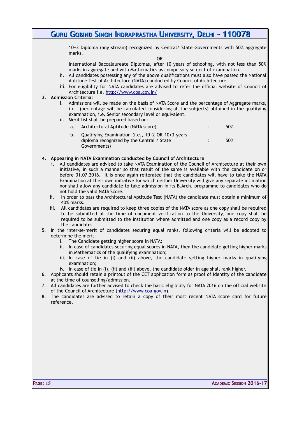10+3 Diploma (any stream) recognized by Central/ State Governments with 50% aggregate marks.

OR

International Baccalaureate Diplomas, after 10 years of schooling, with not less than 50% marks in aggregate and with Mathematics as compulsory subject of examination.

- ii. All candidates possessing any of the above qualifications must also have passed the National Aptitude Test of Architecture (NATA) conducted by Council of Architecture.
- iii. For eligibility for NATA candidates are advised to refer the official website of Council of Architecture i.e.<http://www.coa.gov.in/>

#### **3. Admission Criteria:**

- i. Admissions will be made on the basis of NATA Score and the percentage of Aggregate marks, i.e., (percentage will be calculated considering all the subjects) obtained in the qualifying examination, i.e. Senior secondary level or equivalent.
- ii. Merit list shall be prepared based on:
	- a. Architectural Aptitude (NATA score) : 50%
	- b. Qualifying Examination (i.e., 10+2 OR 10+3 years diploma recognized by the Central / State Governments) : 50%

#### **4. Appearing in NATA Examination conducted by Council of Architecture**

- i. All candidates are advised to take NATA Examination of the Council of Architecture at their own initiative, in such a manner so that result of the same is available with the candidate on or before 01.07.2016. It is once again reiterated that the candidates will have to take the NATA Examination at their own initiative for which neither University will give any separate intimation nor shall allow any candidate to take admission in its B.Arch. programme to candidates who do not hold the valid NATA Score.
- ii. In order to pass the Architectural Aptitude Test (NATA) the candidate must obtain a minimum of 40% marks.
- iii. All candidates are required to keep three copies of the NATA score as one copy shall be required to be submitted at the time of document verification to the University, one copy shall be required to be submitted to the institution where admitted and one copy as a record copy by the candidate.
- 5. In the inter-se-merit of candidates securing equal ranks, following criteria will be adopted to determine the merit:
	- i. The Candidate getting higher score in NATA;
	- ii. In case of candidates securing equal scores in NATA, then the candidate getting higher marks in Mathematics of the qualifying examination;
	- iii. In case of tie in (i) and (ii) above, the candidate getting higher marks in qualifying examination;
	- iv. In case of tie in (i), (ii) and (iii) above, the candidate older in age shall rank higher.
- 6. Applicants should retain a printout of the CET application form as proof of identity of the candidate at the time of counselling/admission.
- 7. All candidates are further advised to check the basic eligibility for NATA 2016 on the official website of the Council of Architecture [\(http://www.coa.gov.in\)](http://www.coa.gov.in/).
- 8. The candidates are advised to retain a copy of their most recent NATA score card for future reference.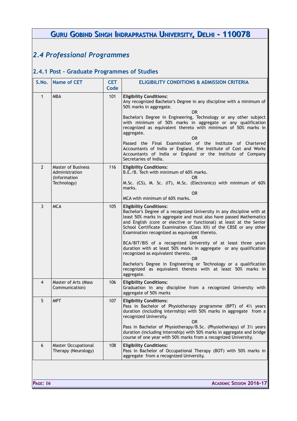# <span id="page-16-1"></span>*2.4 Professional Programmes*

# <span id="page-16-0"></span>**2.4.1 Post – Graduate Programmes of Studies**

| S.No.          | <b>Name of CET</b>                                                         | <b>CET</b><br>Code | <b>ELIGIBILITY CONDITIONS &amp; ADMISSION CRITERIA</b>                                                                                                                                                                                                                                                                                                                                                                                                                                                                                                                                                                                                                                                                   |
|----------------|----------------------------------------------------------------------------|--------------------|--------------------------------------------------------------------------------------------------------------------------------------------------------------------------------------------------------------------------------------------------------------------------------------------------------------------------------------------------------------------------------------------------------------------------------------------------------------------------------------------------------------------------------------------------------------------------------------------------------------------------------------------------------------------------------------------------------------------------|
| $\mathbf{1}$   | <b>MBA</b>                                                                 | 101                | <b>Eligibility Conditions:</b><br>Any recognized Bachelor's Degree in any discipline with a minimum of<br>50% marks in aggregate.<br><b>OR</b><br>Bachelor's Degree in Engineering, Technology or any other subject<br>with minimum of 50% marks in aggregate or any qualification<br>recognized as equivalent thereto with minimum of 50% marks in<br>aggregate.<br><b>OR</b><br>Passed the Final Examination of the Institute of Chartered<br>Accountants of India or England, the Institute of Cost and Works<br>Accountants of India or England or the Institute of Company<br>Secretaries of India.                                                                                                                 |
| $\overline{2}$ | <b>Master of Business</b><br>Administration<br>(Information<br>Technology) | 116                | <b>Eligibility Conditions:</b><br>B.E./B. Tech with minimum of 60% marks.<br>0R<br>M.Sc. (CS), M. Sc. (IT), M.Sc. (Electronics) with minimum of 60%<br>marks.<br>0R<br>MCA with minimum of 60% marks.                                                                                                                                                                                                                                                                                                                                                                                                                                                                                                                    |
| 3              | <b>MCA</b>                                                                 | 105                | <b>Eligibility Conditions:</b><br>Bachelor's Degree of a recognized University in any discipline with at<br>least 50% marks in aggregate and must also have passed Mathematics<br>and English (core or elective or functional) at least at the Senior<br>School Certificate Examination (Class XII) of the CBSE or any other<br>Examination recognized as equivalent thereto.<br>0R<br>BCA/BIT/BIS of a recognized University of at least three years<br>duration with at least 50% marks in aggregate or any qualification<br>recognized as equivalent thereto.<br>0R<br>Bachelor's Degree in Engineering or Technology or a qualification<br>recognized as equivalent thereto with at least 50% marks in<br>aggregate. |
| $\overline{4}$ | Master of Arts (Mass<br>Communication)                                     | 106                | <b>Eligibility Conditions:</b><br>Graduation in any discipline from a recognized University with<br>aggregate of 50% marks                                                                                                                                                                                                                                                                                                                                                                                                                                                                                                                                                                                               |
| 5 <sup>5</sup> | <b>MPT</b>                                                                 | 107                | <b>Eligibility Conditions:</b><br>Pass in Bachelor of Physiotherapy programme (BPT) of $4\frac{1}{2}$ years<br>duration (including internship) with 50% marks in aggregate from a<br>recognized University.<br><b>OR</b><br>Pass in Bachelor of Physiotherapy/B.Sc. (Physiotherapy) of 31/2 years<br>duration (including internship) with 50% marks in aggregate and bridge<br>course of one year with 50% marks from a recognized University.                                                                                                                                                                                                                                                                           |
| 6              | <b>Master Occupational</b><br>Therapy (Neurology)                          | 108                | <b>Eligibility Conditions:</b><br>Pass in Bachelor of Occupational Therapy (BOT) with 50% marks in<br>aggregate from a recognized University.                                                                                                                                                                                                                                                                                                                                                                                                                                                                                                                                                                            |
|                |                                                                            |                    |                                                                                                                                                                                                                                                                                                                                                                                                                                                                                                                                                                                                                                                                                                                          |

**PAGE: 16 ACADEMIC SESSION 2016-17**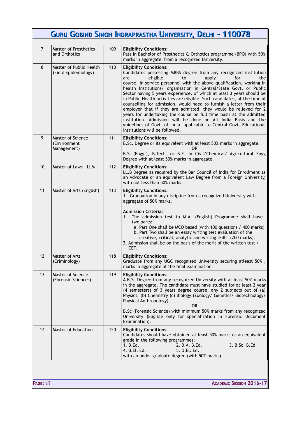| $\overline{7}$ | <b>Master of Prosthetics</b>                     | 109 |                                                                                                                                                                                                                                                                                                                                                                                                                                                                                                                                                                                                                                                                                                                                                                                                                                                          |
|----------------|--------------------------------------------------|-----|----------------------------------------------------------------------------------------------------------------------------------------------------------------------------------------------------------------------------------------------------------------------------------------------------------------------------------------------------------------------------------------------------------------------------------------------------------------------------------------------------------------------------------------------------------------------------------------------------------------------------------------------------------------------------------------------------------------------------------------------------------------------------------------------------------------------------------------------------------|
|                |                                                  |     |                                                                                                                                                                                                                                                                                                                                                                                                                                                                                                                                                                                                                                                                                                                                                                                                                                                          |
|                | and Orthotics                                    |     | <b>Eligibility Conditions:</b><br>Pass in Bachelor of Prosthetics & Orthotics programme (BPO) with 50%<br>marks in aggregate from a recognized University.                                                                                                                                                                                                                                                                                                                                                                                                                                                                                                                                                                                                                                                                                               |
| 8              | Master of Public Health<br>(Field Epidemiology)  | 110 | <b>Eligibility Conditions:</b><br>Candidates possessing MBBS degree from any recognized institution<br>eligible<br>apply<br>for<br>the<br>are<br>to<br>course. In-service personnel with the above qualification, working in<br>health Institutions/ organisation in Central/State Govt. or Public<br>Sector having 5 years experience, of which at least 3 years should be<br>in Public Health activities are eligible. Such candidates, at the time of<br>counselling for admission, would need to furnish a letter from their<br>employer that if they are admitted, they would be relieved for 2<br>years for undertaking the course on full time basis at the admitted<br>institution. Admission will be done on All India Basis and the<br>guidelines of Govt. of India, applicable to Central Govt. Educational<br>Institutions will be followed. |
| 9              | Master of Science<br>(Environment<br>Management) | 111 | <b>Eligibility Conditions:</b><br>B.Sc. Degree or its equivalent with at least 50% marks in aggregate.<br>0R<br>B.Sc.(Engg.), B.Tech. or B.E. in Civil/Chemical/ Agricultural Engg<br>Degree with at least 50% marks in aggregate.                                                                                                                                                                                                                                                                                                                                                                                                                                                                                                                                                                                                                       |
| 10             | Master of Laws - LLM                             | 112 | <b>Eligibility Conditions:</b><br>LL.B Degree as required by the Bar Council of India for Enrollment as<br>an Advocate or an equivalent Law Degree from a Foreign University,<br>with not less than 50% marks.                                                                                                                                                                                                                                                                                                                                                                                                                                                                                                                                                                                                                                           |
| 11             | Master of Arts (English)                         | 113 | <b>Eligibility Conditions:</b><br>1. Graduation in any discipline from a recognized University with<br>aggregate of 50% marks.<br><b>Admission Criteria:</b><br>1. The admission test to M.A. (English) Programme shall have<br>two parts:<br>a. Part One shall be MCQ based (with 100 questions / 400 marks)<br>b. Part Two shall be an essay writing test evaluation of the<br>creative, critical, analytic and writing skills (200 marks).<br>2. Admission shall be on the basis of the merit of the written test /<br>CET.                                                                                                                                                                                                                                                                                                                           |
| 12             | Master of Arts<br>(Criminology)                  | 118 | <b>Eligibility Conditions:</b><br>Graduate from any UGC recognised University securing atleast 50%,<br>marks in aggregate at the final examination.                                                                                                                                                                                                                                                                                                                                                                                                                                                                                                                                                                                                                                                                                                      |
| 13             | Master of Science<br>(Forensic Sciences)         | 119 | <b>Eligibility Conditions:</b><br>A B.Sc Degree from any recognized University with at least 50% marks<br>in the aggregate. The candidate must have studied for at least 2 year<br>(4 semesters) of 3 years degree course, any 2 subjects out of (a)<br>Physics, (b) Chemistry (c) Biology (Zoology/ Genetics/ Biotechnology/<br>Physical Anthropology).<br>0R.<br>B.Sc (Forensic Science) with minimum 50% marks from any recognized<br>University (Eligible only for specialization in Forensic Document<br>Examination).                                                                                                                                                                                                                                                                                                                              |
| 14             | Master of Education                              | 120 | <b>Eligibility Conditions:</b><br>Candidates should have obtained at least 50% marks or an equivalent<br>grade in the following programmes:<br>1. B.Ed.<br>3. B.Sc. B.Ed.<br>2. B.A. B.Ed.<br>4. B.El. Ed.<br>5. D.El. Ed.<br>with an under graduate degree (with 50% marks)                                                                                                                                                                                                                                                                                                                                                                                                                                                                                                                                                                             |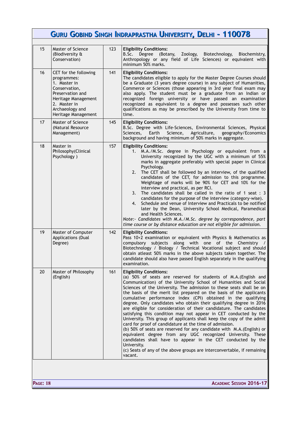|    | <b>GURU GOBIND SINGH INDRAPRASTHA UNIVERSITY, DELHI - 110078</b>                                                                                                           |     |                                                                                                                                                                                                                                                                                                                                                                                                                                                                                                                                                                                                                                                                                                                                                                                                                                                                                                                                                                                                                                                         |  |  |
|----|----------------------------------------------------------------------------------------------------------------------------------------------------------------------------|-----|---------------------------------------------------------------------------------------------------------------------------------------------------------------------------------------------------------------------------------------------------------------------------------------------------------------------------------------------------------------------------------------------------------------------------------------------------------------------------------------------------------------------------------------------------------------------------------------------------------------------------------------------------------------------------------------------------------------------------------------------------------------------------------------------------------------------------------------------------------------------------------------------------------------------------------------------------------------------------------------------------------------------------------------------------------|--|--|
| 15 | Master of Science<br>(Biodiversity &<br>Conservation)                                                                                                                      | 123 | <b>Eligibility Conditions:</b><br>Degree (Botany, Zoology,<br>B.Sc.<br>Biotechnology,<br>Biochemistry,<br>Anthropology or any field of Life Sciences) or equivalent with<br>minimum 50% marks.                                                                                                                                                                                                                                                                                                                                                                                                                                                                                                                                                                                                                                                                                                                                                                                                                                                          |  |  |
| 16 | CET for the following<br>programmes:<br>1. Master in<br>Conservation,<br>Preservation and<br>Heritage Management<br>2. Master in<br>Archaeology and<br>Heritage Management | 141 | <b>Eligibility Conditions:</b><br>The candidates eligible to apply for the Master Degree Courses should<br>be a Graduate (3 years degree course) in any subject of Humanities,<br>Commerce or Sciences (those appearing in 3rd year final exam may<br>also apply. The student must be a graduate from an Indian or<br>recognized foreign university or have passed an examination<br>recognized as equivalent to a degree and possesses such other<br>qualifications as may be prescribed by the University from time to<br>time.                                                                                                                                                                                                                                                                                                                                                                                                                                                                                                                       |  |  |
| 17 | Master of Science<br>(Natural Resource<br>Management)                                                                                                                      | 145 | <b>Eligibility Conditions:</b><br>B.Sc. Degree with Life-Sciences, Environmental Sciences, Physical<br>Agriculture,<br>Sciences.<br>Earth<br>Science,<br>geography/Economics<br>background and having minimum of 50% marks in aggregate.                                                                                                                                                                                                                                                                                                                                                                                                                                                                                                                                                                                                                                                                                                                                                                                                                |  |  |
| 18 | Master in<br>Philosophy(Clinical<br>Psychology)                                                                                                                            | 157 | <b>Eligibility Conditions:</b><br>1. M.A./M.Sc. degree in Psychology or equivalent from a<br>University recognized by the UGC with a minimum of 55%<br>marks in aggregate preferably with special paper in Clinical<br>Psychology.<br>The CET shall be followed by an interview, of the qualified<br>2.<br>candidates of the CET, for admission to this programme.<br>Weightage of marks will be 90% for CET and 10% for the<br>interview and practical, as per RCI.<br>The candidates shall be called in the ratio of 1 seat : 3<br>3.<br>candidates for the purpose of the interview (category-wise).<br>4. Schedule and venue of Interview and Practicals to be notified<br>later by the Dean, University School Medical, Paramedical<br>and Health Sciences.<br>Note:- Candidates with M.A./M.Sc. degree by correspondence, part<br>time course or by distance education are not eligible for admission.                                                                                                                                            |  |  |
| 19 | Master of Computer<br>Applications (Dual<br>Degree)                                                                                                                        | 142 | <b>Eligibility Conditions:</b><br>Pass 10+2 examination or equivalent with Physics & Mathematics as<br>compulsory subjects along with one of the Chemistry /<br>Biotechnology / Biology / Technical Vocational subject and should<br>obtain atleast 50% marks in the above subjects taken together. The<br>candidate should also have passed English separately in the qualifying<br>examination.                                                                                                                                                                                                                                                                                                                                                                                                                                                                                                                                                                                                                                                       |  |  |
| 20 | Master of Philosophy<br>(English)                                                                                                                                          | 161 | <b>Eligibility Conditions:</b><br>(a) 50% of seats are reserved for students of M.A. (English and<br>Communication) of the University School of Humanities and Social<br>Sciences of the University. The admission to these seats shall be on<br>the basis of the merit list prepared on the basis of the applicants<br>cumulative performance index (CPI) obtained in the qualifying<br>degree. Only candidates who obtain their qualifying degree in 2016<br>are eligible for consideration of their candidature. The candidates<br>satisfying this condition may not appear in CET conducted by the<br>University. This group of applicants shall keep the copy of the admit<br>card for proof of candidature at the time of admission.<br>(b) 50% of seats are reserved for any candidate with M.A. (English) or<br>equivalent degree from any UGC recognized University. These<br>candidates shall have to appear in the CET conducted by the<br>University.<br>(c) Seats of any of the above groups are interconvertable, if remaining<br>vacant. |  |  |

**PAGE: 18 ACADEMIC SESSION 2016-17**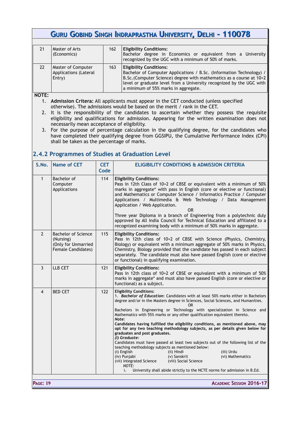| 21 | Master of Arts<br>(Economics)                         | 162 | <b>Eligibility Conditions:</b><br>Bachelor degree in Economics or equivalent from a University<br>recognized by the UGC with a minimum of 50% of marks.                                                                                                                                        |
|----|-------------------------------------------------------|-----|------------------------------------------------------------------------------------------------------------------------------------------------------------------------------------------------------------------------------------------------------------------------------------------------|
| 22 | Master of Computer<br>Applications (Lateral<br>Entry) | 163 | <b>Eligibility Conditions:</b><br>Bachelor of Computer Applications / B.Sc. (Information Technology) /<br>B.Sc. (Computer Science) degree with mathematics as a course at 10+2<br>level or graduate level from a University recognized by the UGC with<br>a minimum of 55% marks in aggregate. |

**NOTE:**

- 1. **Admission Critera:** All applicants must appear in the CET conducted (unless specified otherwise). The admissions would be based on the merit / rank in the CET.
- 2. It is the responsibility of the candidates to ascertain whether they possess the requisite eligibility and qualifications for admission. Appearing for the written examination does not necessarily mean acceptance of eligibility.
- 3. For the purpose of percentage calculation in the qualifying degree, for the candidates who have completed their qualifying degree from GGSIPU, the Cumulative Performance Index (CPI) shall be taken as the percentage of marks.

### <span id="page-19-0"></span>**2.4.2 Programmes of Studies at Graduation Level**

| S.No.          | <b>Name of CET</b>                                                                          | <b>CET</b><br>Code | <b>ELIGIBILITY CONDITIONS &amp; ADMISSION CRITERIA</b>                                                                                                                                                                                                                                                                                                                                                                                                                                                                                                                                                                                                                                                                                                                                                                                                                                                                                                                                            |
|----------------|---------------------------------------------------------------------------------------------|--------------------|---------------------------------------------------------------------------------------------------------------------------------------------------------------------------------------------------------------------------------------------------------------------------------------------------------------------------------------------------------------------------------------------------------------------------------------------------------------------------------------------------------------------------------------------------------------------------------------------------------------------------------------------------------------------------------------------------------------------------------------------------------------------------------------------------------------------------------------------------------------------------------------------------------------------------------------------------------------------------------------------------|
| $\mathbf{1}$   | Bachelor of<br>Computer<br>Applications                                                     | 114                | <b>Eligibility Conditions:</b><br>Pass in 12th Class of 10+2 of CBSE or equivalent with a minimum of 50%<br>marks in aggregate* with pass in English (core or elective or functional)<br>and Mathematics or Computer Science / Informatics Practice / Computer<br>Applications / Multimedia & Web Technology / Data Management<br>Application / Web Application.<br><b>OR</b><br>Three year Diploma in a branch of Engineering from a polytechnic duly<br>approved by All India Council for Technical Education and affiliated to a<br>recognized examining body with a minimum of 50% marks in aggregate.                                                                                                                                                                                                                                                                                                                                                                                        |
| $\overline{2}$ | <b>Bachelor of Science</b><br>(Nursing)<br>(Only for Unmarried<br><b>Female Candidates)</b> | 115                | <b>Eligibility Conditions:</b><br>Pass in 12th class of 10+2 of CBSE with Science (Physics, Chemistry,<br>Biology) or equivalent with a minimum aggregate of 50% marks in Physics,<br>Chemistry, Biology provided that the candidate has passed in each subject<br>separately. The candidate must also have passed English (core or elective<br>or functional) in qualifying examination.                                                                                                                                                                                                                                                                                                                                                                                                                                                                                                                                                                                                         |
| 3              | LLB CET                                                                                     | 121                | <b>Eligibility Conditions:</b><br>Pass in 12th class of 10+2 of CBSE or equivalent with a minimum of 50%<br>marks in aggregate* and must also have passed English (core or elective or<br>functional) as a subject.                                                                                                                                                                                                                                                                                                                                                                                                                                                                                                                                                                                                                                                                                                                                                                               |
| 4              | <b>BED CET</b>                                                                              | 122                | <b>Eligibility Conditions:</b><br>1. Bachelor of Education: Candidates with at least 50% marks either in Bachelors<br>degree and/or in the Masters degree in Sciences, Social Sciences, and Humanities.<br>OR.<br>Bachelors in Engineering or Technology with specialization in Science and<br>Mathematics with 55% marks or any other qualification equivalent thereto.<br>Note:<br>Candidates having fulfilled the eligibility conditions, as mentioned above, may<br>opt for any two teaching methodology subjects, as per details given below for<br>graduates and post graduates.<br>(I) Graduate:<br>Candidates must have passed at least two subjects out of the following list of the<br>teaching methodology subjects as mentioned below:<br>(i) English<br>(iii) Urdu<br>(ii) Hindi<br>(iv) Punjabi<br>(v) Sanskrit<br>(vi) Mathematics<br>(vii) Integrated Science<br>(viii) Social Science<br>NOTE:<br>University shall abide strictly to the NCTE norms for admission in B.Ed.<br>i. |

**PAGE: 19 ACADEMIC SESSION 2016-17**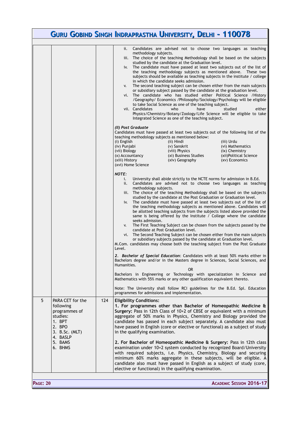|                 |                                                                                                                                    |     | GURU GOBIND SINGH INDRAPRASTHA UNIVERSITY, DELHI - 110078                                                                                                                                                                                                                                                                                                                                                                                                                                                                                                                                                                                                                                                                                                                                                                                                                                                                                                                                                                                                                                                                                                                                                                                                                                                                                                                                                                                                                                                                                                                                                                                                                                                                                                                                                                                                                                                                                                                                                                                                                                                                                                                                                                                                                                                                                                                                                                                                                                                                                                                                                                                                                                                                                                                                                                     |
|-----------------|------------------------------------------------------------------------------------------------------------------------------------|-----|-------------------------------------------------------------------------------------------------------------------------------------------------------------------------------------------------------------------------------------------------------------------------------------------------------------------------------------------------------------------------------------------------------------------------------------------------------------------------------------------------------------------------------------------------------------------------------------------------------------------------------------------------------------------------------------------------------------------------------------------------------------------------------------------------------------------------------------------------------------------------------------------------------------------------------------------------------------------------------------------------------------------------------------------------------------------------------------------------------------------------------------------------------------------------------------------------------------------------------------------------------------------------------------------------------------------------------------------------------------------------------------------------------------------------------------------------------------------------------------------------------------------------------------------------------------------------------------------------------------------------------------------------------------------------------------------------------------------------------------------------------------------------------------------------------------------------------------------------------------------------------------------------------------------------------------------------------------------------------------------------------------------------------------------------------------------------------------------------------------------------------------------------------------------------------------------------------------------------------------------------------------------------------------------------------------------------------------------------------------------------------------------------------------------------------------------------------------------------------------------------------------------------------------------------------------------------------------------------------------------------------------------------------------------------------------------------------------------------------------------------------------------------------------------------------------------------------|
|                 |                                                                                                                                    |     |                                                                                                                                                                                                                                                                                                                                                                                                                                                                                                                                                                                                                                                                                                                                                                                                                                                                                                                                                                                                                                                                                                                                                                                                                                                                                                                                                                                                                                                                                                                                                                                                                                                                                                                                                                                                                                                                                                                                                                                                                                                                                                                                                                                                                                                                                                                                                                                                                                                                                                                                                                                                                                                                                                                                                                                                                               |
|                 |                                                                                                                                    |     | Candidates are advised not to choose two languages as teaching<br>ii.<br>methodology subjects.<br>iii. The choice of the teaching Methodology shall be based on the subjects<br>studied by the candidate at the Graduation level.<br>The candidate must have passed at least two subjects out of the list of<br>iv.<br>the teaching methodology subjects as mentioned above. These two<br>subjects should be available as teaching subjects in the institute / college<br>in which the candidate seeks admission.<br>The second teaching subject can be chosen either from the main subjects<br>V.<br>or subsidiary subject passed by the candidate at the graduation level.<br>The candidate who has studied either Political Science / History<br>vi.<br>/Geography/ Economics /Philosophy/Sociology/Psychology will be eligible<br>to take Social Science as one of the teaching subject.<br>vii. Candidates<br>have<br>who<br>studied<br>either<br>Physics/Chemistry/Botany/Zoology/Life Science will be eligible to take<br>Integrated Science as one of the teaching subject.<br>(II) Post Graduate<br>Candidates must have passed at least two subjects out of the following list of the<br>teaching methodology subjects as mentioned below:<br>(i) English<br>(ii) Hindi<br>(iii) Urdu<br>(iv) Punjabi<br>(v) Sanskrit<br>(vi) Mathematics<br>(vii) Biology<br>(viii) Physics<br>(ix) Chemistry<br>(xi) Business Studies<br>(xii)Political Science<br>(x) Accountancy<br>(xiii) History<br>(xiv) Geography<br>(xv) Economics<br>(xvi) Home Science<br><b>NOTE:</b><br>University shall abide strictly to the NCTE norms for admission in B.Ed.<br>i.<br>Candidates are advised not to choose two languages as teaching<br>ii.<br>methodology subjects.<br>The choice of the teaching Methodology shall be based on the subjects<br>iii.<br>studied by the candidate at the Post Graduation or Graduation level.<br>The candidate must have passed at least two subjects out of the list of<br>iv.<br>the teaching methodology subjects as mentioned above. Candidates will<br>be allotted teaching subjects from the subjects listed above provided the<br>same is being offered by the Institute / College where the candidate<br>seeks admission.<br>The First Teaching Subject can be chosen from the subjects passed by the<br>V.<br>candidate at Post Graduation level.<br>The Second Teaching Subject can be chosen either from the main subjects<br>vi.<br>or subsidiary subjects passed by the candidate at Graduation level.<br>M.Com. candidates may choose both the teaching subject from the Post Graduate<br>Level.<br>2. Bachelor of Special Education: Candidates with at least 50% marks either in<br>Bachelors degree and/or in the Masters degree in Sciences, Social Sciences, and<br>Humanities. |
|                 |                                                                                                                                    |     | OR<br>Bachelors in Engineering or Technology with specialization in Science and<br>Mathematics with 55% marks or any other qualification equivalent thereto.                                                                                                                                                                                                                                                                                                                                                                                                                                                                                                                                                                                                                                                                                                                                                                                                                                                                                                                                                                                                                                                                                                                                                                                                                                                                                                                                                                                                                                                                                                                                                                                                                                                                                                                                                                                                                                                                                                                                                                                                                                                                                                                                                                                                                                                                                                                                                                                                                                                                                                                                                                                                                                                                  |
|                 |                                                                                                                                    |     | Note: The University shall follow RCI guidelines for the B.Ed. Spl. Education<br>programmes for admissions and implementation.                                                                                                                                                                                                                                                                                                                                                                                                                                                                                                                                                                                                                                                                                                                                                                                                                                                                                                                                                                                                                                                                                                                                                                                                                                                                                                                                                                                                                                                                                                                                                                                                                                                                                                                                                                                                                                                                                                                                                                                                                                                                                                                                                                                                                                                                                                                                                                                                                                                                                                                                                                                                                                                                                                |
| 5               | PARA CET for the<br>following<br>programmes of<br>studies:<br>1. BPT<br>2. BPO<br>3. B.Sc. (MLT)<br>4. BASLP<br>5. BAMS<br>6. BHMS | 124 | <b>Eligibility Conditions:</b><br>1. For programmes other than Bachelor of Homeopathic Medicine &<br>Surgery: Pass in 12th Class of 10+2 of CBSE or equivalent with a minimum<br>aggregate of 50% marks in Physics, Chemistry and Biology provided the<br>candidate has passed in each subject separately. A candidate also must<br>have passed in English (core or elective or functional) as a subject of study<br>in the qualifying examination.<br>2. For Bachelor of Homeopathic Medicine & Surgery: Pass in 12th class<br>examination under 10+2 system conducted by recognized Board/University<br>with required subjects, i.e. Physics, Chemistry, Biology and securing<br>minimum 60% marks aggregate in these subjects, will be eligible. A<br>candidate also must have passed in English as a subject of study (core,<br>elective or functional) in the qualifying examination.                                                                                                                                                                                                                                                                                                                                                                                                                                                                                                                                                                                                                                                                                                                                                                                                                                                                                                                                                                                                                                                                                                                                                                                                                                                                                                                                                                                                                                                                                                                                                                                                                                                                                                                                                                                                                                                                                                                                    |
| <b>PAGE: 20</b> |                                                                                                                                    |     | <b>ACADEMIC SESSION 2016-17</b>                                                                                                                                                                                                                                                                                                                                                                                                                                                                                                                                                                                                                                                                                                                                                                                                                                                                                                                                                                                                                                                                                                                                                                                                                                                                                                                                                                                                                                                                                                                                                                                                                                                                                                                                                                                                                                                                                                                                                                                                                                                                                                                                                                                                                                                                                                                                                                                                                                                                                                                                                                                                                                                                                                                                                                                               |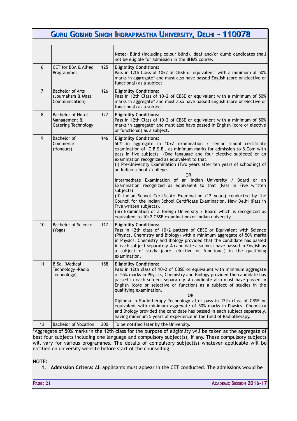|                |                                                                 |     | GURU GOBIND SINGH INDRAPRASTHA UNIVERSITY, DELHI - 110078                                                                                                                                                                                                                                                                                                                                                                                                                                                                                                                                                                                                                                                                                                                                                                                                                                                |
|----------------|-----------------------------------------------------------------|-----|----------------------------------------------------------------------------------------------------------------------------------------------------------------------------------------------------------------------------------------------------------------------------------------------------------------------------------------------------------------------------------------------------------------------------------------------------------------------------------------------------------------------------------------------------------------------------------------------------------------------------------------------------------------------------------------------------------------------------------------------------------------------------------------------------------------------------------------------------------------------------------------------------------|
|                |                                                                 |     |                                                                                                                                                                                                                                                                                                                                                                                                                                                                                                                                                                                                                                                                                                                                                                                                                                                                                                          |
|                |                                                                 |     | Note: Blind (including colour blind), deaf and/or dumb candidates shall<br>not be eligible for admission in the BHMS course.                                                                                                                                                                                                                                                                                                                                                                                                                                                                                                                                                                                                                                                                                                                                                                             |
| 6              | CET for BBA & Allied<br>Programmes                              | 125 | <b>Eligibility Conditions:</b><br>Pass in 12th Class of 10+2 of CBSE or equivalent with a minimum of 50%<br>marks in aggregate* and must also have passed English (core or elective or<br>functional) as a subject.                                                                                                                                                                                                                                                                                                                                                                                                                                                                                                                                                                                                                                                                                      |
| $\overline{7}$ | <b>Bachelor of Arts</b><br>(Journalism & Mass<br>Communication) | 126 | <b>Eligibility Conditions:</b><br>Pass in 12th Class of 10+2 of CBSE or equivalent with a minimum of 50%<br>marks in aggregate* and must also have passed English (core or elective or<br>functional) as a subject.                                                                                                                                                                                                                                                                                                                                                                                                                                                                                                                                                                                                                                                                                      |
| 8              | Bachelor of Hotel<br>Management &<br><b>Catering Technology</b> | 127 | <b>Eligibility Conditions:</b><br>Pass in 12th Class of 10+2 of CBSE or equivalent with a minimum of 50%<br>marks in aggregate* and must also have passed in English (core or elective<br>or functional) as a subject.                                                                                                                                                                                                                                                                                                                                                                                                                                                                                                                                                                                                                                                                                   |
| 9              | Bachelor of<br>Commerce<br>(Honours)                            | 146 | <b>Eligibility Conditions:</b><br>50% in aggregate in 10+2 examination / senior school certificate<br>examination of C.B.S.E. as minimum marks for admission to B.Com with<br>pass in five subjects (One language and four elective subjects) or an<br>examination recognized as equivalent to that.<br>(i) Pre-University Examination (Two years after ten years of schooling) of<br>an Indian school / college.<br>0R.<br>Intermediate Examination of an Indian University / Board or an<br>Examination recognized as equivalent to that (Pass in Five written<br>subjects)<br>(ii) Indian School Certificate Examination (12 years) conducted by the<br>Council for the Indian School Certificate Examination, New Delhi (Pass in<br>Five written subjects).<br>(iii) Examination of a foreign University / Board which is recognized as<br>equivalent to 10+2 CBSE examination/or Indian university. |
| 10             | <b>Bachelor of Science</b><br>(Yoga)                            | 117 | <b>Eligibility Conditions:</b><br>Pass in 12th class of 10+2 pattern of CBSE or Equivalent with Science<br>(Physics, Chemistry and Biology) with a minimum aggregate of 50% marks<br>in Physics, Chemistry and Biology provided that the candidate has passed<br>in each subject separately. A candidate also must have passed in English as<br>a subject of study (core, elective or functional) in the qualifying<br>examination.                                                                                                                                                                                                                                                                                                                                                                                                                                                                      |
| 11             | B.Sc. (Medical<br>Technology - Radio<br>Technology)             | 158 | <b>Eligibility Conditions:</b><br>Pass in 12th class of 10+2 of CBSE or equivalent with minimum aggregate<br>of 55% marks in Physics, Chemistry and Biology provided the candidate has<br>passed in each subject separately. A candidate also must have passed in<br>English (core or selective or function) as a subject of studies in the<br>qualifying examination.<br><b>OR</b><br>Diploma in Radiotherapy Technology after pass in 12th class of CBSE or<br>equivalent with minimum aggregate of 50% marks in Physics, Chemistry<br>and Biology provided the candidate has passed in each subject separately,                                                                                                                                                                                                                                                                                       |
| 12             | <b>Bachelor of Vocation</b>                                     | 200 | having minimum 5 years of experience in the field of Radiotherapy.<br>To be notified later by the University.                                                                                                                                                                                                                                                                                                                                                                                                                                                                                                                                                                                                                                                                                                                                                                                            |

\*Aggregate of 50% marks in the 12th class for the purpose of eligibility will be taken as the aggregate of best four subjects including one language and compulsory subject(s), if any. These compulsory subjects will vary for various programmes. The details of compulsory subject(s) whatever applicable will be notified on university website before start of the counselling.

**NOTE:** 

1. **Admission Critera:** All applicants must appear in the CET conducted. The admissions would be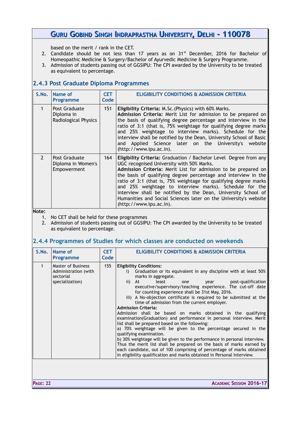based on the merit / rank in the CET.

- 2. Candidate should be not less than 17 years as on  $31<sup>st</sup>$  December, 2016 for Bachelor of Homeopathic Medicine & Surgery/Bachelor of Ayurvedic Medicine & Surgery Programme.
- 3. Admission of students passing out of GGSIPU: The CPI awarded by the University to be treated as equivalent to percentage.

### <span id="page-22-1"></span>**2.4.3 Post Graduate Diploma Programmes**

| S.No.          | Name of<br><b>Programme</b>                         | <b>CET</b><br>Code | <b>ELIGIBILITY CONDITIONS &amp; ADMISSION CRITERIA</b>                                                                                                                                                                                                                                                                                                                                                                                                                                                                                            |
|----------------|-----------------------------------------------------|--------------------|---------------------------------------------------------------------------------------------------------------------------------------------------------------------------------------------------------------------------------------------------------------------------------------------------------------------------------------------------------------------------------------------------------------------------------------------------------------------------------------------------------------------------------------------------|
| 1              | Post Graduate<br>Diploma in<br>Radiological Physics | 151                | Eligibility Criteria: M.Sc. (Physics) with 60% Marks.<br>Admission Criteria: Merit List for admission to be prepared on<br>the basis of qualifying degree percentage and interview in the<br>ratio of 3:1 (that is, 75% weightage for qualifying degree marks<br>and 25% weightage to interview marks). Schedule for the<br>interview shall be notified by the Dean, University School of Basic<br>and Applied Science later on the University's website<br>(http://www.ipu.ac.in).                                                               |
| $\overline{2}$ | Post Graduate<br>Diploma in Women's<br>Empowerment  | 164                | Eligibility Criteria: Graduation / Bachelor Level Degree from any<br>UGC recognised University with 50% Marks.<br>Admission Criteria: Merit List for admission to be prepared on<br>the basis of qualifying degree percentage and interview in the<br>ratio of 3:1 (that is, 75% weightage for qualifying degree marks<br>and 25% weightage to interview marks). Schedule for the<br>interview shall be notified by the Dean, University School of<br>Humanities and Social Sciences later on the University's website<br>(http://www.ipu.ac.in). |

**Note:** 

1. No CET shall be held for these programmes

2. Admission of students passing out of GGSIPU: The CPI awarded by the University to be treated as equivalent to percentage.

### <span id="page-22-0"></span>**2.4.4 Programmes of Studies for which classes are conducted on weekends**

| S.No. | Name of<br>Programme                                                              | <b>CET</b><br>Code | <b>ELIGIBILITY CONDITIONS &amp; ADMISSION CRITERIA</b>                                                                                                                                                                                                                                                                                                                                                                                                                                                                                                                                                                                                                                                                                                                                                                                                                                                                                                                                                                                                                       |  |  |  |  |
|-------|-----------------------------------------------------------------------------------|--------------------|------------------------------------------------------------------------------------------------------------------------------------------------------------------------------------------------------------------------------------------------------------------------------------------------------------------------------------------------------------------------------------------------------------------------------------------------------------------------------------------------------------------------------------------------------------------------------------------------------------------------------------------------------------------------------------------------------------------------------------------------------------------------------------------------------------------------------------------------------------------------------------------------------------------------------------------------------------------------------------------------------------------------------------------------------------------------------|--|--|--|--|
| 1     | <b>Master of Business</b><br>Administration (with<br>sectorial<br>specialization) | 155                | <b>Eligibility Conditions:</b><br>Graduation or its equivalent in any discipline with at least 50%<br>i)<br>marks in aggregate.<br>post-qualification<br>least<br>At<br>$\mathbf{ii}$<br>year<br>one<br>executive/supervisory/teaching experience. The cut-off date<br>for counting experience shall be 31st May, 2016.<br>iii) A No-objection certificate is required to be submitted at the<br>time of admission from the current employer.<br><b>Admission Criteria:</b><br>Admission shall be based on marks obtained in the qualifying<br>examination (Graduation) and performance in personal interview. Merit<br>list shall be prepared based on the following:<br>a) 70% weightage will be given to the percentage secured in the<br>qualifying examination.<br>b) 30% weightage will be given to the performance in personal Interview.<br>Thus the merit list shall be prepared on the basis of marks earned by<br>each candidate, out of 100 comprising of percentage of marks obtained<br>in eligibility qualification and marks obtained in Personal Interview. |  |  |  |  |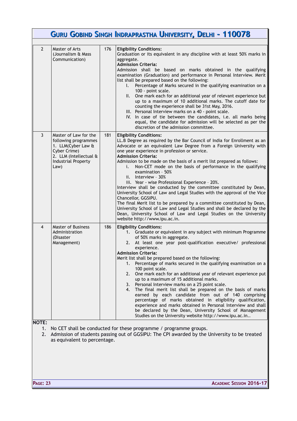|                          |                                                                                                                                              |     | GURU GOBIND SINGH INDRAPRASTHA UNIVERSITY, DELHI - 110078                                                                                                                                                                                                                                                                                                                                                                                                                                                                                                                                                                                                                                                                                                                                                                                                                                                                                                     |
|--------------------------|----------------------------------------------------------------------------------------------------------------------------------------------|-----|---------------------------------------------------------------------------------------------------------------------------------------------------------------------------------------------------------------------------------------------------------------------------------------------------------------------------------------------------------------------------------------------------------------------------------------------------------------------------------------------------------------------------------------------------------------------------------------------------------------------------------------------------------------------------------------------------------------------------------------------------------------------------------------------------------------------------------------------------------------------------------------------------------------------------------------------------------------|
| $\overline{2}$           | Master of Arts<br>(Journalism & Mass<br>Communication)                                                                                       | 176 | <b>Eligibility Conditions:</b><br>Graduation or its equivalent in any discipline with at least 50% marks in<br>aggregate.<br><b>Admission Criteria:</b><br>Admission shall be based on marks obtained in the qualifying<br>examination (Graduation) and performance in Personal Interview. Merit<br>list shall be prepared based on the following:<br>Percentage of Marks secured in the qualifying examination on a<br>L.<br>100 - point scale.<br>II. One mark each for an additional year of relevant experience but<br>up to a maximum of 10 additional marks. The cutoff date for<br>counting the experience shall be 31st May, 2016.<br>III. Personal Interview marks on a 40 - point scale.<br>IV. In case of tie between the candidates, i.e. all marks being<br>equal, the candidate for admission will be selected as per the<br>discretion of the admission committee.                                                                             |
| 3                        | Master of Law for the<br>following programmes<br>1. LLM(Cyber Law &<br>Cyber Crime)<br>2. LLM (Intellectual &<br>Industrial Property<br>Law) | 181 | <b>Eligibility Conditions:</b><br>LL.B Degree as required by the Bar Council of India for Enrollment as an<br>Advocate or an equivalent Law Degree from a Foreign University with<br>one year experience in profession or service.<br><b>Admission Criteria:</b><br>Admission to be made on the basis of a merit list prepared as follows:<br>Non-CET mode on the basis of performance in the qualifying<br>i.<br>examination - 50%<br>ii. Interview $-30\%$<br>iii. Year - wise Professional Experience - 20%.<br>Interview shall be conducted by the committee constituted by Dean,<br>University School of Law and Legal Studies with the approval of the Vice<br>Chancellor, GGSIPU.<br>The final Merit list to be prepared by a committee constituted by Dean,<br>University School of Law and Legal Studies and shall be declared by the<br>Dean, University School of Law and Legal Studies on the University<br>website http://www.ipu.ac.in.         |
| 4                        | <b>Master of Business</b><br>Administration<br>(Disaster<br>Management)                                                                      | 186 | <b>Eligibility Conditions:</b><br>1. Graduate or equivalent in any subject with minimum Programme<br>of 50% marks in aggregate.<br>2. At least one year post-qualification executive/ professional<br>experience.<br><b>Admission Criteria:</b><br>Merit list shall be prepared based on the following:<br>Percentage of marks secured in the qualifying examination on a<br>1.<br>100 point scale.<br>One mark each for an additional year of relevant experience put<br>2.<br>up to a maximum of 15 additional marks.<br>3. Personal Interview marks on a 25 point scale.<br>The final merit list shall be prepared on the basis of marks<br>4.<br>earned by each candidate from out of 140 comprising<br>percentage of marks obtained in eligibility qualification,<br>experience and marks obtained in Personal Interview and shall<br>be declared by the Dean, University School of Management<br>Studies on the University website http://www.ipu.ac.in |
| <b>NOTE:</b><br>1.<br>2. | as equivalent to percentage.                                                                                                                 |     | No CET shall be conducted for these programme / programme groups.<br>Admission of students passing out of GGSIPU: The CPI awarded by the University to be treated                                                                                                                                                                                                                                                                                                                                                                                                                                                                                                                                                                                                                                                                                                                                                                                             |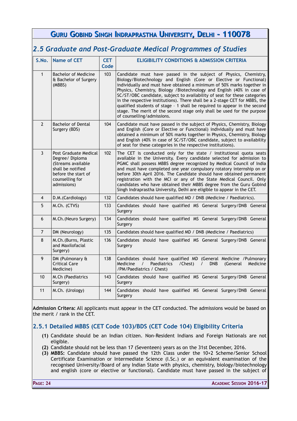<span id="page-24-1"></span>

|                                                              |                                                                                                                                             |                    | GURU GOBIND SINGH INDRAPRASTHA UNIVERSITY, DELHI - 110078                                                                                                                                                                                                                                                                                                                                                                                                                                                                                                                                                                                    |  |  |  |
|--------------------------------------------------------------|---------------------------------------------------------------------------------------------------------------------------------------------|--------------------|----------------------------------------------------------------------------------------------------------------------------------------------------------------------------------------------------------------------------------------------------------------------------------------------------------------------------------------------------------------------------------------------------------------------------------------------------------------------------------------------------------------------------------------------------------------------------------------------------------------------------------------------|--|--|--|
| 2.5 Graduate and Post-Graduate Medical Programmes of Studies |                                                                                                                                             |                    |                                                                                                                                                                                                                                                                                                                                                                                                                                                                                                                                                                                                                                              |  |  |  |
| S.No.                                                        | <b>Name of CET</b>                                                                                                                          | <b>CET</b><br>Code | <b>ELIGIBILITY CONDITIONS &amp; ADMISSION CRITERIA</b>                                                                                                                                                                                                                                                                                                                                                                                                                                                                                                                                                                                       |  |  |  |
| $\mathbf{1}$                                                 | <b>Bachelor of Medicine</b><br>& Bachelor of Surgery<br>(MBBS)                                                                              | 103                | Candidate must have passed in the subject of Physics, Chemistry,<br>Biology/Biotechnology and English (Core or Elective or Functional)<br>individually and must have obtained a minimum of 50% marks together in<br>Physics, Chemistry, Biology /Biotechnology and English (40% in case of<br>SC/ST/OBC candidate, subject to availability of seat for these categories<br>in the respective institutions). There shall be a 2-stage CET for MBBS, the<br>qualified students of stage - 1 shall be required to appear in the second<br>stage. The merit of the second stage only shall be used for the purpose<br>of counselling/admissions. |  |  |  |
| $\overline{2}$                                               | <b>Bachelor of Dental</b><br>Surgery (BDS)                                                                                                  | 104                | Candidate must have passed in the subject of Physics, Chemistry, Biology<br>and English (Core or Elective or Functional) individually and must have<br>obtained a minimum of 50% marks together in Physics, Chemistry, Biology<br>and English (40% in case of SC/ST/OBC candidate, subject to availability<br>of seat for these categories in the respective institutions).                                                                                                                                                                                                                                                                  |  |  |  |
| $\mathbf{3}$                                                 | Post Graduate Medical<br>Degree/Diploma<br>(Streams available<br>shall be notified<br>before the start of<br>counselling for<br>admissions) | 102                | The CET is conducted only for the state / institutional quota seats<br>available in the University. Every candidate selected for admission to<br>PGMC shall possess MBBS degree recognized by Medical Council of India<br>and must have completed one year compulsory rotatory internship on or<br>before 30th April 2016. The Candidate should have obtained permanent<br>registration with the MCI or any of the State Medical Council. Only<br>candidates who have obtained their MBBS degree from the Guru Gobind<br>Singh Indraprastha University, Delhi are eligible to appear in the CET.                                             |  |  |  |
| $\overline{4}$                                               | D.M. (Cardiology)                                                                                                                           | 132                | Candidates should have qualified MD / DNB (Medicine / Paediatrics).                                                                                                                                                                                                                                                                                                                                                                                                                                                                                                                                                                          |  |  |  |
| 5                                                            | M.Ch. (CTVS)                                                                                                                                | 133                | Candidates should have qualified MS General Surgery/DNB General<br>Surgery                                                                                                                                                                                                                                                                                                                                                                                                                                                                                                                                                                   |  |  |  |
| 6                                                            | M.Ch. (Neuro Surgery)                                                                                                                       | 134                | Candidates should have qualified MS General Surgery/DNB General<br>Surgery                                                                                                                                                                                                                                                                                                                                                                                                                                                                                                                                                                   |  |  |  |
| $\overline{7}$                                               | DM (Neurology)                                                                                                                              | 135                | Candidates should have qualified MD / DNB (Medicine / Paediatrics)                                                                                                                                                                                                                                                                                                                                                                                                                                                                                                                                                                           |  |  |  |
| 8                                                            | M.Ch. (Burns, Plastic<br>and Maxilofacial<br>Surgery)                                                                                       | 136                | Candidates should have qualified MS General Surgery/DNB General<br>Surgery                                                                                                                                                                                                                                                                                                                                                                                                                                                                                                                                                                   |  |  |  |
| 9                                                            | DM (Pulmonary &<br><b>Critical Care</b><br>Medicine)                                                                                        | 138                | Candidates should have qualified MD (General Medicine /Pulmonary<br>Medicine<br>Paediatrics<br>/Chest)<br><b>DNB</b><br>(General<br>Medicine<br>/PM/Paediatrics / Chest)                                                                                                                                                                                                                                                                                                                                                                                                                                                                     |  |  |  |
| 10                                                           | M.Ch (Paediatrics<br>Surgery)                                                                                                               | 143                | Candidates should have qualified MS General Surgery/DNB General<br>Surgery                                                                                                                                                                                                                                                                                                                                                                                                                                                                                                                                                                   |  |  |  |
| 11                                                           | M.Ch. (Urology)                                                                                                                             | 144                | Candidates should have qualified MS General Surgery/DNB General<br>Surgery                                                                                                                                                                                                                                                                                                                                                                                                                                                                                                                                                                   |  |  |  |

**Admission Critera:** All applicants must appear in the CET conducted. The admissions would be based on the merit / rank in the CET.

### <span id="page-24-0"></span>**2.5.1 Detailed MBBS (CET Code 103)/BDS (CET Code 104) Eligibility Criteria**

- **(1)** Candidate should be an Indian citizen. Non-Resident Indians and Foreign Nationals are not eligible.
- **(2)** Candidate should not be less than 17 (Seventeen) years as on the 31st December, 2016.
- **(3) MBBS:** Candidate should have passed the 12th Class under the 10+2 Scheme/Senior School Certificate Examination or Intermediate Science (I.Sc.) or an equivalent examination of the recognised University/Board of any Indian State with physics, chemistry, biology/biotechnology and english (core or elective or functional). Candidate must have passed in the subject of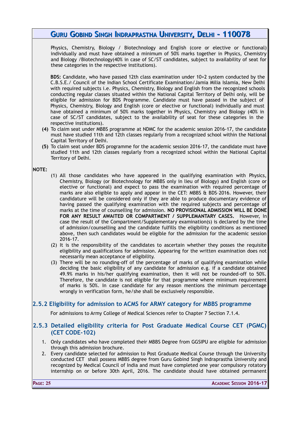Physics, Chemistry, Biology / Biotechnology and English (core or elective or functional) individually and must have obtained a minimum of 50% marks together in Physics, Chemistry and Biology /Biotechnology(40% in case of SC/ST candidates, subject to availability of seat for these categories in the respective institutions).

**BDS:** Candidate, who have passed 12th class examination under 10+2 system conducted by the C.B.S.E./ Council of the Indian School Certificate Examination/Jamia Milia Islamia, New Delhi with required subjects i.e. Physics, Chemistry, Biology and English from the recognized schools conducting regular classes situated within the National Capital Territory of Delhi only, will be eligible for admission for BDS Programme. Candidate must have passed in the subject of Physics, Chemistry, Biology and English (core or elective or functional) individually and must have obtained a minimum of 50% marks together in Physics, Chemistry and Biology (40% in case of SC/ST candidates, subject to the availability of seat for these categories in the respective institutions).

- **(4)** To claim seat under MBBS programme at NDMC for the academic session 2016-17, the candidate must have studied 11th and 12th classes regularly from a recognized school within the National Capital Territory of Delhi.
- **(5)** To claim seat under BDS programme for the academic session 2016-17, the candidate must have studied 11th and 12th classes regularly from a recognized school within the National Capital Territory of Delhi.

**NOTE:**

- (1) All those candidates who have appeared in the qualifying examination with Physics, Chemistry, Biology (or Biotechnology for MBBS only in lieu of Biology) and English (core or elective or functional) and expect to pass the examination with required percentage of marks are also eligible to apply and appear in the CET: MBBS & BDS-2016. However, their candidature will be considered only if they are able to produce documentary evidence of having passed the qualifying examination with the required subjects and percentage of marks at the time of counselling for admission. **NO PROVISIONAL ADMISSION WILL BE DONE FOR ANY RESULT AWAITED OR COMPARTMENT / SUPPLEMANTARY CASES.** However, In case the result of the Compartment/Supplementary examination(s) is declared by the time of admission/counselling and the candidate fulfills the eligibility conditions as mentioned above, then such candidates would be eligible for the admission for the academic session 2016-17.
- (2) It is the responsibility of the candidates to ascertain whether they posses the requisite eligibility and qualifications for admission. Appearing for the written examination does not necessarily mean acceptance of eligibility.
- (3) There will be no rounding-off of the percentage of marks of qualifying examination while deciding the basic eligibility of any candidate for admission e.g. if a candidate obtained 49.9% marks in his/her qualifying examination, then it will not be rounded-off to 50%. Therefore, the candidate is not eligible for that programme where minimum requirement of marks is 50%. In case candidate for any reason mentions the minimum percentage wrongly in verification form, he/she shall be exclusively responsible.

### <span id="page-25-1"></span>**2.5.2 Eligibility for admission to ACMS for ARMY category for MBBS programme**

For admissions to Army College of Medical Sciences refer to Chapter 7 Section 7.1.4.

#### <span id="page-25-0"></span>**2.5.3 Detailed eligibility criteria for Post Graduate Medical Course CET (PGMC) (CET CODE-102)**

- 1. Only candidates who have completed their MBBS Degree from GGSIPU are eligible for admission through this admission brochure.
- 2. Every candidate selected for admission to Post Graduate Medical Course through the University conducted CET shall possess MBBS degree from Guru Gobind Singh Indraprastha University and recognized by Medical Council of India and must have completed one year compulsory rotatory internship on or before 30th April, 2016. The candidate should have obtained permanent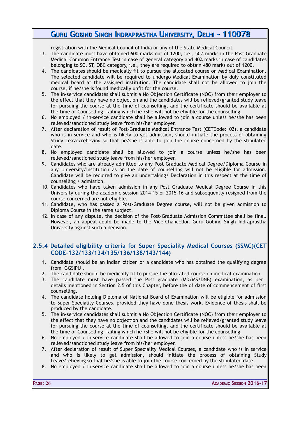registration with the Medical Council of India or any of the State Medical Council.

- 3. The candidate must have obtained 600 marks out of 1200, i.e., 50% marks in the Post Graduate Medical Common Entrance Test in case of general category and 40% marks in case of candidates belonging to SC, ST, OBC category, i.e., they are required to obtain 480 marks out of 1200.
- 4. The candidates should be medically fit to pursue the allocated course on Medical Examination. The selected candidate will be required to undergo Medical Examination by duly constituted medical board at the assigned institution. The candidate shall not be allowed to join the course, if he/she is found medically unfit for the course.
- 5. The in-service candidates shall submit a No Objection Certificate (NOC) from their employer to the effect that they have no objection and the candidates will be relieved/granted study leave for pursuing the course at the time of counselling, and the certificate should be available at the time of Counselling, failing which he /she will not be eligible for the counselling.
- 6. No employed / in-service candidate shall be allowed to join a course unless he/she has been relieved/sanctioned study leave from his/her employer.
- 7. After declaration of result of Post-Graduate Medical Entrance Test (CETCode:102), a candidate who is in service and who is likely to get admission, should initiate the process of obtaining Study Leave/relieving so that he/she is able to join the course concerned by the stipulated date.
- 8. No employed candidate shall be allowed to join a course unless he/she has been relieved/sanctioned study leave from his/her employer.
- 9. Candidates who are already admitted to any Post Graduate Medical Degree/Diploma Course in any University/Institution as on the date of counselling will not be eligible for admission. Candidate will be required to give an undertaking/ Declaration in this respect at the time of counselling / admission.
- 10. Candidates who have taken admission in any Post Graduate Medical Degree Course in this University during the academic session 2014-15 or 2015-16 and subsequently resigned from the course concerned are not eligible.
- 11. Candidate, who has passed a Post-Graduate Degree course, will not be given admission to Diploma Course in the same subject.
- 12. In case of any dispute, the decision of the Post-Graduate Admission Committee shall be final. However, an appeal could be made to the Vice-Chancellor, Guru Gobind Singh Indraprastha University against such a decision.

### <span id="page-26-0"></span>**2.5.4 Detailed eligibility criteria for Super Speciality Medical Courses (SSMC)(CET CODE-132/133/134/135/136/138/143/144)**

- 1. Candidate should be an Indian citizen or a candidate who has obtained the qualifying degree from GGSIPU .
- 2. The candidate should be medically fit to pursue the allocated course on medical examination.
- 3. The candidate must have passed the Post graduate (MD/MS/DNB) examination, as per details mentioned in Section 2.5 of this Chapter, before the of date of commencement of first counselling.
- 4. The candidate holding Diploma of National Board of Examination will be eligible for admission to Super Speciality Courses, provided they have done thesis work. Evidence of thesis shall be produced by the candidate.
- 5. The in-service candidates shall submit a No Objection Certificate (NOC) from their employer to the effect that they have no objection and the candidates will be relieved/granted study leave for pursuing the course at the time of counselling, and the certificate should be available at the time of Counselling, failing which he /she will not be eligible for the counselling.
- 6. No employed / in-service candidate shall be allowed to join a course unless he/she has been relieved/sanctioned study leave from his/her employer.
- 7. After declaration of result of Super Speciality Medical Courses, a candidate who is in service and who is likely to get admission, should initiate the process of obtaining Study Leave/relieving so that he/she is able to join the course concerned by the stipulated date.
- 8. No employed / in-service candidate shall be allowed to join a course unless he/she has been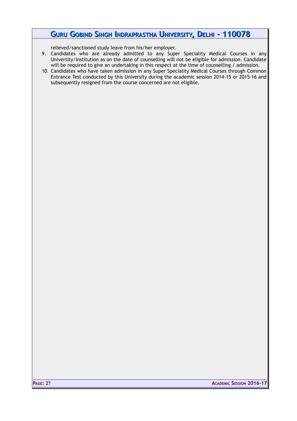relieved/sanctioned study leave from his/her employer.

- 9. Candidates who are already admitted to any Super Speciality Medical Courses in any University/Institution as on the date of counselling will not be eligible for admission. Candidate will be required to give an undertaking in this respect at the time of counselling / admission.
- 10. Candidates who have taken admission in any Super Speciality Medical Courses through Common Entrance Test conducted by this University during the academic session 2014-15 or 2015-16 and subsequently resigned from the course concerned are not eligible.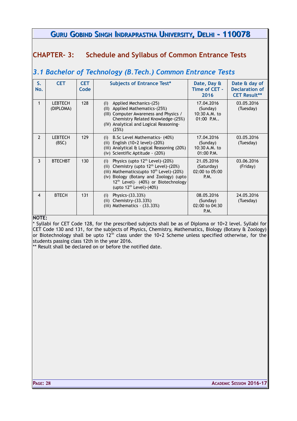### <span id="page-28-1"></span>**CHAPTER- 3: Schedule and Syllabus of Common Entrance Tests**

# <span id="page-28-0"></span>*3.1 Bachelor of Technology (B.Tech.) Common Entrance Tests*

| S.<br>No.      | <b>CET</b>                  | <b>CET</b><br>Code | <b>Subjects of Entrance Test*</b>                                                                                                                                                                                                                                                             | Date, Day &<br>Time of CET -<br>2016                    | Date & day of<br><b>Declaration of</b><br><b>CET Result**</b> |
|----------------|-----------------------------|--------------------|-----------------------------------------------------------------------------------------------------------------------------------------------------------------------------------------------------------------------------------------------------------------------------------------------|---------------------------------------------------------|---------------------------------------------------------------|
| 1              | <b>LEBTECH</b><br>(DIPLOMA) | 128                | Applied Mechanics-(25)<br>(1)<br>Applied Mathematics-(25%)<br>(11)<br>(III) Computer Awareness and Physics /<br>Chemistry Related Knowledge-(25%)<br>(IV) Analytical and Logical Reasoning-<br>(25%)                                                                                          | 17.04.2016<br>(Sunday)<br>10:30 A.M. to<br>$01:00$ P.M  | 03.05.2016<br>(Tuesday)                                       |
| $\overline{2}$ | <b>LEBTECH</b><br>(BSC)     | 129                | B.Sc Level Mathematics- (40%)<br>(i)<br>English (10+2 level)-(20%)<br>(ii)<br>(iii) Analytical & Logical Reasoning (20%)<br>(iv) Scientific Aptitude - (20%)                                                                                                                                  | 17.04.2016<br>(Sunday)<br>10:30 A.M. to<br>$01:00$ P.M. | 03.05.2016<br>(Tuesday)                                       |
| 3              | <b>BTECHBT</b>              | 130                | Physics (upto 12 <sup>th</sup> Level)-(20%)<br>(i)<br>Chemistry (upto 12 <sup>th</sup> Level)-(20%)<br>(ii)<br>(iii) Mathematics (upto $10^{th}$ Level) - (20%)<br>(iv) Biology (Botany and Zoology) (upto<br>12 <sup>th</sup> Level)- (40%) or Biotechnology<br>(upto $12^{th}$ Level)-(40%) | 21.05.2016<br>(Saturday)<br>02:00 to 05:00<br>P.M.      | 03.06.2016<br>(Friday)                                        |
| $\overline{4}$ | <b>BTECH</b>                | 131                | Physics-(33.33%)<br>(i)<br>Chemistry-(33.33%)<br>(ii)<br>(iii) Mathematics - $(33.33%)$                                                                                                                                                                                                       | 08.05.2016<br>(Sunday)<br>02:00 to 04:30<br>P.M.        | 24.05.2016<br>(Tuesday)                                       |

#### **NOTE:**

\* Syllabi for CET Code 128, for the prescribed subjects shall be as of Diploma or 10+2 level. Syllabi for CET Code 130 and 131, for the subjects of Physics, Chemistry, Mathematics, Biology (Botany & Zoology) or Biotechnology shall be upto  $12^{th}$  class under the 10+2 Scheme unless specified otherwise, for the students passing class 12th in the year 2016.

\*\* Result shall be declared on or before the notified date.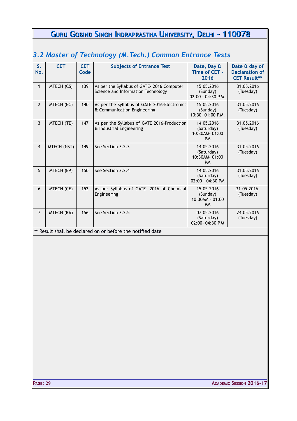<span id="page-29-0"></span>

| S.<br>No.      | <b>CET</b>  | <b>CET</b><br>Code | <b>Subjects of Entrance Test</b>                                                 | Date, Day &<br>Time of CET -<br>2016                   | Date & day of<br><b>Declaration of</b><br><b>CET Result**</b> |
|----------------|-------------|--------------------|----------------------------------------------------------------------------------|--------------------------------------------------------|---------------------------------------------------------------|
| $\mathbf{1}$   | MTECH (CS)  | 139                | As per the Syllabus of GATE- 2016 Computer<br>Science and Information Technology | 15.05.2016<br>(Sunday)<br>02:00 - 04:30 P.M.           | 31.05.2016<br>(Tuesday)                                       |
| $\overline{2}$ | MTECH (EC)  | 140                | As per the Syllabus of GATE 2016-Electronics<br>& Communication Engineering      | 15.05.2016<br>(Sunday)<br>10:30-01:00 P.M.             | 31.05.2016<br>(Tuesday)                                       |
| 3              | MTECH (TE)  | 147                | As per the Syllabus of GATE 2016-Production<br>& Industrial Engineering          | 14.05.2016<br>(Saturday)<br>10:30AM-01:00<br><b>PM</b> | 31.05.2016<br>(Tuesday)                                       |
| $\overline{4}$ | MTECH (NST) | 149                | See Section 3.2.3                                                                | 14.05.2016<br>(Saturday)<br>10:30AM-01:00<br><b>PM</b> | 31.05.2016<br>(Tuesday)                                       |
| 5              | MTECH (EP)  | 150                | See Section 3.2.4                                                                | 14.05.2016<br>(Saturday)<br>$02:00 - 04:30$ PM         | 31.05.2016<br>(Tuesday)                                       |
| 6              | MTECH (CE)  | 152                | As per Syllabus of GATE- 2016 of Chemical<br>Engineering                         | 15.05.2016<br>(Sunday)<br>10:30AM - 01:00<br><b>PM</b> | 31.05.2016<br>(Tuesday)                                       |
| $\overline{7}$ | MTECH (RA)  | 156                | See Section 3.2.5                                                                | 07.05.2016<br>(Saturday)<br>02:00-04:30 P.M            | 24.05.2016<br>(Tuesday)                                       |
|                |             |                    | ** Result shall be declared on or before the notified date                       |                                                        |                                                               |
|                |             |                    |                                                                                  |                                                        |                                                               |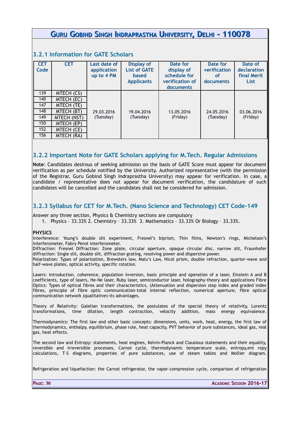#### <span id="page-30-2"></span>**3.2.1 Information for GATE Scholars**

| <b>CET</b> | <b>CET</b>  | Last date of | <b>Display of</b>   | Date for        | Date for     | Date of     |
|------------|-------------|--------------|---------------------|-----------------|--------------|-------------|
| Code       |             | application  | <b>List of GATE</b> | display of      | verification | declaration |
|            |             | up to 4 PM   | <b>based</b>        | schedule for    | <b>of</b>    | final Merit |
|            |             |              | <b>Applicants</b>   | verification of | documents    | List        |
|            |             |              |                     | documents       |              |             |
| 139        | MTECH (CS)  |              |                     |                 |              |             |
| 140        | MTECH (EC)  |              |                     |                 |              |             |
| 147        | MTECH (TE)  |              |                     |                 |              |             |
| 148        | MTECH (BT)  | 29.03.2016   | 19.04.2016          | 13.05.2016      | 24.05.2016   | 03.06.2016  |
| 149        | MTECH (NST) | (Tuesday)    | (Tuesday)           | (Friday)        | (Tuesday)    | (Friday)    |
| 150        | MTECH (EP)  |              |                     |                 |              |             |
| 152        | MTECH (CE)  |              |                     |                 |              |             |
| 156        | MTECH (RA)  |              |                     |                 |              |             |

### <span id="page-30-1"></span>**3.2.2 Important Note for GATE Scholars applying for M.Tech. Regular Admissions**

**Note**: Candidates desirous of seeking admission on the basis of GATE Score must appear for document verification as per schedule notified by the University. Authorized representative (with the permission of the Registrar, Guru Gobind Singh Indraprastha University) may appear for verification. In case, a candidate / representative does not appear for document verification, the candidature of such candidates will be cancelled and the candidates shall not be considered for admission.

### <span id="page-30-0"></span>**3.2.3 Syllabus for CET for M.Tech. (Nano Science and Technology) CET Code-149**

Answer any three section, Physics & Chemistry sections are compulsory

1. Physics – 33.33% 2. Chemistry – 33.33% 3. Mathematics – 33.33% Or Biology – 33.33%.

#### **PHYSICS**

Interference: Young's double slit experiment, Fresnel's biprism, Thin films, Newton's rings, Michelson's interferometer, Fabry Perot interferometer.

Diffraction: Fresnel Diffraction: Zone plate, circular aperture, opaque circular disc, narrow slit, Fraunhofer diffraction: Single slit, double slit, diffraction grating, resolving power and dispersive power.

Polarization: Types of polarization, Brewsters law, Malu's Law, Nicol prism, double refraction, quarter-wave and half-wave plates, optical activity, specific rotation.

Lasers: Introduction, coherence, population inversion, basic principle and operation of a laser, Einstein A and B coefficients, type of lasers, He-Ne laser, Ruby laser, semiconductor laser, holography-theory and applications Fibre Optics: Types of optical fibres and their characteristics, (Attenuation and dispersion step index and graded index fibres, principle of fibre optic communication-total internal reflection, numerical aperture, fibre optical communication network (qualitative)-its advantages.

Theory of Relativity: Galelian transformations, the postulates of the special theory of relativity, Lorentz transformations, time dilation, length contraction, velocity addition, mass energy equivalence.

Thermodynamics: The first law and other basic concepts: dimensions, units, work, heat, energy, the first law of thermodynamics, enthalpy, equilibrium, phase rule, heat capacity, PVT behavior of pure substances, ideal gas, real gas, heat effects.

The second law and Entropy: statements, heat engines, Kelvin-Planck and Clausious statements and their equality, reversible and irreversible processes, Carnot cycle, thermodynamic temperature scale, entropy,ent ropy calculations, T-S diagrams, properties of pure substances, use of steam tables and Mollier diagram.

Refrigeration and liquefaction: the Carnot refrigerator, the vapor–compression cycle, comparison of refrigeration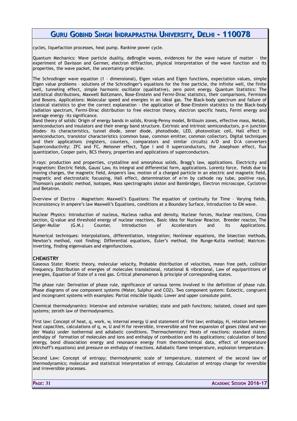cycles, liquefaction processes, heat pump. Rankine power cycle.

Quantum Mechanics: Wave particle duality, deBroglie waves, evidences for the wave nature of matter – the experiment of Davisson and Germer, electron diffraction, physical interpretation of the wave function and its properties, the wave packet, the uncertainty principle.

The Schrodinger wave equation (1 – dimensional), Eigen values and Eigen functions, expectation values, simple Eigen value problems – solutions of the Schrodinger's equations for the free particle, the infinite well, the finite well, tunneling effect, simple harmonic oscillator (qualitative), zero point energy. Quantum Statistics: The statistical distributions, Maxwell Boltzmann, Bose-Einstein and Fermi-Dirac statistics, their comparisons, Fermions and Bosons. Applications: Molecular speed and energies in an ideal gas. The Black-body spectrum and failure of classical statistics to give the correct explanation - the application of Bose-Einstein statistics to the Black-body radiation spectrum, Fermi-Dirac distribution to free electron theory, electron specific heats, Fermi energy and average energy -its significance.

Band theory of solids: Origin of energy bands in solids, Kronig-Penny model, Brillouin zones, effective mass, Metals, semiconductors and insulators and their energy band structure. Extrinsic and intrinsic semiconductors, p-n junction diodes- its characteristics, tunnel diode, zener diode, photodiode, LED, photovoltaic cell, Hall effect in semiconductors, transistor characteristics (common base, common emitter, common collector). Digital techniques and their applications (registers, counters, comparators and similar circuits) A/D and D/A converters Superconductivity: ZFC and FC, Meissner effect, Type I and II superconductors, the Josephson effect, flux quantization, Cooper pairs, BCS theory, properties and applications of superconductors.

X-rays: production and properties, crystalline and amorphous solids, Bragg's law, applications. Electricity and magnetism: Electric fields, Gauss' Law, its integral and differential form, applications. Lorentz force, fields due to moving charges, the magnetic field, Ampere's law, motion of a charged particle in an electric and magnetic field, magnetic and electrostatic focussing, Hall effect, determination of e/m by cathode ray tube, positive rays, Thomson's parabolic method, Isotopes, Mass spectrographs (Aston and Bainbridge), Electron microscope, Cyclotron and Betatron.

Overview of Electro – Magnetism: Maxwell's Equations: The equation of continuity for Time – Varying fields, Inconsistency in ampere's law Maxwell's Equations, conditions at a Boundary Surface, Introduction to EM wave.

Nuclear Physics: Introduction of nucleus, Nucleus radius and density, Nuclear forces, Nuclear reactions, Cross section, Q-value and threshold energy of nuclear reactions, Basic Idea for Nuclear Reactor, Breeder reactor, The<br>Geiger-Mullar (G.M.) Counter, Introduction of Accelerators and its Applications. Geiger-Mullar (G.M.) Counter, Introduction of Accelerators and its Applications.

Numerical techniques: Interpolations, differentiation, integration; Nonlinear equations, the bisection methods, Newton's method, root finding; Differential equations, Euler's method, the Runge-Kutta method; Matricesinverting, finding eigenvalues and eigenfunctions.

#### **CHEMISTRY**

Gaseous State: Kinetic theory, molecular velocity, Probable distribution of velocities, mean free path, collision frequency. Distribution of energies of molecules translational, rotational & vibrational, Law of equipartitions of energies, Equation of State of a real gas. Critical phenomenon & principle of corresponding states.

The phase rule: Derivation of phase rule, significance of various terms involved in the definition of phase rule. Phase diagrams of one component systems (Water, Sulphur and CO2). Two component system: Eutectic, congruent and incongruent systems with examples: Partial miscible liquids: Lower and upper consolute point.

Chemical thermodynamics: Intensive and extensive variables; state and path functions; isolated, closed and open systems; zeroth law of thermodynamics.

First law: Concept of heat, q, work, w, internal energy U and statement of first law; enthalpy, H, relation between heat capacities, calculations of q, w, U and H for reversible, irreversible and free expansion of gases (ideal and van der Waals) under isothermal and adiabatic conditions. Thermochemistry: Heats of reactions: standard states; enthalpy of formation of molecules and ions and enthalpy of combustion and its applications; calculation of bond energy, bond dissociation energy and resonance energy from thermochemical data, effect of temperature (Kirchoff's equations) and pressure on enthalpy of reactions. Adiabatic flame temperature, explosion temperature.

Second Law: Concept of entropy; thermodynamic scale of temperature, statement of the second law of thermodynamics; molecular and statistical interpretation of entropy. Calculation of entropy change for reversible and irreversible processes.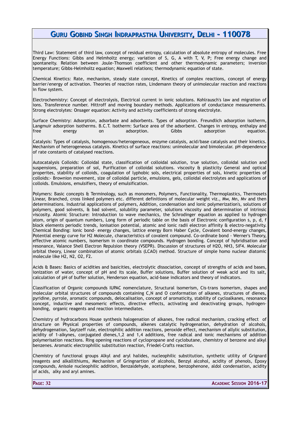Third Law: Statement of third law, concept of residual entropy, calculation of absolute entropy of molecules. Free Energy Functions: Gibbs and Helmholtz energy; variation of S, G, A with T, V, P; Free energy change and spontaneity. Relation between Joule-Thomson coefficient and other thermodynamic parameters; inversion temperature; Gibbs-Helmholtz equation; Maxwell relations; thermodynamic equation of state.

Chemical Kinetics: Rate, mechanism, steady state concept, Kinetics of complex reactions, concept of energy barrier/energy of activation. Theories of reaction rates, Lindemann theory of unimolecular reaction and reactions in flow system.

Electrochemistry: Concept of electrolysis, Electrical current in ionic solutions. Kohlrausch's law and migration of ions. Transference number. Hittroff and moving boundary methods. Applications of conductance measurements. Strong electrolytes: Onsager equation: Activity and activity coefficients of strong electrolyte.

Surface Chemistry: Adsorption, adsorbate and adsorbents. Types of adsorption. Freundlich adsorption isotherm, Langmuir adsorption isotherms. B.C.T. Isotherm: Surface area of the adsorbent. Changes in entropy, enthalpy and<br>free denergy on adsorption. Gibbs adsorption equation. free energy on adsorption. Gibbs adsorption equation.

Catalysis: Types of catalysis, homogenous/heterogeneous, enzyme catalysis, acid/base catalysis and their kinetics. Mechanism of heterogeneous catalysis. Kinetics of surface reactions: unimolecular and bimolecular. pH-dependence of rate constants of catalysed reactions.

Autocatalysis Colloids: Colloidal state, classification of colloidal solution, true solution, colloidal solution and suspensions, preparation of sol, Purification of colloidal solutions. viscosity & plasticity General and optical properites, stability of colloids, coagulation of lyphobic sols, electrical properties of sols, kinetic properties of colloids:- Brownion movement, size of colloidal particle, emulsions, gels, colloidal electrolytes and applications of colloids. Emulsions, emulsifiers, theory of emulsification.

Polymers: Basic concepts & Terminology, such as monomers, Polymers, Functionality, Thermoplastics, Thermosets Linear, Branched, cross linked polymers etc. different definitions of molecular weight viz., Mw, Mn, Mv and then determinations. Industrial applications of polymers, Addition, condensation and Ionic polymerization's, solutions of polymers, good solvents, & bad solvent, solubility parameter, solutions viscosity and determination of intrinsic viscosity. Atomic Structure: Introduction to wave mechanics, the Schrodinger equation as applied to hydrogen atom, origin of quantum numbers, Long form of periodic table on the basis of Electronic configuration s, p, d, f block elements periodic trends, Ionisation potential, atomic and ionic radii electron affinity & electro-negativity. Chemical Bonding: Ionic bond- energy changes, lattice energy Born Haber Cycle, Covalent bond-energy changes, Potential energy curve for H2 Molecule, characteristics of covalent compound. Co-ordinate bond - Werner's Theory, effective atomic numbers, isomerism in coordinate compounds. Hydrogen bonding. Concept of hybridisation and resonance, Valance Shell Electron Repulsion theory (VSEPR). Discussion of structures of H2O, NH3, SiF4. Molecular orbital theory, Linear combination of atomic orbitals (LCAO) method. Structure of simple homo nuclear diatomic molecule like H2, N2, O2, F2.

Acids & Bases: Basics of acidities and basicities, electrolytic dissociation, concept of strengths of acids and bases, ionization of water, concept of pH and its scale, Buffer solutions, Buffer solution of weak acid and its salt, calculation of pH of buffer solution, Henderson equation, acid-base indicators and theory of indicators.

Classification of Organic compounds IUPAC nomenclature, Structural isomerism, Cis-trans isomerism, shapes and molecular orbital structures of compounds containing C,N and O conformation of alkanes, structures of dienes, pyridine, pyrrole, aromatic compounds, delocalisation, concept of aromaticity, stability of cycloalkanes, resonance concept, inductive and mesomeric effects, directive effects, activating and deactivating groups, hydrogenbonding, organic reagents and reaction intermediates.

Chemistry of hydrocarbons House synthesis halogenation of alkanes, free radical mechanism, cracking effect of structure on Physical properties of compounds, alkenes catalytic hydrogenation, dehydration of alcohols, dehydrogenation, Saytzeff rule, electrophilic addition reactions, peroxide effect, mechanism of allylic substitution, acidity of 1-alkynes, conjugated dienes,1,2 and 1,4 additions, free radical and ionic mechanisms of addition polymerisation reactions. Ring opening reactions of cyclopropane and cyclobutane, chemistry of benzene and alkyl benzenes. Aromatic electrophillic substitution reaction, Friedel-Crafts reaction.

Chemistry of functional groups Alkyl and aryl halides, nucleophilic substitution, synthetic utility of Grignard reagents and alkallithiums, Mechanism of Gringnartion of alcohols, Benzyl alcohol, acidity of phenols, Epoxy compounds, Anisole nucleophilic addition, Benzaldehyde, acetophene, benzophenone, aldol condensation, acidity of acids, alky and aryl amines.

**PAGE: 32 ACADEMIC SESSION 2016-17**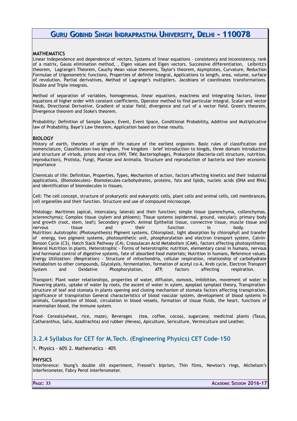#### **MATHEMATICS**

Linear Independence and dependence of vectors, Systems of linear equations – consistency and inconsistency, rank of a matrix, Gauss elimination method, , Eigen values and Eigen vectors. Successive differentiation, Leibnitz's theorem, Lagrange's Theorem, Cauchy Mean value theorems, Taylor's theorem, Asymptotes, Curvature, Reduction Formulae of trigonometric functions, Properties of definite Integral, Applications to length, area, volume, surface of revolution. Partial derivatives, Method of Lagrange's multipliers. Jacobians of coordinates transformations. Double and Triple integrals.

Method of separation of variables, homogeneous, linear equations, exactness and integrating factors, linear equations of higher order with constant coefficients, Operator method to find particular integral. Scalar and vector fields, Directional Derivative, Gradient of scalar field, divergence and curl of a vector field. Green's theorem, Divergence theorem and Stoke's theorem.

Probability: Definition of Sample Space, Event, Event Space, Conditional Probability, Additive and Multiplicative law of Probability, Baye's Law theorem, Application based on these results.

#### **BIOLOGY**

History of earth, theories of origin of life nature of the earliest organism. Basic rules of classification and nomenclature, Classification-two kingdom, five kingdom – brief introduction to kingds, three domain introduction and structure of viriods, prions and virus (HIV, TMV, Bacteriophage), Prokaryote (Bacteria-cell structure, nutrition, reproduction), Protista, Fungi, Plantae and Animalia. Structure and reproduction of bacteria and their economic importance

Chemicals of life: Definition, Properties, Types, Mechanism of action, factors affecting kinetics and their industrial applications, (Biomolecules)- Biomolecules-carbohydrates, proteins, fats and lipids, nucleic acids (DNA and RNA) and identification of biomolecules in tissues.

Cell: The cell concept, structure of prokaryotic and eukaryotic cells, plant cells and animal cells, cell membrances, cell organelles and their function. Structure and use of compound microscope.

Histology: Maritimes (apical, intercalary, lateral) and their function; simple tissue (parenchyma, collenchymas, sclerenchyma); Complex tissue (xylem and phloem); Tissue systems (epidermal, ground, vascular); primary body and growth (root, stem, leaf); Secondary growth. Animal Epithelial tissue, connective tissue, muscle tissue and nervous tissue and their function in body. Nutrition: Autotrophic (Photosynthesis) Pigment systems, Chloroplast, light absorption by chlorophyll and transfer of energy, two pigment systems, photosynthetic unit, phosphorylation and electron transport system, Calvin-Benson Cycle (C3), Hatch Slack Pathway (C4), Crassulacan Acid Metabolism (CAM), factors affecting photosynthesis; Mineral Nutrition in plants. Heterotrophic - Forms of heterotrophic nutrition, elementary canal in humans, nervous and hormonal control of digestive systems, fate of absorbed food materials; Nutrition in humans, Reference values. Energy Utilization: (Respiration) - Structure of mitochondria, cellular respiration, relationship of carbohydrate metabolism to other compounds, Glycolysis, fermentation, formation of acetyl co-A, Kreb cycle, Electron Transport System and Oxidative Phosphorylation, ATP, factors affecting respiration.

Transport: Plant water relationships, properties of water, diffusion, osmosis, imbibition, movement of water in flowering plants, uptake of water by roots, the ascent of water in xylem, apoplast symplast theory, Transpirationstructure of leaf and stomata in plants opening and closing mechanism of stomata factors affecting transpiration, significance of transpiration General characteristics of blood vascular system, development of blood systems in animals, Composition of blood, circulation in blood vessels, formation of tissue fluids, the heart, functions of mammalian blood, the immune system.

Food- Cereals(wheat, rice, maze), Beverages (tea, coffee, cocoa), sugarcane, medicinal plants (Taxus, Catharanthus, Salix, Azadirachta) and rubber (Hevea), Apiculture, Sericulture, Vermiculture and Leather.

### <span id="page-33-0"></span>**3.2.4 Syllabus for CET for M.Tech. (Engineering Physics) CET Code-150**

1. Physics – 60% 2. Mathematics – 40%

#### **PHYSICS**

Interference: Young's double slit experiment, Fresnel's biprism, Thin films, Newton's rings, Michelson's interferometer, Fabry Perot interferometer.

**PAGE: 33 ACADEMIC SESSION 2016-17**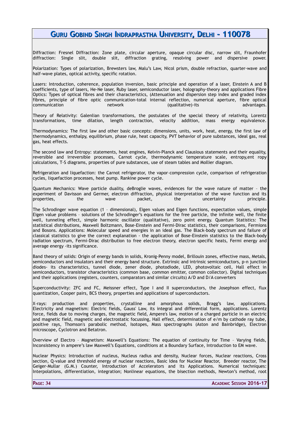Diffraction: Fresnel Diffraction: Zone plate, circular aperture, opaque circular disc, narrow slit, Fraunhofer diffraction: Single slit, double slit, diffraction grating, resolving power and dispersive power.

Polarization: Types of polarization, Brewsters law, Malu's Law, Nicol prism, double refraction, quarter-wave and half-wave plates, optical activity, specific rotation.

Lasers: Introduction, coherence, population inversion, basic principle and operation of a laser, Einstein A and B coefficients, type of lasers, He-Ne laser, Ruby laser, semiconductor laser, holography-theory and applications Fibre Optics: Types of optical fibres and their characteristics, (Attenuation and dispersion step index and graded index fibres, principle of fibre optic communication-total internal reflection, numerical aperture, fibre optical communication network (qualitative)-its advantages.

Theory of Relativity: Galenlian transformations, the postulates of the special theory of relativity, Lorentz transformations, time dilation, length contraction, velocity addition, mass energy equivalence.

Thermodynamics: The first law and other basic concepts: dimensions, units, work, heat, energy, the first law of thermodynamics, enthalpy, equilibrium, phase rule, heat capacity, PVT behavior of pure substances, ideal gas, real gas, heat effects.

The second law and Entropy: statements, heat engines, Kelvin-Planck and Clausious statements and their equality, reversible and irreversible processes, Carnot cycle, thermodynamic temperature scale, entropy,ent ropy calculations, T-S diagrams, properties of pure substances, use of steam tables and Mollier diagram.

Refrigeration and liquefaction: the Carnot refrigerator, the vapor–compression cycle, comparison of refrigeration cycles, liquefaction processes, heat pump. Rankine power cycle.

Quantum Mechanics: Wave particle duality, deBroglie waves, evidences for the wave nature of matter – the experiment of Davisson and Germer, electron diffraction, physical interpretation of the wave function and its properties, the wave packet, the uncertainty principle.

The Schrodinger wave equation (1 – dimensional), Eigen values and Eigen functions, expectation values, simple Eigen value problems – solutions of the Schrodinger's equations for the free particle, the infinite well, the finite well, tunneling effect, simple harmonic oscillator (qualitative), zero point energy. Quantum Statistics: The statistical distributions, Maxwell Boltzmann, Bose-Einstein and Fermi-Dirac statistics, their comparisons, Fermions and Bosons. Applications: Molecular speed and energies in an ideal gas. The Black-body spectrum and failure of classical statistics to give the correct explanation - the application of Bose-Einstein statistics to the Black-body radiation spectrum, Fermi-Dirac distribution to free electron theory, electron specific heats, Fermi energy and average energy -its significance.

Band theory of solids: Origin of energy bands in solids, Kronig-Penny model, Brillouin zones, effective mass, Metals, semiconductors and insulators and their energy band structure. Extrinsic and intrinsic semiconductors, p-n junction diodes- its characteristics, tunnel diode, zener diode, photodiode, LED, photovoltaic cell, Hall effect in semiconductors, transistor characteristics (common base, common emitter, common collector). Digital techniques and their applications (registers, counters, comparators and similar circuits) A/D and D/A converters

Superconductivity: ZFC and FC, Meissner effect, Type I and II superconductors, the Josephson effect, flux quantization, Cooper pairs, BCS theory, properties and applications of superconductors.

X-rays: production and properties, crystalline and amorphous solids, Bragg's law, applications. Electricity and magnetism: Electric fields, Gauss' Law, its integral and differential form, applications. Lorentz force, fields due to moving charges, the magnetic field, Ampere's law, motion of a charged particle in an electric and magnetic field, magnetic and electrostatic focussing, Hall effect, determination of e/m by cathode ray tube, positive rays, Thomson's parabolic method, Isotopes, Mass spectrographs (Aston and Bainbridge), Electron microscope, Cyclotron and Betatron.

Overview of Electro – Magnetism: Maxwell's Equations: The equation of continuity for Time – Varying fields, Inconsistency in ampere's law Maxwell's Equations, conditions at a Boundary Surface, Introduction to EM wave.

Nuclear Physics: Introduction of nucleus, Nucleus radius and density, Nuclear forces, Nuclear reactions, Cross section, Q-value and threshold energy of nuclear reactions, Basic Idea for Nuclear Reactor, Breeder reactor, The Geiger-Mullar (G.M.) Counter, Introduction of Accelerators and its Applications. Numerical techniques: Interpolations, differentiation, integration; Nonlinear equations, the bisection methods, Newton's method, root

**PAGE: 34 ACADEMIC SESSION 2016-17**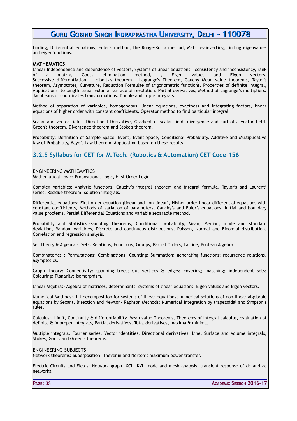finding; Differential equations, Euler's method, the Runge-Kutta method; Matrices-inverting, finding eigenvalues and eigenfunctions.

#### **MATHEMATICS**

Linear Independence and dependence of vectors, Systems of linear equations – consistency and inconsistency, rank of a matrix, Gauss elimination method, , Eigen values and Eigen vectors. Successive differentiation, Leibnitz's theorem, Lagrange's Theorem, Cauchy Mean value theorems, Taylor's theorem, Asymptotes, Curvature, Reduction Formulae of trigonometric functions, Properties of definite Integral, Applications to length, area, volume, surface of revolution. Partial derivatives, Method of Lagrange's multipliers. Jacobeans of coordinates transformations. Double and Triple integrals.

Method of separation of variables, homogeneous, linear equations, exactness and integrating factors, linear equations of higher order with constant coefficients, Operator method to find particular integral.

Scalar and vector fields, Directional Derivative, Gradient of scalar field, divergence and curl of a vector field. Green's theorem, Divergence theorem and Stoke's theorem.

Probability: Definition of Sample Space, Event, Event Space, Conditional Probability, Additive and Multiplicative law of Probability, Baye's Law theorem, Application based on these results.

### <span id="page-35-0"></span>**3.2.5 Syllabus for CET for M.Tech. (Robotics & Automation) CET Code-156**

#### ENGINEERING MATHEMATICS

Mathematical Logic: Propositional Logic, First Order Logic.

Complex Variables: Analytic functions, Cauchy's integral theorem and integral formula, Taylor's and Laurent' series. Residue theorem, solution integrals.

Differential equations: First order equation (linear and non-linear), Higher order linear differential equations with constant coefficients, Methods of variation of parameters, Cauchy's and Euler's equations. Initial and boundary value problems, Partial Differential Equations and variable separable method.

Probability and Statistics:-Sampling theorems, Conditional probability, Mean, Median, mode and standard deviation, Random variables, Discrete and continuous distributions, Poisson, Normal and Binomial distribution, Correlation and regression analysis.

Set Theory & Algebra:- Sets: Relations; Functions; Groups; Partial Orders; Lattice; Boolean Algebra.

Combinatorics : Permutations; Combinations; Counting; Summation; generating functions; recurrence relations, asymptotics.

Graph Theory: Connectivity: spanning trees; Cut vertices & edges; covering; matching; independent sets; Colouring; Planarity; Isomorphism.

Linear Algebra:- Algebra of matrices, determinants, systems of linear equations, Eigen values and Eigen vectors.

Numerical Methods:- LU decomposition for systems of linear equations; numerical solutions of non-linear algebraic equations by Secant, Bisection and Newton- Raphson Methods; Numerical integration by trapezoidal and Simpson's rules.

Calculus:- Limit, Continuity & differentiability, Mean value Theorems, Theorems of Integral calculus, evaluation of definite & improper integrals, Partial derivatives, Total derivatives, maxima & minima,

Multiple integrals, Fourier series. Vector identities, Directional derivatives, Line, Surface and Volume integrals, Stokes, Gauss and Green's theorems.

ENGINEERING SUBJECTS

Network theorems: Superposition, Thevenin and Norton's maximum power transfer.

Electric Circuits and Fields: Network graph, KCL, KVL, node and mesh analysis, transient response of dc and ac networks.

**PAGE: 35 ACADEMIC SESSION 2016-17**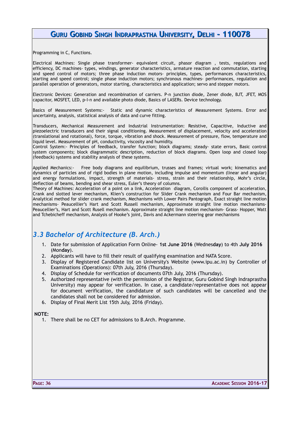Programming in C, Functions.

Electrical Machines: Single phase transformer- equivalent circuit, phasor diagram , tests, regulations and efficiency, DC machines- types, windings, generator characteristics, armature reaction and commutation, starting and speed control of motors; three phase induction motors- principles, types, performances characteristics, starting and speed control; single phase induction motors; synchronous machines- performances, regulation and parallel operation of generators, motor starting, characteristics and application; servo and stepper motors.

Electronic Devices: Generation and recombination of carriers. P-n junction diode, Zener diode, BJT, JFET, MOS capacitor, MOSFET, LED, p-I-n and available photo diode, Basics of LASERs. Device technology.

Basics of Measurement Systems:- Static and dynamic characteristics of Measurement Systems. Error and uncertainty, analysis, statistical analysis of data and curve fitting.

Transducers, Mechanical Measurement and Industrial Instrumentation: Resistive, Capacitive, Inductive and piezoelectric transducers and their signal conditioning. Measurement of displacement, velocity and acceleration (translational and rotational), force, torque, vibration and shock. Measurement of pressure, flow, temperature and liquid level. Measurement of pH, conductivity, viscosity and humidity.

Control System:- Principles of feedback, transfer function; block diagrams; steady- state errors, Basic control system components; block diagrammatic description, reduction of block diagrams. Open loop and closed loop (feedback) systems and stability analysis of these systems.

Applied Mechanics:- Free body diagrams and equilibrium, trusses and frames; virtual work; kinematics and dynamics of particles and of rigid bodies in plane motion, including impulse and momentum (linear and angular) and energy formulations, impact, strength of materials- stress, strain and their relationship, Mohr's circle, deflection of beams, bending and shear stress, Euler's theory of columns.

Theory of Machines: Acceleration of a point on a link, Acceleration diagram, Coroilis component of acceleration, Crank and slotted lever mechanism, Klien's construction for Slider Crank mechanism and Four Bar mechanism, Analytical method for slider crank mechanism, Mechanisms with Lower Pairs Pantograph, Exact straight line motion mechanisms- Peaucellier's Hart and Scott Russell mechanism, Approximate straight line motion mechanisms-Peaucellier's, Hart and Scott Rusell mechanism. Approximate straight line motion mechanism- Grass- Hopper, Watt and Tchebicheff mechanism, Analysis of Hooke's joint, Davis and Ackermann steering gear mechanisms

# *3.3 Bachelor of Architecture (B. Arch.)*

- 1. Date for submission of Application Form Online- **1st June 2016** (Wednes**day**) to 4th **July 2016** (Mon**day**).
- 2. Applicants will have to fill their result of qualifying examination and NATA Score.
- 3. Display of Registered Candidate list on University's Website (www.ipu.ac.in) by Controller of Examinations (Operations): 07th July, 2016 (Thursday).
- 4. Display of Schedule for verification of documents 07th July, 2016 (Thursday).
- 5. Authorized representative (with the permission of the Registrar, Guru Gobind Singh Indraprastha University) may appear for verification. In case, a candidate/representative does not appear for document verification, the candidature of such candidates will be cancelled and the candidates shall not be considered for admission.
- 6. Display of Final Merit List 15th July, 2016 (Friday).

#### **NOTE:**

1. There shall be no CET for admissions to B.Arch. Programme.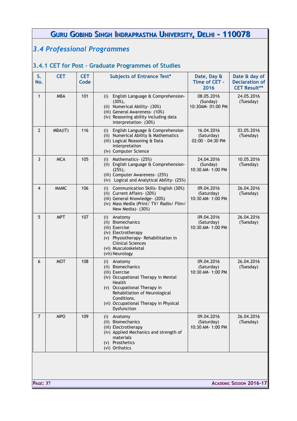# *3.4 Professional Programmes*

# **3.4.1 CET for Post – Graduate Programmes of Studies**

| S.<br>No.      | <b>CET</b>  | <b>CET</b><br>Code | <b>Subjects of Entrance Test*</b>                                                                                                                                                                                                             | Date, Day &<br>Time of CET -<br>2016          | Date & day of<br><b>Declaration of</b><br><b>CET Result**</b> |
|----------------|-------------|--------------------|-----------------------------------------------------------------------------------------------------------------------------------------------------------------------------------------------------------------------------------------------|-----------------------------------------------|---------------------------------------------------------------|
| $\mathbf{1}$   | <b>MBA</b>  | 101                | English Language & Comprehension-<br>(i)<br>$(30\%),$<br>(ii) Numerical Ability- (30%)<br>(iii) General Awareness- (10%)<br>(iv) Reasoning ability including data<br>interpretation- (30%)                                                    | 08.05.2016<br>(Sunday)<br>10:30AM-01:00 PM    | 24.05.2016<br>(Tuesday)                                       |
| $\overline{2}$ | MBA(IT)     | 116                | (i) English Language & Comprehension<br>(ii) Numerical Ability & Mathematics<br>(iii) Logical Reasoning & Data<br>interpretation<br>(iv) Computer Science                                                                                     | 16.04.2016<br>(Saturday)<br>02:00 - 04:30 PM  | 03.05.2016<br>(Tuesday)                                       |
| 3              | <b>MCA</b>  | 105                | Mathematics- (25%)<br>(i)<br>(ii) English Language & Comprehension-<br>$(25%)$ ,<br>(iii) Computer Awareness- (25%)<br>(iv) Logical and Analytical Ability- (25%)                                                                             | 24.04.2016<br>(Sunday)<br>10:30 AM- 1:00 PM   | 10.05.2016<br>(Tuesday)                                       |
| 4              | <b>MAMC</b> | 106                | Communication Skills - English (30%)<br>(i)<br>(ii) Current Affairs- (20%)<br>(iii) General Knowledge- (20%)<br>(iv) Mass Media (Print/TV/Radio/Film/<br>New Media) - (30%)                                                                   | 09.04.2016<br>(Saturday)<br>10:30 AM- 1:00 PM | 26.04.2016<br>(Tuesday)                                       |
| 5              | <b>MPT</b>  | 107                | (i) Anatomy<br>(ii) Biomechanics<br>(iii) Exercise<br>(iv) Electrotherapy<br>(v) Physiotherapy-Rehabilitation in<br><b>Clinical Sciences</b><br>(vi) Musculoskeletal<br>(vii) Neurology                                                       | 09.04.2016<br>(Saturday)<br>10:30 AM- 1:00 PM | 26.04.2016<br>(Tuesday)                                       |
| 6              | <b>MOT</b>  | 108                | Anatomy<br>(i)<br>(ii) Biomechanics<br>(iii) Exercise<br>(iv) Occupational Therapy in Mental<br>Health<br>(v) Occupational Therapy in<br>Rehabiliation of Neurological<br>Conditions.<br>(vi) Occupational Therapy in Physical<br>Dysfunction | 09.04.2016<br>(Saturday)<br>10:30 AM- 1:00 PM | 26.04.2016<br>(Tuesday)                                       |
| $\overline{7}$ | <b>MPO</b>  | 109                | Anatomy<br>(i)<br>(ii) Biomechanics<br>(iii) Electrotherapy<br>(iv) Applied Mechanics and strength of<br>materials<br>(v) Prosthetics<br>(vi) Orthotics                                                                                       | 09.04.2016<br>(Saturday)<br>10:30 AM- 1:00 PM | 26.04.2016<br>(Tuesday)                                       |
|                |             |                    |                                                                                                                                                                                                                                               |                                               |                                                               |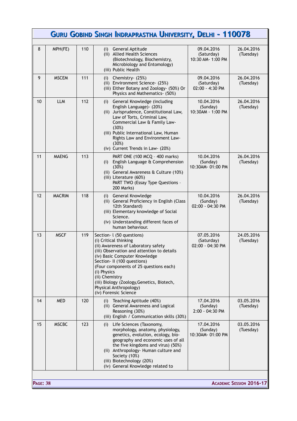|                                                    |               |     | Guru Gobind Singh Indraprastha University, Delhi - 110078                                                                                                                                                                                                                                                                                                                            |                                               |                         |
|----------------------------------------------------|---------------|-----|--------------------------------------------------------------------------------------------------------------------------------------------------------------------------------------------------------------------------------------------------------------------------------------------------------------------------------------------------------------------------------------|-----------------------------------------------|-------------------------|
| 8                                                  | MPH(FE)       | 110 | (i) General Aptitude<br>(ii) Allied Health Sciences<br>(Biotechnology, Biochemistry,<br>Microbiology and Entomology)<br>(iii) Public Health                                                                                                                                                                                                                                          | 09.04.2016<br>(Saturday)<br>10:30 AM- 1:00 PM | 26.04.2016<br>(Tuesday) |
| 9                                                  | <b>MSCEM</b>  | 111 | Chemistry- (25%)<br>(i)<br>(ii) Environment Science- (25%)<br>(iii) Either Botany and Zoology- (50%) Or<br>Physics and Mathematics- (50%)                                                                                                                                                                                                                                            | 09.04.2016<br>(Saturday)<br>02:00 - 4:30 PM   | 26.04.2016<br>(Tuesday) |
| 10                                                 | <b>LLM</b>    | 112 | General Knowledge (including<br>(i)<br>English Language) - (20%)<br>(ii) Jurisprudence, Constitutional Law,<br>Law of Torts, Criminal Law,<br>Commercial Law & Family Law-<br>(30%)<br>(iii) Public International Law, Human<br>Rights Law and Environment Law-<br>(30%)<br>(iv) Current Trends in Law- (20%)                                                                        | 10.04.2016<br>(Sunday)<br>10:30AM - 1:00 PM   | 26.04.2016<br>(Tuesday) |
| 11                                                 | <b>MAENG</b>  | 113 | PART ONE (100 MCQ - 400 marks)<br>English Language & Comprehension<br>(i)<br>(30%)<br>(ii) General Awareness & Culture (10%)<br>(iii) Literature (60%)<br>PART TWO (Essay Type Questions -<br>200 Marks)                                                                                                                                                                             | 10.04.2016<br>(Sunday)<br>10:30AM-01:00 PM    | 26.04.2016<br>(Tuesday) |
| 12                                                 | <b>MACRIM</b> | 118 | General Knowledge<br>(i)<br>(ii) General Proficiency in English (Class<br>12th Standard)<br>(iii) Elementary knowledge of Social<br>Science.<br>(iv) Understanding different faces of<br>human behaviour.                                                                                                                                                                            | 10.04.2016<br>(Sunday)<br>02:00 - 04:30 PM    | 26.04.2016<br>(Tuesday) |
| 13                                                 | <b>MSCF</b>   | 119 | Section - 1 (50 questions)<br>(i) Critical thinking<br>(ii) Awareness of Laboratory safety<br>(iii) Observation and attention to details<br>(iv) Basic Computer Knowledge<br>Section- II (100 questions)<br>(Four components of 25 questions each)<br>(i) Physics<br>(ii) Chemistry<br>(iii) Biology (Zoology, Genetics, Biotech,<br>Physical Anthropology)<br>(iv) Forensic Science | 07.05.2016<br>(Saturday)<br>02:00 - 04:30 PM  | 24.05.2016<br>(Tuesday) |
| 14                                                 | <b>MED</b>    | 120 | Teaching Aptitude (40%)<br>(i)<br>(ii) General Awareness and Logical<br>Reasoning (30%)<br>(iii) English / Communication skills (30%)                                                                                                                                                                                                                                                | 17.04.2016<br>(Sunday)<br>$2:00 - 04:30$ PM   | 03.05.2016<br>(Tuesday) |
| 15                                                 | <b>MSCBC</b>  | 123 | Life Sciences (Taxonomy,<br>(i)<br>morphology, anatomy, physiology,<br>genetics, evolution, ecology, bio-<br>geography and economic uses of all<br>the five kingdoms and virus) (50%)<br>(ii) Anthropology- Human culture and<br>Society (10%)<br>(iii) Biotechnology (20%)<br>(iv) General Knowledge related to                                                                     | 17.04.2016<br>(Sunday)<br>10:30AM-01:00 PM    | 03.05.2016<br>(Tuesday) |
| <b>ACADEMIC SESSION 2016-17</b><br><b>PAGE: 38</b> |               |     |                                                                                                                                                                                                                                                                                                                                                                                      |                                               |                         |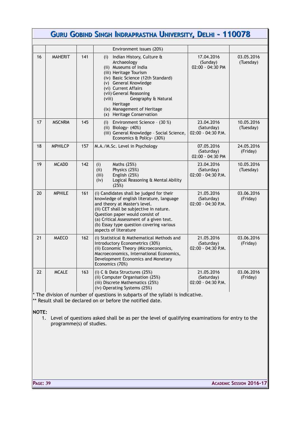|    |                |     | GURU GOBIND SINGH INDRAPRASTHA UNIVERSITY, DELHI - 110078                                                                                                                                                                                                                                                                     |                                                |                         |
|----|----------------|-----|-------------------------------------------------------------------------------------------------------------------------------------------------------------------------------------------------------------------------------------------------------------------------------------------------------------------------------|------------------------------------------------|-------------------------|
|    |                |     |                                                                                                                                                                                                                                                                                                                               |                                                |                         |
|    |                |     | Environment issues (20%)                                                                                                                                                                                                                                                                                                      |                                                |                         |
| 16 | <b>MAHERIT</b> | 141 | Indian History, Culture &<br>(i)<br>Archaeology<br>(ii) Museums of India<br>(iii) Heritage Tourism<br>(iv) Basic Science (12th Standard)<br>(v) General Knowledge<br>(vi) Current Affairs<br>(vii) General Reasoning<br>Geography & Natural<br>(viii)<br>Heritage<br>(ix) Management of Heritage<br>(x) Heritage Conservation | 17.04.2016<br>(Sunday)<br>02:00 - 04:30 PM     | 03.05.2016<br>(Tuesday) |
| 17 | <b>MSCNRM</b>  | 145 | Environment Science - (30 %)<br>(i)<br>(ii) Biology- (40%)<br>(iii) General Knowledge - Social Science,<br>Economics & Policy- (30%)                                                                                                                                                                                          | 23.04.2016<br>(Saturday)<br>02:00 - 04:30 P.M. | 10.05.2016<br>(Tuesday) |
| 18 | <b>MPHILCP</b> | 157 | M.A./M.Sc. Level in Psychology                                                                                                                                                                                                                                                                                                | 07.05.2016<br>(Saturday)<br>02:00 - 04:30 PM   | 24.05.2016<br>(Friday)  |
| 19 | <b>MCADD</b>   | 142 | Maths (25%)<br>(i)<br>(ii)<br>Physics (25%)<br>(iii)<br>English (25%)<br>(iv)<br>Logical Reasoning & Mental Ability<br>(25%)                                                                                                                                                                                                  | 23.04.2016<br>(Saturday)<br>02:00 - 04:30 P.M. | 10.05.2016<br>(Tuesday) |
| 20 | <b>MPHILE</b>  | 161 | (i) Candidates shall be judged for their<br>knowledge of english literature, language<br>and theory at Master's level.<br>(ii) CET shall be subjective in nature.<br>Question paper would consist of<br>(a) Critical Assessment of a given text.<br>(b) Essay type question covering various<br>aspects of literature         | 21.05.2016<br>(Saturday)<br>02:00 - 04:30 P.M. | 03.06.2016<br>(Friday)  |
| 21 | <b>MAECO</b>   | 162 | (i) Statistical & Mathematical Methods and<br>Introductory Econometrics (30%)<br>(ii) Economic Theory (Microeconomics,<br>Macroeconomics, International Economics,<br>Development Economics and Monetary<br>Economics (70%)                                                                                                   | 21.05.2016<br>(Saturday)<br>02:00 - 04:30 P.M. | 03.06.2016<br>(Friday)  |
| 22 | <b>MCALE</b>   | 163 | (i) C & Data Structures (25%)<br>(ii) Computer Organisation (25%)<br>(iii) Discrete Mathematics (25%)<br>(iv) Operating Systems (25%)                                                                                                                                                                                         | 21.05.2016<br>(Saturday)<br>02:00 - 04:30 P.M. | 03.06.2016<br>(Friday)  |

\* The division of number of questions in subparts of the syllabi is indicative. \*\* Result shall be declared on or before the notified date.

#### **NOTE:**

1. Level of questions asked shall be as per the level of qualifying examinations for entry to the programme(s) of studies.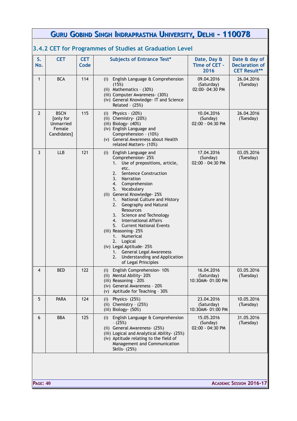|                | GURU GOBIND SINGH INDRAPRASTHA UNIVERSITY, DELHI - 110078      |                    |                                                                                                                                                                                                                                                                                                                                                                                                                                                                                                                                                                                                                |                                              |                                                               |
|----------------|----------------------------------------------------------------|--------------------|----------------------------------------------------------------------------------------------------------------------------------------------------------------------------------------------------------------------------------------------------------------------------------------------------------------------------------------------------------------------------------------------------------------------------------------------------------------------------------------------------------------------------------------------------------------------------------------------------------------|----------------------------------------------|---------------------------------------------------------------|
|                |                                                                |                    | 3.4.2 CET for Programmes of Studies at Graduation Level                                                                                                                                                                                                                                                                                                                                                                                                                                                                                                                                                        |                                              |                                                               |
| S.<br>No.      | <b>CET</b>                                                     | <b>CET</b><br>Code | <b>Subjects of Entrance Test*</b>                                                                                                                                                                                                                                                                                                                                                                                                                                                                                                                                                                              | Date, Day &<br>Time of CET -<br>2016         | Date & day of<br><b>Declaration of</b><br><b>CET Result**</b> |
| $\mathbf{1}$   | <b>BCA</b>                                                     | 114                | (i) English Language & Comprehension<br>(15%)<br>(ii) Mathematics - (30%)<br>(iii) Computer Awareness- (30%)<br>(iv) General Knowledge- IT and Science<br>Related - (25%)                                                                                                                                                                                                                                                                                                                                                                                                                                      | 09.04.2016<br>(Saturday)<br>02:00-04:30 PM   | 26.04.2016<br>(Tuesday)                                       |
| $\overline{2}$ | <b>BSCN</b><br>[only for<br>Unmarried<br>Female<br>Candidates] | 115                | (i) Physics - $(20%)$<br>(ii) Chemistry- (20%)<br>(iii) Biology- (40%)<br>(iv) English Language and<br>Comprehension - (10%)<br>(v) General Awareness about Health<br>related Matters- (10%)                                                                                                                                                                                                                                                                                                                                                                                                                   | 10.04.2016<br>(Sunday)<br>02:00 - 04:30 PM   | 26.04.2016<br>(Tuesday)                                       |
| $\overline{3}$ | <b>LLB</b>                                                     | 121                | English Language and<br>(i)<br>Comprehension-25%<br>Use of prepositions, article,<br>1.<br>etc.<br><b>Sentence Construction</b><br>2.<br>3.<br>Narration<br>Comprehension<br>4.<br>Vocabulary<br>5.<br>(ii) General Knowledge- 25%<br>1. National Culture and History<br>2.<br>Geography and Natural<br><b>Resources</b><br>Science and Technology<br>3.<br>4. International Affairs<br><b>Current National Events</b><br>5.<br>(iii) Reasoning-25%<br>1.<br>Numerical<br>2.<br>Logical<br>(iv) Legal Aptitude-25%<br>1. General Legal Awareness<br>Understanding and Application<br>2.<br>of Legal Principles | 17.04.2016<br>(Sunday)<br>02:00 - 04:30 PM   | 03.05.2016<br>(Tuesday)                                       |
| 4              | <b>BED</b>                                                     | 122                | English Comprehension- 10%<br>(i)<br>(ii) Mental Ability-20%<br>(iii) Reasoning - 20%<br>(iv) General Awareness - 20%<br>(v) Aptitude for Teaching - 30%                                                                                                                                                                                                                                                                                                                                                                                                                                                       | 16.04.2016<br>(Saturday)<br>10:30AM-01:00 PM | 03.05.2016<br>(Tuesday)                                       |
| 5              | <b>PARA</b>                                                    | 124                | Physics- (25%)<br>(i)<br>(ii) Chemistry - $(25%)$<br>(iii) Biology- (50%)                                                                                                                                                                                                                                                                                                                                                                                                                                                                                                                                      | 23.04.2016<br>(Saturday)<br>10:30AM-01:00 PM | 10.05.2016<br>(Tuesday)                                       |
| 6              | <b>BBA</b>                                                     | 125                | English Language & Comprehension<br>(i)<br>$- (25%)$<br>(ii) General Awareness- (25%)<br>(iii) Logical and Analytical Ability- (25%)<br>(iv) Aptitude relating to the field of<br>Management and Communication<br>Skills- (25%)                                                                                                                                                                                                                                                                                                                                                                                | 15.05.2016<br>(Sunday)<br>02:00 - 04:30 PM   | 31.05.2016<br>(Tuesday)                                       |
|                |                                                                |                    |                                                                                                                                                                                                                                                                                                                                                                                                                                                                                                                                                                                                                |                                              |                                                               |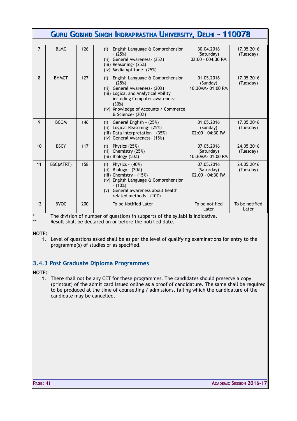|                |              |     | <b>GURU GOBIND SINGH INDRAPRASTHA UNIVERSITY, DELHI - 110078</b>                                                                                                                                                                      |                                                 |                         |
|----------------|--------------|-----|---------------------------------------------------------------------------------------------------------------------------------------------------------------------------------------------------------------------------------------|-------------------------------------------------|-------------------------|
|                |              |     |                                                                                                                                                                                                                                       |                                                 |                         |
| $\overline{7}$ | <b>BJMC</b>  | 126 | English Language & Comprehension<br>(i)<br>$-(25%)$<br>(ii) General Awareness- (25%)<br>(iii) Reasoning- (25%)<br>(iv) Media Aptitude- (25%)                                                                                          | 30.04.2016<br>(Saturday)<br>$02:00 - 004:30$ PM | 17.05.2016<br>(Tuesday) |
| 8              | <b>BHMCT</b> | 127 | English Language & Comprehension<br>(i)<br>$-(25%)$<br>(ii) General Awareness- (20%)<br>(iii) Logical and Analytical Ability<br>including Computer awareness-<br>(30%)<br>(iv) Knowledge of Accounts / Commerce<br>$&$ Science- (20%) | 01.05.2016<br>(Sunday)<br>10:30AM-01:00 PM      | 17.05.2016<br>(Tuesday) |
| 9              | <b>BCOM</b>  | 146 | General English - (25%)<br>(i)<br>(ii) Logical Reasoning- (25%)<br>(iii) Data Interpretation - (35%)<br>(iv) General Awareness- (15%)                                                                                                 | 01.05.2016<br>(Sunday)<br>02:00 - 04:30 PM      | 17.05.2016<br>(Tuesday) |
| 10             | <b>BSCY</b>  | 117 | Physics (25%)<br>(i)<br>$(ii)$ Chemistry $(25%)$<br>(iii) Biology (50%)                                                                                                                                                               | 07.05.2016<br>(Saturday)<br>10:30AM-01:00 PM    | 24.05.2016<br>(Tuesday) |
| 11             | BSC(MTRT)    | 158 | Physics - $(40%)$<br>(i)<br>(ii) Biology - $(20%)$<br>(iii) Chemistry - $(15%)$<br>(iv) English Language & Comprehension<br>$- (10\%)$<br>(v) General awareness about health<br>related methods - (10%)                               | 07.05.2016<br>(Saturday)<br>$02.00 - 04:30 P$ M | 24.05.2016<br>(Tuesday) |
| 12             | <b>BVOC</b>  | 200 | To be Notified Later                                                                                                                                                                                                                  | To be notified<br>Later                         | To be notified<br>Later |

\* The division of number of questions in subparts of the syllabi is indicative.<br>\*\* Result shall be declared on or before the potified date

Result shall be declared on or before the notified date.

#### **NOTE:**

1. Level of questions asked shall be as per the level of qualifying examinations for entry to the programme(s) of studies or as specified.

### **3.4.3 Post Graduate Diploma Programmes**

#### **NOTE:**

1. There shall not be any CET for these programmes. The candidates should preserve a copy (printout) of the admit card issued online as a proof of candidature. The same shall be required to be produced at the time of counselling / admissions, failing which the candidature of the candidate may be cancelled.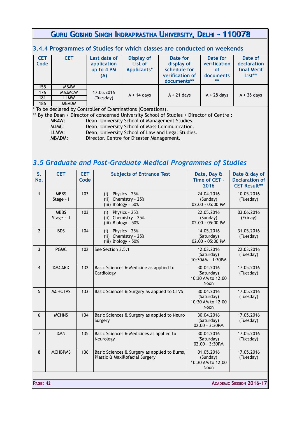### **3.4.4 Programmes of Studies for which classes are conducted on weekends**

| <b>CET</b> | <b>CET</b>    | Last date of | <b>Display of</b> | Date for        | Date for      | Date of       |
|------------|---------------|--------------|-------------------|-----------------|---------------|---------------|
| Code       |               | application  | List of           | display of      | verification  | declaration   |
|            |               | up to 4 PM   | Applicants*       | schedule for    | <b>of</b>     | final Merit   |
|            |               | (A)          |                   | verification of | documents     | List**        |
|            |               |              |                   | documents**     | $**$          |               |
| 155        | <b>MBAW</b>   |              |                   |                 |               |               |
| 176        | <b>MAJMCW</b> | 17.05.2016   | $A + 14$ days     | $A + 21$ days   | $A + 28$ days | $A + 35$ days |
| 181        | <b>LLMW</b>   | (Tuesday)    |                   |                 |               |               |
| 186        | <b>MBADM</b>  |              |                   |                 |               |               |

\* To be declared by Controller of Examinations (Operations).

\*\* By the Dean / Director of concerned University School of Studies / Director of Centre :

| MBAW:  | Dean, University School of Management Studies.    |
|--------|---------------------------------------------------|
| MJMC:  | Dean, University School of Mass Communication.    |
| LLMW:  | Dean, University School of Law and Legal Studies. |
| MBADM: | Director, Centre for Disaster Management.         |
|        |                                                   |

# *3.5 Graduate and Post-Graduate Medical Programmes of Studies*

| S.<br>No.       | <b>CET</b>                | <b>CET</b><br>Code | <b>Subjects of Entrance Test</b>                                                 | Date, Day &<br>Time of CET -<br>2016                  | Date & day of<br><b>Declaration of</b><br><b>CET Result**</b> |
|-----------------|---------------------------|--------------------|----------------------------------------------------------------------------------|-------------------------------------------------------|---------------------------------------------------------------|
| $\mathbf{1}$    | <b>MBBS</b><br>Stage - I  | 103                | $(i)$ Physics - 25%<br>(ii) Chemistry - 25%<br>(iii) Biology - 50%               | 24.04.2016<br>(Sunday)<br>02.00 - 05:00 PM            | 10.05.2016<br>(Tuesday)                                       |
|                 | <b>MBBS</b><br>Stage - II | 103                | Physics - 25%<br>(i)<br>(ii) Chemistry - 25%<br>(iii) Biology - 50%              | 22.05.2016<br>(Sunday)<br>02.00 - 05:00 PM            | 03.06.2016<br>(Friday)                                        |
| $\overline{2}$  | <b>BDS</b>                | 104                | Physics - 25%<br>(i)<br>(ii) Chemistry - $25%$<br>(iii) Biology - 50%            | 14.05.2016<br>(Saturday)<br>02.00 - 05:00 PM          | 31.05.2016<br>(Tuesday)                                       |
| 3               | <b>PGMC</b>               | 102                | See Section 3.5.1                                                                | 12.03.2016<br>(Saturday)<br>10:30AM - 1:30PM          | 22.03.2016<br>(Tuesday)                                       |
| $\overline{4}$  | <b>DMCARD</b>             | 132                | Basic Sciences & Medicine as applied to<br>Cardiology                            | 30.04.2016<br>(Saturday)<br>10:30 AM to 12:00<br>Noon | 17.05.2016<br>(Tuesday)                                       |
| 5               | <b>MCHCTVS</b>            | 133                | Basic Sciences & Surgery as applied to CTVS                                      | 30.04.2016<br>(Saturday)<br>10:30 AM to 12:00<br>Noon | 17.05.2016<br>(Tuesday)                                       |
| 6               | <b>MCHNS</b>              | 134                | Basic Sciences & Surgery as applied to Neuro<br>Surgery                          | 30.04.2016<br>(Saturday)<br>02.00 - 3:30PM            | 17.05.2016<br>(Tuesday)                                       |
| $\overline{7}$  | <b>DMN</b>                | 135                | Basic Sciences & Medicines as applied to<br>Neurology                            | 30.04.2016<br>(Saturday)<br>$02.00 - 3:30$ PM         | 17.05.2016<br>(Tuesday)                                       |
| 8               | <b>MCHBPMS</b>            | 136                | Basic Sciences & Surgery as applied to Burns,<br>Plastic & Maxillofacial Surgery | 01.05.2016<br>(Sunday)<br>10:30 AM to 12:00<br>Noon   | 17.05.2016<br>(Tuesday)                                       |
| <b>PAGE: 42</b> |                           |                    |                                                                                  |                                                       | <b>ACADEMIC SESSION 2016-17</b>                               |
|                 |                           |                    |                                                                                  |                                                       |                                                               |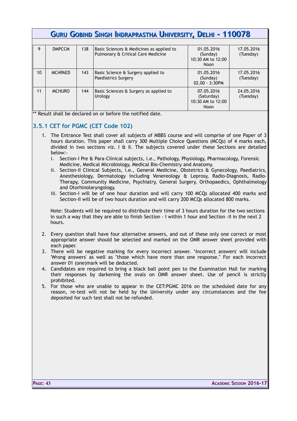| 9  | <b>DMPCCM</b>  | 138 | Basic Sciences & Medicines as applied to<br>Pulmonary & Critical Care Medicine | 01.05.2016<br>(Sunday)<br>10:30 AM to 12:00<br><b>Noon</b>   | 17.05.2016<br>(Tuesday) |
|----|----------------|-----|--------------------------------------------------------------------------------|--------------------------------------------------------------|-------------------------|
| 10 | <b>MCHPAED</b> | 143 | Basic Science & Surgery applied to<br>Paediatrics Surgery                      | 01.05.2016<br>(Sunday)<br>$02.00 - 3:30$ PM                  | 17.05.2016<br>(Tuesday) |
| 11 | <b>MCHURO</b>  | 144 | Basic Sciences & Surgery as applied to<br>Urology                              | 07.05.2016<br>(Saturday)<br>10:30 AM to 12:00<br><b>Noon</b> | 24.05.2016<br>(Tuesday) |

\*\* Result shall be declared on or before the notified date.

### **3.5.1 CET for PGMC (CET Code 102)**

- 1. The Entrance Test shall cover all subjects of MBBS course and will comprise of one Paper of 3 hours duration. This paper shall carry 300 Multiple Choice Questions (MCQs) of 4 marks each, divided in two sections viz.  $I \oplus II$ . The subjects covered under these Sections are detailed below:
	- i. Section-I Pre & Para-Clinical subjects, i.e., Pathology, Physiology, Pharmacology, Forensic Medicine, Medical Microbiology, Medical Bio-Chemistry and Anatomy.
	- ii. Section-II Clinical Subjects, i.e., General Medicine, Obstetrics & Gynecology, Paediatrics, Anesthesiology, Dermatology including Venereology & Leprosy, Radio-Diagnosis, Radio-Therapy, Community Medicine, Psychiatry, General Surgery, Orthopaedics, Ophthalmology and Otorhinolaryngology.
	- iii. Section-I will be of one hour duration and will carry 100 MCQs allocated 400 marks and Section-II will be of two hours duration and will carry 200 MCQs allocated 800 marks.

Note: Students will be required to distribute their time of 3 hours duration for the two sections in such a way that they are able to finish Section - I within 1 hour and Section -II in the next 2 hours.

- 2. Every question shall have four alternative answers, and out of these only one correct or most appropriate answer should be selected and marked on the OMR answer sheet provided with each paper.
- 3. There will be negative marking for every incorrect answer. 'Incorrect answers' will include 'Wrong answers' as well as "those which have more than one response." For each incorrect answer 01 (one)mark will be deducted.
- 4. Candidates are required to bring a black ball point pen to the Examination Hall for marking their responses by darkening the ovals on OMR answer sheet. Use of pencil is strictly prohibited.
- 5. For those who are unable to appear in the CET:PGMC 2016 on the scheduled date for any reason, re-test will not be held by the University under any circumstances and the fee deposited for such test shall not be refunded.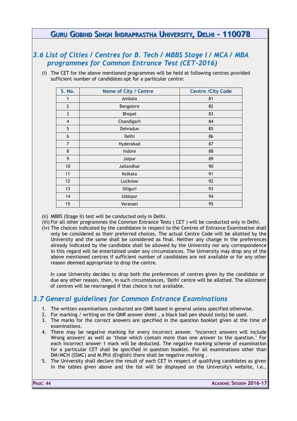### *3.6 List of Cities / Centres for B. Tech / MBBS Stage I / MCA / MBA programmes for Common Entrance Test (CET-2016)*

(i) The CET for the above mentioned programmes will be held at following centres provided sufficient number of candidates opt for a particular centre:

| S. No.         | Name of City / Centre | <b>Centre /City Code</b> |
|----------------|-----------------------|--------------------------|
| 1              | Ambala                | 81                       |
| $\overline{2}$ | Bangalore             | 82                       |
| 3              | Bhopal                | 83                       |
| 4              | Chandigarh            | 84                       |
| 5              | Dehradun              | 85                       |
| 6              | Delhi                 | 86                       |
| $\overline{7}$ | Hyderabad             | 87                       |
| 8              | Indore                | 88                       |
| 9              | Jaipur                | 89                       |
| 10             | Jallandhar            | 90                       |
| 11             | Kolkata               | 91                       |
| 12             | Lucknow               | 92                       |
| 13             | Siliguri              | 93                       |
| 14             | Udaipur               | 94                       |
| 15             | Varanasi              | 95                       |

- (ii) MBBS (Stage II) test will be conducted only in Delhi.
- (iii) For all other programmes the Common Entrance Tests ( CET ) will be conducted only in Delhi.
- (iv) The choices indicated by the candidates in respect to the Centres of Entrance Examination shall only be considered as their preferred choices. The actual Centre Code will be allotted by the University and the same shall be considered as final. Neither any change in the preferences already indicated by the candidate shall be allowed by the University nor any correspondence in this regard will be entertained under any circumstances. The University may drop any of the above mentioned centres if sufficient number of candidates are not available or for any other reason deemed appropriate to drop the centre.

In case University decides to drop both the preferences of centres given by the candidate or due any other reason, then, in such circumstances, 'Delhi' centre will be allotted. The allotment of centres will be rearranged if that choice is not available.

# *3.7 General guidelines for Common Entrance Examinations*

- 1. The written examinations conducted are OMR based in general unless specified otherwise.
- 2. For marking / writing on the OMR answer sheet , a black ball pen should (only) be used.
- 3. The marks for the correct answers are specified in the question booklet given at the time of examinations.
- 4. There may be negative marking for every incorrect answer. 'Incorrect answers will include Wrong answers' as well as "those which contain more than one answer to the question." For each incorrect answer 1 mark will be deducted. The negative marking scheme of examination for a particular CET shall be specified in question booklet. For all examinations other than DM/MCH (SSMC) and M.Phil (English) there shall be negative marking .
- 5. The University shall declare the result of each CET in respect of qualifying candidates as given in the tables given above and the list will be displayed on the University's website, i.e.,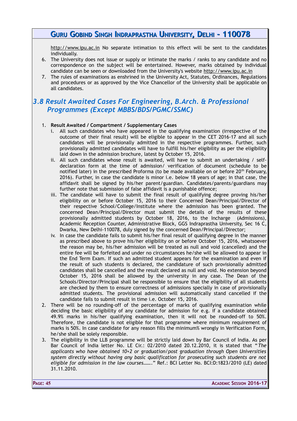[http://www.ipu.ac.in](http://www.ipu.ac.in/) No separate intimation to this effect will be sent to the candidates individually.

- 6. The University does not issue or supply or intimate the marks / ranks to any candidate and no correspondence on the subject will be entertained. However, marks obtained by individual candidate can be seen or downloaded from the University's website http://www.ipu.ac.in
- 7. The rules of examinations as enshrined in the University Act, Statutes, Ordinances, Regulations and procedures or as approved by the Vice Chancellor of the University shall be applicable on all candidates.

### *3.8 Result Awaited Cases For Engineering, B.Arch. & Professional Programmes (Except MBBS/BDS/PGMC/SSMC)*

#### 1. **Result Awaited / Compartment / Supplementary Cases**

- i. All such candidates who have appeared in the qualifying examination (irrespective of the outcome of their final result) will be eligible to appear in the CET 2016-17 and all such candidates will be provisionally admitted in the respective programmes. Further, such provisionally admitted candidates will have to fulfill his/her eligibility as per the eligibility laid down in the admission brochure, latest by October 15, 2016.
- ii. All such candidates whose result is awaited, will have to submit an undertaking / selfdeclaration form at the time of admission/ verification of document (schedule to be notified later) in the prescribed Proforma (to be made available on or before 20<sup>th</sup> February, 2016). Further, in case the candidate is minor i.e. below 18 years of age; in that case, the affidavit shall be signed by his/her parent/guardian. Candidates/parents/guardians may further note that submission of false affidavit is a punishable offence;
- iii. The candidate will have to submit the final result of qualifying degree proving his/her eligibility on or before October 15, 2016 to their Concerned Dean/Principal/Director of their respective School/College/Institute where the admission has been granted. The concerned Dean/Principal/Director must submit the details of the results of these provisionally admitted students by October 18, 2016, to the Incharge (Admissions), Academic Reception Counter, Administrative Block, GGS Indraprastha University, Sec 16 C, Dwarka, New Delhi-110078, duly signed by the concerned Dean/Principal/Director;
- iv. In case the candidate fails to submit his/her final result of qualifying degree in the manner as prescribed above to prove his/her eligibility on or before October 15, 2016, whatsoever the reason may be, his/her admission will be treated as null and void (cancelled) and the entire fee will be forfeited and under no circumstances he/she will be allowed to appear in the End Term Exam. If such an admitted student appears for the examination and even if the result of such students is declared, the candidature of such provisionally admitted candidates shall be cancelled and the result declared as null and void. No extension beyond October 15, 2016 shall be allowed by the university in any case. The Dean of the Schools/Director/Principal shall be responsible to ensure that the eligibility of all students are checked by them to ensure correctness of admissions specially in case of provisionally admitted students. The provisional admission will automatically stand cancelled if the candidate fails to submit result in time i.e. October 15, 2016.
- 2. There will be no rounding-off of the percentage of marks of qualifying examination while deciding the basic eligibility of any candidate for admission for e.g. if a candidate obtained 49.9% marks in his/her qualifying examination, then it will not be rounded-off to 50%. Therefore, the candidate is not eligible for that programme where minimum requirement of marks is 50%. In case candidate for any reason fills the minimum% wrongly in Verification Form, he/she shall be solely responsible.
- 3. The eligibility in the LLB programme will be strictly laid down by Bar Council of India. As per Bar Council of India letter No. LE Cir.: 02/2010 dated 20.12.2010, it is stated that "*The applicants who have obtained 10+2 or graduation/post graduation through Open Universities system directly without having any basic qualification for prosecuting such students are not eligible for admission in the law courses……*." Ref.: BCI Letter No. BCI:D:1823/2010 (LE) dated 31.11.2010.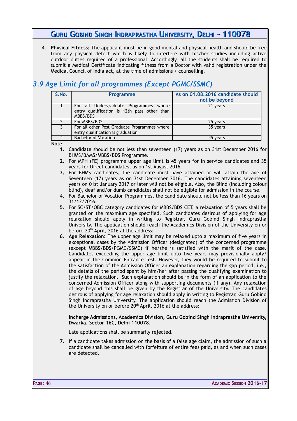4. **Physical Fitness:** The applicant must be in good mental and physical health and should be free from any physical defect which is likely to interfere with his/her studies including active outdoor duties required of a professional. Accordingly, all the students shall be required to submit a Medical Certificate indicating fitness from a Doctor with valid registration under the Medical Council of India act, at the time of admissions / counselling.

# *3.9 Age Limit for all programmes (Except PGMC/SSMC)*

| S.No. | <b>Programme</b>                                                                                  | As on 01.08.2016 candidate should<br>not be beyond |
|-------|---------------------------------------------------------------------------------------------------|----------------------------------------------------|
|       | For all Undergraduate Programmes where<br>entry qualification is 12th pass other than<br>MBBS/BDS | 21 years                                           |
|       | For MBBS/BDS                                                                                      | 25 years                                           |
|       | For all other Post Graduate Programmes where<br>entry qualification is graduation                 | 35 years                                           |
|       | <b>Bachelor of Vocation</b>                                                                       | 45 years                                           |

**Note:**

- **1.** Candidate should be not less than seventeen (17) years as on 31st December 2016 for BHMS/BAMS/MBBS/BDS Programme.
- **2.** For MPH (FE) programme upper age limit is 45 years for In service candidates and 35 years for Direct candidates, as on 1st August 2016.
- **3.** For BHMS candidates, the candidate must have attained or will attain the age of Seventeen (17) years as on 31st December 2016. The candidates attaining seventeen years on 01st January 2017 or later will not be eligible. Also, the Blind (including colour blind), deaf and/or dumb candidates shall not be eligible for admission in the course.
- **4.** For Bachelor of Vocation Programmes, the candidate should not be less than 16 years on 31/12/2016.
- **5.** For SC/ST/OBC category candidates for MBBS/BDS CET, a relaxation of 5 years shall be granted on the maxmium age specified. Such candidates desirous of applying for age relaxation should apply in writing to Registrar, Guru Gobind Singh Indraprastha University. The application should reach the Academics Division of the University on or before 20<sup>th</sup> April, 2016 at the address:
- **6. Age Relaxation:** The upper age limit may be relaxed upto a maximum of five years in exceptional cases by the Admission Officer (designated) of the concerned programme (except MBBS/BDS/PGMC/SSMC) if he/she is satisfied with the merit of the case. Candidates exceeding the upper age limit upto five years may provisionally apply/ appear in the Common Entrance Test. However, they would be required to submit to the satisfaction of the Admission Officer an explanation regarding the gap period, i.e., the details of the period spent by him/her after passing the qualifying examination to justify the relaxation. Such explanation should be in the form of an application to the concerned Admission Officer along with supporting documents (if any). Any relaxation of age beyond this shall be given by the Registrar of the University. The candidates desirous of applying for age relaxation should apply in writing to Registrar, Guru Gobind Singh Indraprastha University. The application should reach the Admission Division of the University on or before 20<sup>th</sup> April, 2016 at the address:

**Incharge Admissions, Academics Division, Guru Gobind Singh Indraprastha University, Dwarka, Sector 16C, Delhi 110078.**

Late applications shall be summarily rejected.

**7.** If a candidate takes admission on the basis of a false age claim, the admission of such a candidate shall be cancelled with forfeiture of entire fees paid, as and when such cases are detected.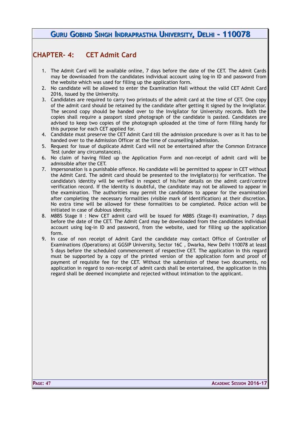# **CHAPTER- 4: CET Admit Card**

- 1. The Admit Card will be available online, 7 days before the date of the CET. The Admit Cards may be downloaded from the candidates individual account using log-in ID and password from the website which was used for filling up the application form.
- 2. No candidate will be allowed to enter the Examination Hall without the valid CET Admit Card 2016, issued by the University.
- 3. Candidates are required to carry two printouts of the admit card at the time of CET. One copy of the admit card should be retained by the candidate after getting it signed by the Invigilator. The second copy should be handed over to the Invigilator for University records. Both the copies shall require a passport sized photograph of the candidate is pasted. Candidates are advised to keep two copies of the photograph uploaded at the time of form filling handy for this purpose for each CET applied for.
- 4. Candidate must preserve the CET Admit Card till the admission procedure is over as it has to be handed over to the Admission Officer at the time of counselling/admission.
- 5. Request for issue of duplicate Admit Card will not be entertained after the Common Entrance Test (under any circumstances).
- 6. No claim of having filled up the Application Form and non-receipt of admit card will be admissible after the CET.
- 7. Impersonation is a punishable offence. No candidate will be permitted to appear in CET without the Admit Card. The admit card should be presented to the invigilator(s) for verification. The candidate's identity will be verified in respect of his/her details on the admit card/centre verification record. If the identity is doubtful, the candidate may not be allowed to appear in the examination. The authorities may permit the candidates to appear for the examination after completing the necessary formalities (visible mark of identification) at their discretion. No extra time will be allowed for these formalities to be completed. Police action will be initiated in case of dubious identity.
- 8. MBBS Stage II : New CET admit card will be issued for MBBS (Stage-II) examination, 7 days before the date of the CET. The Admit Card may be downloaded from the candidates individual account using log-in ID and password, from the website, used for filling up the application form.
- 9. In case of non receipt of Admit Card the candidate may contact Office of Controller of Examinations (Operations) at GGSIP University, Sector 16C , Dwarka, New Delhi 110078 at least 5 days before the scheduled commencement of respective CET. The application in this regard must be supported by a copy of the printed version of the application form and proof of payment of requisite fee for the CET. Without the submission of these two documents, no application in regard to non-receipt of admit cards shall be entertained, the application in this regard shall be deemed incomplete and rejected without intimation to the applicant.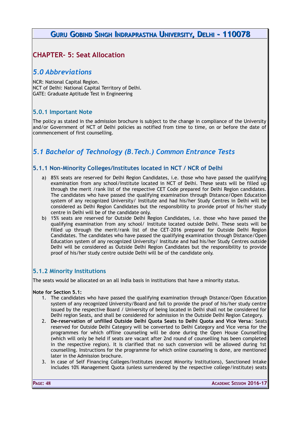# **CHAPTER- 5: Seat Allocation**

### *5.0 Abbreviations*

NCR: National Capital Region. NCT of Delhi: National Capital Territory of Delhi. GATE: Graduate Aptitude Test in Engineering

### **5.0.1 Important Note**

The policy as stated in the admission brochure is subject to the change in compliance of the University and/or Government of NCT of Delhi policies as notified from time to time, on or before the date of commencement of first counselling.

# *5.1 Bachelor of Technology (B.Tech.) Common Entrance Tests*

### **5.1.1 Non-Minority Colleges/Institutes located in NCT / NCR of Delhi**

- a) 85% seats are reserved for Delhi Region Candidates, i.e. those who have passed the qualifying examination from any school/Institute located in NCT of Delhi. These seats will be filled up through the merit /rank list of the respective CET Code prepared for Delhi Region candidates. The candidates who have passed the qualifying examination through Distance/Open Education system of any recognized University/ Institute and had his/her Study Centres in Delhi will be considered as Delhi Region Candidates but the responsibility to provide proof of his/her study centre in Delhi will be of the candidate only.
- b) 15% seats are reserved for Outside Delhi Region Candidates, i.e. those who have passed the qualifying examination from any school/ Institute located outside Delhi. These seats will be filled up through the merit/rank list of the CET-2016 prepared for Outside Delhi Region Candidates. The candidates who have passed the qualifying examination through Distance/Open Education system of any recognized University/ Institute and had his/her Study Centres outside Delhi will be considered as Outside Delhi Region Candidates but the responsibility to provide proof of his/her study centre outside Delhi will be of the candidate only.

### **5.1.2 Minority Institutions**

The seats would be allocated on an all India basis in institutions that have a minority status.

#### **Note for Section 5.1:**

- 1. The candidates who have passed the qualifying examination through Distance/Open Education system of any recognized University/Board and fail to provide the proof of his/her study centre issued by the respective Board / University of being located in Delhi shall not be considered for Delhi region Seats, and shall be considered for admission in the Outside Delhi Region Category.
- 2. **De-reservation of unfilled Outside Delhi Quota Seats to Delhi Quota and Vice Versa**: Seats reserved for Outside Delhi Category will be converted to Delhi Category and Vice versa for the programmes for which offline counseling will be done during the Open House Counselling (which will only be held if seats are vacant after 2nd round of counselling has been completed in the respective region). It is clarified that no such conversion will be allowed during 1st counselling. Instructions for the programme for which online counseling is done, are mentioned later in the Admission brochure.
- 3. In case of Self Financing Colleges/Institutes (except Minority Institutions), Sanctioned Intake includes 10% Management Quota (unless surrendered by the respective college/institute) seats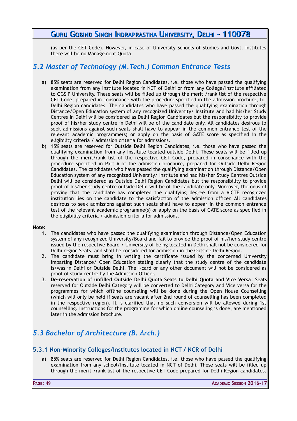(as per the CET Code). However, in case of University Schools of Studies and Govt. Institutes there will be no Management Quota.

# *5.2 Master of Technology (M.Tech.) Common Entrance Tests*

- a) 85% seats are reserved for Delhi Region Candidates, i.e. those who have passed the qualifying examination from any Institute located in NCT of Delhi or from any College/Institute affiliated to GGSIP University. These seats will be filled up through the merit /rank list of the respective CET Code, prepared in consonance with the procedure specified in the admission brochure, for Delhi Region candidates. The candidates who have passed the qualifying examination through Distance/Open Education system of any recognized University/ Institute and had his/her Study Centres in Delhi will be considered as Delhi Region Candidates but the responsibility to provide proof of his/her study centre in Delhi will be of the candidate only. All candidates desirous to seek admissions against such seats shall have to appear in the common entrance test of the relevant academic programme(s) or apply on the basis of GATE score as specified in the eligibility criteria / admission criteria for admissions.
- b) 15% seats are reserved for Outside Delhi Region Candidates, i.e. those who have passed the qualifying examination from any Institute located outside Delhi. These seats will be filled up through the merit/rank list of the respective CET Code, prepared in consonance with the procedure specified in Part A of the admission brochure, prepared for Outside Delhi Region Candidates. The candidates who have passed the qualifying examination through Distance/Open Education system of any recognized University/ Institute and had his/her Study Centres Outside Delhi will be considered as Outside Delhi Region Candidates but the responsibility to provide proof of his/her study centre outside Delhi will be of the candidate only. Moreover, the onus of proving that the candidate has completed the qualifying degree from a AICTE recognized institution lies on the candidate to the satisfaction of the admission officer. All candidates desirous to seek admissions against such seats shall have to appear in the common entrance test of the relevant academic programme(s) or apply on the basis of GATE score as specified in the eligibility criteria / admission criteria for admissions.

#### **Note:**

- 1. The candidates who have passed the qualifying examination through Distance/Open Education system of any recognized University/Board and fail to provide the proof of his/her study centre issued by the respective Board / University of being located in Delhi shall not be considered for Delhi region Seats, and shall be considered for admission in the Outside Delhi Region.
- 2. The candidate must bring in writing the certificate issued by the concerned University imparting Distance/ Open Education stating clearly that the study centre of the candidate is/was in Delhi or Outside Delhi. The I-card or any other document will not be considered as proof of study centre by the Admission Officer.
- 3. **De-reservation of unfilled Outside Delhi Quota Seats to Delhi Quota and Vice Versa**: Seats reserved for Outside Delhi Category will be converted to Delhi Category and Vice versa for the programmes for which offline counseling will be done during the Open House Counselling (which will only be held if seats are vacant after 2nd round of counselling has been completed in the respective region). It is clarified that no such conversion will be allowed during 1st counselling. Instructions for the programme for which online counseling is done, are mentioned later in the Admission brochure.

# *5.3 Bachelor of Architecture (B. Arch.)*

### **5.3.1 Non-Minority Colleges/Institutes located in NCT / NCR of Delhi**

a) 85% seats are reserved for Delhi Region Candidates, i.e. those who have passed the qualifying examination from any school/Institute located in NCT of Delhi. These seats will be filled up through the merit /rank list of the respective CET Code prepared for Delhi Region candidates.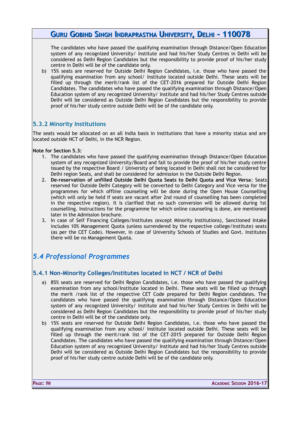The candidates who have passed the qualifying examination through Distance/Open Education system of any recognized University/ Institute and had his/her Study Centres in Delhi will be considered as Delhi Region Candidates but the responsibility to provide proof of his/her study centre in Delhi will be of the candidate only.

b) 15% seats are reserved for Outside Delhi Region Candidates, i.e. those who have passed the qualifying examination from any school/ Institute located outside Delhi. These seats will be filled up through the merit/rank list of the CET-2016 prepared for Outside Delhi Region Candidates. The candidates who have passed the qualifying examination through Distance/Open Education system of any recognized University/ Institute and had his/her Study Centres outside Delhi will be considered as Outside Delhi Region Candidates but the responsibility to provide proof of his/her study centre outside Delhi will be of the candidate only.

### **5.3.2 Minority Institutions**

The seats would be allocated on an all India basis in institutions that have a minority status and are located outside NCT of Delhi, in the NCR Region.

**Note for Section 5.3:** 

- 1. The candidates who have passed the qualifying examination through Distance/Open Education system of any recognized University/Board and fail to provide the proof of his/her study centre issued by the respective Board / University of being located in Delhi shall not be considered for Delhi region Seats, and shall be considered for admission in the Outside Delhi Region.
- 2. **De-reservation of unfilled Outside Delhi Quota Seats to Delhi Quota and Vice Versa**: Seats reserved for Outside Delhi Category will be converted to Delhi Category and Vice versa for the programmes for which offline counseling will be done during the Open House Counselling (which will only be held if seats are vacant after 2nd round of counselling has been completed in the respective region). It is clarified that no such conversion will be allowed during 1st counselling. Instructions for the programme for which online counseling is done, are mentioned later in the Admission brochure.
- 3. In case of Self Financing Colleges/Institutes (except Minority Institutions), Sanctioned Intake includes 10% Management Quota (unless surrendered by the respective college/institute) seats (as per the CET Code). However, in case of University Schools of Studies and Govt. Institutes there will be no Management Quota.

### *5.4 Professional Programmes*

### **5.4.1 Non-Minority Colleges/Institutes located in NCT / NCR of Delhi**

- a) 85% seats are reserved for Delhi Region Candidates, i.e. those who have passed the qualifying examination from any school/Institute located in Delhi. These seats will be filled up through the merit /rank list of the respective CET Code prepared for Delhi Region candidates. The candidates who have passed the qualifying examination through Distance/Open Education system of any recognized University/ Institute and had his/her Study Centres in Delhi will be considered as Delhi Region Candidates but the responsibility to provide proof of his/her study centre in Delhi will be of the candidate only.
- b) 15% seats are reserved for Outside Delhi Region Candidates, i.e. those who have passed the qualifying examination from any school/ Institute located outside Delhi. These seats will be filled up through the merit/rank list of the CET-2015 prepared for Outside Delhi Region Candidates. The candidates who have passed the qualifying examination through Distance/Open Education system of any recognized University/ Institute and had his/her Study Centres outside Delhi will be considered as Outside Delhi Region Candidates but the responsibility to provide proof of his/her study centre outside Delhi will be of the candidate only.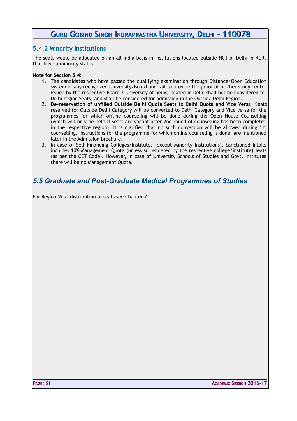### **5.4.2 Minority Institutions**

The seats would be allocated on an all India basis in institutions located outside NCT of Delhi in NCR, that have a minority status.

#### **Note for Section 5.4:**

- 1. The candidates who have passed the qualifying examination through Distance/Open Education system of any recognized University/Board and fail to provide the proof of his/her study centre issued by the respective Board / University of being located in Delhi shall not be considered for Delhi region Seats, and shall be considered for admission in the Outside Delhi Region.
- 2. **De-reservation of unfilled Outside Delhi Quota Seats to Delhi Quota and Vice Versa**: Seats reserved for Outside Delhi Category will be converted to Delhi Category and Vice versa for the programmes for which offline counseling will be done during the Open House Counselling (which will only be held if seats are vacant after 2nd round of counselling has been completed in the respective region). It is clarified that no such conversion will be allowed during 1st counselling. Instructions for the programme for which online counseling is done, are mentioned later in the Admission brochure.
- 3. In case of Self Financing Colleges/Institutes (except Minority Institutions), Sanctioned Intake includes 10% Management Quota (unless surrendered by the respective college/institute) seats (as per the CET Code). However, in case of University Schools of Studies and Govt. Institutes there will be no Management Quota.

### *5.5 Graduate and Post-Graduate Medical Programmes of Studies*

For Region-Wise distribution of seats see Chapter 7.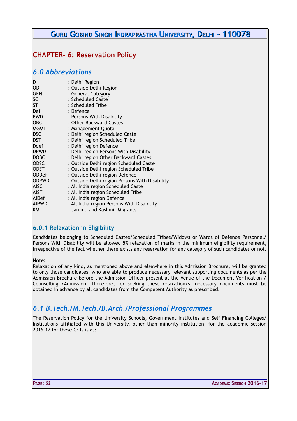# **CHAPTER- 6: Reservation Policy**

### *6.0 Abbreviations*

| D            | : Delhi Region                                 |
|--------------|------------------------------------------------|
| OD           | : Outside Delhi Region                         |
| <b>GEN</b>   | : General Category                             |
| SC           | : Scheduled Caste                              |
| ST           | : Scheduled Tribe                              |
| Def          | : Defence                                      |
| <b>PWD</b>   | : Persons With Disability                      |
| OBC          | : Other Backward Castes                        |
| <b>MGMT</b>  | : Management Quota                             |
| <b>DSC</b>   | : Delhi region Scheduled Caste                 |
| <b>DST</b>   | : Delhi region Scheduled Tribe                 |
| Ddef         | : Delhi region Defence                         |
| <b>DPWD</b>  | : Delhi region Persons With Disability         |
| <b>DOBC</b>  | : Delhi region Other Backward Castes           |
| <b>ODSC</b>  | : Outside Delhi region Scheduled Caste         |
| ODST         | : Outside Delhi region Scheduled Tribe         |
| <b>ODDef</b> | : Outside Delhi region Defence                 |
| <b>ODPWD</b> | : Outside Delhi region Persons With Disability |
| AISC         | : All India region Scheduled Caste             |
| AIST         | : All India region Scheduled Tribe             |
| AIDef        | : All India region Defence                     |
| AIPWD        | : All India region Persons With Disability     |
| ΚM           | : Jammu and Kashmir Migrants                   |

### **6.0.1 Relaxation in Eligibility**

Candidates belonging to Scheduled Castes/Scheduled Tribes/Widows or Wards of Defence Personnel/ Persons With Disability will be allowed 5% relaxation of marks in the minimum eligibility requirement, irrespective of the fact whether there exists any reservation for any category of such candidates or not.

#### **Note:**

Relaxation of any kind, as mentioned above and elsewhere in this Admission Brochure, will be granted to only those candidates, who are able to produce necessary relevant supporting documents as per the Admission Brochure before the Admission Officer present at the Venue of the Document Verification / Counselling /Admission. Therefore, for seeking these relaxation/s, necessary documents must be obtained in advance by all candidates from the Competent Authority as prescribed.

### *6.1 B.Tech./M.Tech./B.Arch./Professional Programmes*

The Reservation Policy for the University Schools, Government Institutes and Self Financing Colleges/ Institutions affiliated with this University, other than minority institution, for the academic session 2016-17 for these CETs is as:-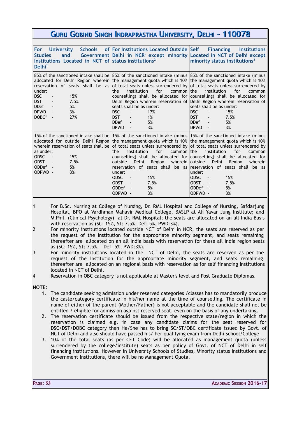| GURU GOBIND SINGH INDRAPRASTHA UNIVERSITY, DELHI - 110078                                                                                                              |                                                                                                                                                                                                                                                                                                                                                                                                                                                                                                                                                                        |                                                                                                                                                                                                                                                                                                                                                                                                                   |  |
|------------------------------------------------------------------------------------------------------------------------------------------------------------------------|------------------------------------------------------------------------------------------------------------------------------------------------------------------------------------------------------------------------------------------------------------------------------------------------------------------------------------------------------------------------------------------------------------------------------------------------------------------------------------------------------------------------------------------------------------------------|-------------------------------------------------------------------------------------------------------------------------------------------------------------------------------------------------------------------------------------------------------------------------------------------------------------------------------------------------------------------------------------------------------------------|--|
|                                                                                                                                                                        |                                                                                                                                                                                                                                                                                                                                                                                                                                                                                                                                                                        |                                                                                                                                                                                                                                                                                                                                                                                                                   |  |
| <b>Schools</b><br><b>For</b><br><b>University</b><br><b>Studies</b><br>and<br>Institutions Located in NCT of status institutions <sup>2</sup><br>Delhi <sup>1</sup>    | of For Institutions Located Outside Self<br>Government   Delhi in NCR except minority   Located in NCT of Delhi except                                                                                                                                                                                                                                                                                                                                                                                                                                                 | <b>Financing</b><br><b>Institutions</b><br>minority status institutions <sup>3</sup>                                                                                                                                                                                                                                                                                                                              |  |
| under:<br><b>DSC</b><br>15%<br>DST<br>7.5%<br><b>DDef</b><br>5%<br>$\blacksquare$<br><b>DPWD</b><br>3%<br>$\blacksquare$<br>DOBC <sup>4</sup><br>27%<br>$\blacksquare$ | 85% of the sanctioned intake shall be 85% of the sanctioned intake (minus 85% of the sanctioned intake (minus<br>allocated for Delhi Region wherein the management quota which is 10% the management quota which is 10%<br>for<br>institution<br>common I the<br>the<br>seats shall be as under:<br>DSC<br>17%<br>$\blacksquare$<br><b>DST</b><br>1%<br><b>DDef</b><br>5%<br>$\blacksquare$<br><b>DPWD</b><br>3%<br>$\blacksquare$                                                                                                                                     | reservation of seats shall be as of total seats unless surrendered by of total seats unless surrendered by<br>institution<br>for<br>common<br>counselling) shall be allocated for counselling) shall be allocated for<br>Delhi Region wherein reservation of Delhi Region wherein reservation of<br>seats shall be as under:<br><b>DSC</b><br>15%<br><b>DST</b><br>7.5%<br><b>DDef</b><br>5%<br><b>DPWD</b><br>3% |  |
| as under:<br>15%<br><b>ODSC</b><br><b>ODST</b><br>7.5%<br>$\sim$ $-$<br>ODDef -<br>5%<br>ODPWD -<br>3%                                                                 | 15% of the sanctioned intake shall be 15% of the sanctioned intake (minus 15% of the sanctioned intake (minus<br>allocated for outside Delhi Region   the management quota which is 10%   the management quota which is 10%  <br>wherein reservation of seats shall be of total seats unless surrendered by of total seats unless surrendered by<br>for<br>institution<br>common I the<br>the<br>Delhi<br>wherein   outside<br>outside<br>Region<br>under:<br>ODSC<br>15%<br>$\sim$ $\sim$<br><b>ODST</b><br>7.5%<br>$\sim$ $-$<br>5%<br><b>ODDef</b><br>ODPWD -<br>3% | for<br>institution<br>common<br>counselling) shall be allocated for counselling) shall be allocated for<br>Delhi<br>Region<br>wherein<br>reservation of seats shall be as reservation of seats shall be as<br>under:<br>ODSC<br>15%<br>$\sim$<br><b>ODST</b><br>7.5%<br>$\sim$ $-$<br>ODDef -<br>5%<br>ODPWD -<br>3%                                                                                              |  |

1 For B.Sc. Nursing at College of Nursing, Dr. RML Hospital and College of Nursing, Safdarjung Hospital, BPO at Vardhman Mahavir Medical College, BASLP at Ali Yavar Jung Institute; and M.Phil. (Clinical Psychology) at Dr. RML Hospital; the seats are allocated on an all India Basis with reservation as (SC: 15%, ST: 7.5%, Def: 5%, PWD:3%).

- 2 For minority institutions located outside NCT of Delhi in NCR, the seats are reserved as per the request of the Institution for the appropriate minority segment, and seats remaining thereafter are allocated on an all India basis with reservation for these all India region seats as (SC: 15%, ST: 7.5%, Def: 5%, PWD:3%).
- 3 For minority institutions located in the NCT of Delhi, the seats are reserved as per the request of the Institution for the appropriate minority segment, and seats remaining thereafter are allocated on an regional basis with reservation as for self financing institutions located in NCT of Delhi.
- 4 Reservation in OBC category is not applicable at Master's level and Post Graduate Diplomas.

**NOTE:**

- 1. The candidate seeking admission under reserved categories /classes has to mandatorily produce the caste/category certificate in his/her name at the time of counselling. The certificate in name of either of the parent (Mother/Father) is not acceptable and the candidate shall not be entitled / eligible for admission against reserved seat, even on the basis of any undertaking.
- 2. The reservation certificate should be issued from the respective state/region in which the reservation is claimed e.g. in case any candidate claims for the seat reserved for DSC/DST/DOBC category then He/She has to bring SC/ST/OBC certificate issued by Govt. of NCT of Delhi and also should have passed his/ her qualifying exam from Delhi School/College.
- 3. 10% of the total seats (as per CET Code) will be allocated as management quota (unless surrendered by the college/institute) seats as per policy of Govt. of NCT of Delhi in self financing institutions. However in University Schools of Studies, Minority status Institutions and Government Institutions, there will be no Management Quota.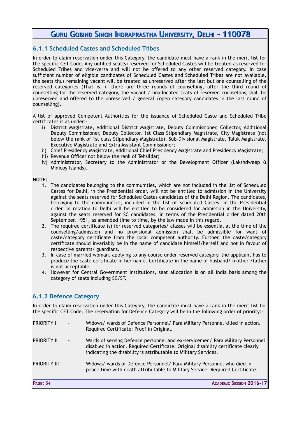### **6.1.1 Scheduled Castes and Scheduled Tribes**

In order to claim reservation under this Category, the candidate must have a rank in the merit list for the specific CET Code. Any unfilled seat(s) reserved for Scheduled Castes will be treated as reserved for Scheduled Tribes and vice-versa and will not be offered to any other reserved category. In case sufficient number of eligible candidates of Scheduled Castes and Scheduled Tribes are not available, the seats thus remaining vacant will be treated as unreserved after the last but one counselling of the reserved categories (That is, if there are three rounds of counselling, after the third round of counselling for the reserved category, the vacant / unallocated seats of reserved counselling shall be unreserved and offered to the unreserved / general /open category candidates in the last round of counselling).

A list of approved Competent Authorities for the issuance of Scheduled Caste and Scheduled Tribe certificates is as under:-

- i) District Magistrate, Additional District Magistrate, Deputy Commissioner, Collector, Additional Deputy Commissioner, Deputy Collector, 1st Class Stipendiary Magistrate, City Magistrate (not below the rank of 1st class Stipendiary Magistrate), Sub-Divisional Magistrate, Taluk Magistrate, Executive Magistrate and Extra Assistant Commissioner;
- ii) Chief Presidency Magistrate, Additional Chief Presidency Magistrate and Presidency Magistrate;
- iii) Revenue Officer not below the rank of Tehsildar;
- iv) Administrator, Secretary to the Administrator or the Development Officer (Lakshdweep & Minicoy Islands).

#### **NOTE:**

- 1. The candidates belonging to the communities, which are not included in the list of Scheduled Castes for Delhi, in the Presidential order, will not be entitled to admission in the University against the seats reserved for Scheduled Castes candidates of the Delhi Region. The candidates, belonging to the communities, included in the list of Scheduled Castes, in the Presidential order, in relation to Delhi will be entitled to be considered for admission in the University, against the seats reserved for SC candidates, in terms of the Presidential order dated 20th September, 1951, as amended time to time, by the law made in this regard.
- 2. The required certificate (s) for reserved categories/ classes will be essential at the time of the counselling/admission and no provisional admission shall be admissible for want of caste/category certificate from the local competent authority. Further, the caste/category certificate should invariably be in the name of candidate himself/herself and not in favour of respective parents/ guardians.
- 3. In case of married woman, applying to any course under reserved category, the applicant has to produce the caste certificate in her name. Certificate in the name of husband/ mother /father is not acceptable.
- 4. However for Central Government Institutions, seat allocation is on all India basis among the category of seats including SC/ST.

### **6.1.2 Defence Category**

In order to claim reservation under this Category, the candidate must have a rank in the merit list for the specific CET Code. The reservation for Defence Category will be in the following order of priority:-

| IPRIORITY I | $\sim$ 10 $\pm$              | Widows/ wards of Defence Personnel/ Para Military Personnel killed in action.<br>Required Certificate: Proof in Original.                                                                                                             |
|-------------|------------------------------|---------------------------------------------------------------------------------------------------------------------------------------------------------------------------------------------------------------------------------------|
| PRIORITY II | $\mathcal{L}(\mathcal{A})$ . | Wards of serving Defence personnel and ex-servicemen/ Para Military Personnel<br>disabled in action. Required Certificate: Original disability certificate clearly<br>indicating the disability is attributable to Military Services. |

PRIORITY III - Widows/ wards of Defence Personnel/ Para Military Personnel who died in peace time with death attributable to Military Service. Required Certificate: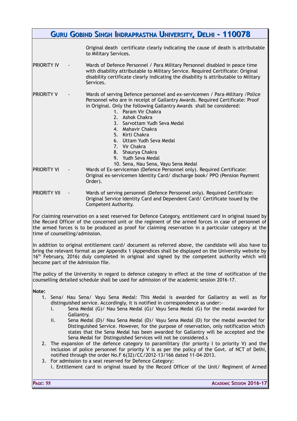|                                | GURU GOBIND SINGH INDRAPRASTHA UNIVERSITY, DELHI - 110078                                                                                                                                                                                                                                                                                                                                                                                                                                |
|--------------------------------|------------------------------------------------------------------------------------------------------------------------------------------------------------------------------------------------------------------------------------------------------------------------------------------------------------------------------------------------------------------------------------------------------------------------------------------------------------------------------------------|
|                                | Original death certificate clearly indicating the cause of death is attributable<br>to Military Services.                                                                                                                                                                                                                                                                                                                                                                                |
| <b>PRIORITY IV</b>             | Wards of Defence Personnel / Para Military Personnel disabled in peace time<br>with disability attributable to Military Service. Required Certificate: Original<br>disability certificate clearly indicating the disability is attributable to Military<br>Services.                                                                                                                                                                                                                     |
| <b>PRIORITY V</b>              | Wards of serving Defence personnel and ex-servicemen / Para-Military / Police<br>Personnel who are in receipt of Gallantry Awards. Required Certificate: Proof<br>in Original. Only the following Gallantry Awards shall be considered:<br>1. Param Vir Chakra<br>2. Ashok Chakra<br>3. Sarvottam Yudh Seva Medal<br>4. Mahavir Chakra<br>5. Kirti Chakra<br>6. Uttam Yudh Seva Medal<br>7. Vir Chakra<br>8. Shaurya Chakra<br>9. Yudh Seva Medal<br>10. Sena, Nau Sena, Vayu Sena Medal |
| <b>PRIORITY VI</b>             | Wards of Ex-serviceman (Defence Personnel only). Required Certificate:<br>Original ex-servicemen Identity Card/ discharge book/ PPO (Pension Payment<br>Order).                                                                                                                                                                                                                                                                                                                          |
| <b>PRIORITY VII</b>            | Wards of serving personnel (Defence Personnel only). Required Certificate:<br>Original Service Identity Card and Dependent Card/ Certificate issued by the<br>Competent Authority.                                                                                                                                                                                                                                                                                                       |
| time of counselling/admission. | For claiming reservation on a seat reserved for Defence Category, entitlement card in original issued by<br>the Record Officer of the concerned unit or the regiment of the armed forces in case of personnel of<br>the armed forces is to be produced as proof for claiming reservation in a particular category at the                                                                                                                                                                 |
|                                | In addition to original entitlement card/ document as referred above, the candidate will also have to<br>bring the relevant format as per Appendix 1 (Appendices shall be displayed on the University website by                                                                                                                                                                                                                                                                         |

 $16<sup>th</sup>$  February, 2016) duly completed in original and signed by the competent authority which will become part of the Admission file.

The policy of the University in regard to defence category in effect at the time of notification of the counselling detailed schedule shall be used for admission of the academic session 2016-17.

**Note:**

- 1. Sena/ Nau Sena/ Vayu Sena Medal: This Medal is awarded for Gallantry as well as for distinguished service. Accordingly, it is notified in correspondence as under:
	- i. Sena Medal (G)/ Nau Sena Medal (G)/ Vayu Sena Medal (G) for the medal awarded for Gallantry.
	- ii. Sena Medal (D)/ Nau Sena Medal (D)/ Vayu Sena Medal (D) for the medal awarded for Distinguished Service. However, for the purpose of reservation, only notification which states that the Sena Medal has been awarded for Gallantry will be accepted and the Sena Medal for Distinguished Services will not be considered.s
- 2. The expansion of the defence category to paramilitary (for priority I to priority V) and the inclusion of police personnel for priority V is as per the policy of the Govt. of NCT of Delhi, notified through the order No.F 6(32)/CC/2012-13/166 dated 11-04-2013.
- 3. For admission to a seat reserved for Defence Category: i. Entitlement card in original issued by the Record Officer of the Unit/ Regiment of Armed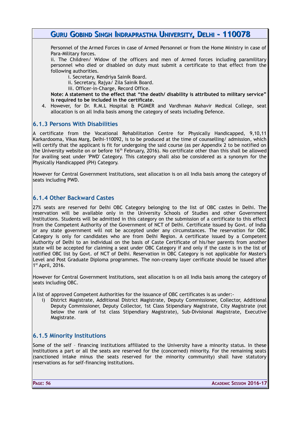Personnel of the Armed Forces in case of Armed Personnel or from the Home Ministry in case of Para-Military forces.

ii. The Children/ Widow of the officers and men of Armed forces including paramilitary personnel who died or disabled on duty must submit a certificate to that effect from the following authorities.

i. Secretary, Kendriya Sainik Board.

- ii. Secretary, Rajya/ Zila Sainik Board.
- iii. Officer-in-Charge, Record Office.

**Note: A statement to the effect that "the death/ disability is attributed to military service" is required to be included in the certificate.** 

4. However, for Dr. R.M.L Hospital & PGIMER and Vardhman Mahavir Medical College, seat allocation is on all India basis among the category of seats including Defence.

#### **6.1.3 Persons With Disabilities**

A certificate from the Vocational Rehabilitation Centre for Physically Handicapped, 9,10,11 Karkardooma, Vikas Marg, Delhi-110092, is to be produced at the time of counselling/ admission, which will certify that the applicant is fit for undergoing the said course (as per Appendix 2 to be notified on the University website on or before 16<sup>th</sup> February, 2016). No certificate other than this shall be allowed for availing seat under 'PWD' Category. This category shall also be considered as a synonym for the Physically Handicapped (PH) Category.

However for Central Government Institutions, seat allocation is on all India basis among the category of seats including PWD.

#### **6.1.4 Other Backward Castes**

27% seats are reserved for Delhi OBC Category belonging to the list of OBC castes in Delhi. The reservation will be available only in the University Schools of Studies and other Government Institutions. Students will be admitted in this category on the submission of a certificate to this effect from the Competent Authority of the Government of NCT of Delhi. Certificate issued by Govt. of India or any state government will not be accepted under any circumstances. The reservation for OBC Category is only for candidates who are from Delhi Region. A certificate issued by a Competent Authority of Delhi to an individual on the basis of Caste Certificate of his/her parents from another state will be accepted for claiming a seat under OBC Category if and only if the caste is in the list of notified OBC list by Govt. of NCT of Delhi. Reservation in OBC Category is not applicable for Master's Level and Post Graduate Diploma programmes. The non-creamy layer cerificate should be issued after 1 st April, 2016.

However for Central Government Institutions, seat allocation is on all India basis among the category of seats including OBC.

A list of approved Competent Authorities for the issuance of OBC certificates is as under:-

i) District Magistrate, Additional District Magistrate, Deputy Commissioner, Collector, Additional Deputy Commissioner, Deputy Collector, 1st Class Stipendiary Magistrate, City Magistrate (not below the rank of 1st class Stipendiary Magistrate), Sub-Divisional Magistrate, Executive Magistrate.

### **6.1.5 Minority Institutions**

Some of the self – financing institutions affiliated to the University have a minority status. In these institutions a part or all the seats are reserved for the (concerned) minority. For the remaining seats (sanctioned intake minus the seats reserved for the minority community) shall have statutory reservations as for self-financing institutions.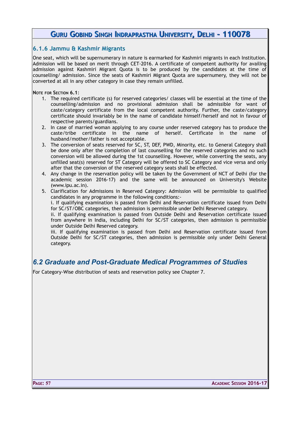### **6.1.6 Jammu & Kashmir Migrants**

One seat, which will be supernumerary in nature is earmarked for Kashmiri migrants in each Institution. Admission will be based on merit through CET-2016. A certificate of competent authority for availing admission against Kashmiri Migrant Quota is to be produced by the candidates at the time of counselling/ admission. Since the seats of Kashmiri Migrant Quota are supernumery, they will not be converted at all in any other category in case they remain unfilled.

**NOTE FOR SECTION 6.1**:

- 1. The required certificate (s) for reserved categories/ classes will be essential at the time of the counselling/admission and no provisional admission shall be admissible for want of caste/category certificate from the local competent authority. Further, the caste/category certificate should invariably be in the name of candidate himself/herself and not in favour of respective parents/guardians.
- 2. In case of married woman applying to any course under reserved category has to produce the caste/tribe certificate in the name of herself. Certificate in the name of husband/mother/father is not acceptable.
- 3. The conversion of seats reserved for SC, ST, DEF, PWD, Minority, etc. to General Category shall be done only after the completion of last counselling for the reserved categories and no such conversion will be allowed during the 1st counselling. However, while converting the seats, any unfilled seat(s) reserved for ST Category will be offered to SC Category and vice versa and only after that the conversion of the reserved category seats shall be effected.
- 4. Any change in the reservation policy will be taken by the Government of NCT of Delhi (for the academic session 2016-17) and the same will be announced on University's Website (www.ipu.ac.in).
- 5. Clarification for Admissions in Reserved Category: Admission will be permissible to qualified candidates in any programme in the following conditions:-

i. If qualifying examination is passed from Delhi and Reservation certificate issued from Delhi for SC/ST/OBC categories, then admission is permissible under Delhi Reserved category.

ii. If qualifying examination is passed from Outside Delhi and Reservation certificate issued from anywhere in India, including Delhi for SC/ST categories, then admission is permissible under Outside Delhi Reserved category.

iii. If qualifying examination is passed from Delhi and Reservation certificate issued from Outside Delhi for SC/ST categories, then admission is permissible only under Delhi General category.

### *6.2 Graduate and Post-Graduate Medical Programmes of Studies*

For Category-Wise distribution of seats and reservation policy see Chapter 7.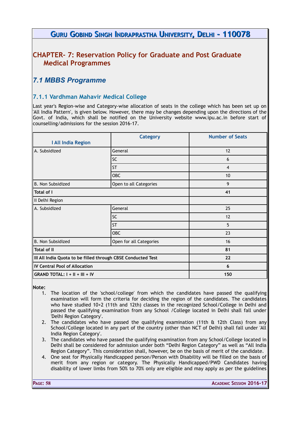### **CHAPTER- 7: Reservation Policy for Graduate and Post Graduate Medical Programmes**

# *7.1 MBBS Programme*

### **7.1.1 Vardhman Mahavir Medical College**

Last year's Region-wise and Category-wise allocation of seats in the college which has been set up on 'All India Pattern', is given below. However, there may be changes depending upon the directions of the Govt. of India, which shall be notified on the University website www.ipu.ac.in before start of counselling/admissions for the session 2016-17.

| I All India Region                                           | <b>Category</b>         | <b>Number of Seats</b> |
|--------------------------------------------------------------|-------------------------|------------------------|
| A. Subsidized                                                | General                 | 12                     |
|                                                              | <b>SC</b>               | 6                      |
|                                                              | <b>ST</b>               | 4                      |
|                                                              | OBC                     | 10                     |
| B. Non Subsidized                                            | Open to all Categories  | 9                      |
| Total of I                                                   |                         | 41                     |
| II Delhi Region                                              |                         |                        |
| A. Subsidized                                                | General                 | 25                     |
|                                                              | <b>SC</b>               | 12                     |
|                                                              | <b>ST</b>               | 5                      |
|                                                              | OBC                     | 23                     |
| B. Non Subsidized                                            | Open for all Categories | 16                     |
| Total of II                                                  |                         | 81                     |
| III All India Quota to be filled through CBSE Conducted Test |                         | 22                     |
| <b>IV Central Pool of Allocation</b>                         |                         | 6                      |
| GRAND TOTAL: I + II + III + IV                               |                         | 150                    |

**Note:** 

- 1. The location of the 'school/college' from which the candidates have passed the qualifying examination will form the criteria for deciding the region of the candidates. The candidates who have studied 10+2 (11th and 12th) classes in the recognized School/College in Delhi and passed the qualifying examination from any School /College located in Delhi shall fall under 'Delhi Region Category'.
- 2. The candidates who have passed the qualifying examination (11th & 12th Class) from any School/College located in any part of the country (other than NCT of Delhi) shall fall under 'All India Region Category'.
- 3. The candidates who have passed the qualifying examination from any School/College located in Delhi shall be considered for admission under both "Delhi Region Category" as well as "All India Region Category". This consideration shall, however, be on the basis of merit of the candidate.
- 4. One seat for Physically Handicapped person/Person with Disability will be filled on the basis of merit from any region or category. The Physically Handicapped/PWD Candidates having disability of lower limbs from 50% to 70% only are eligible and may apply as per the guidelines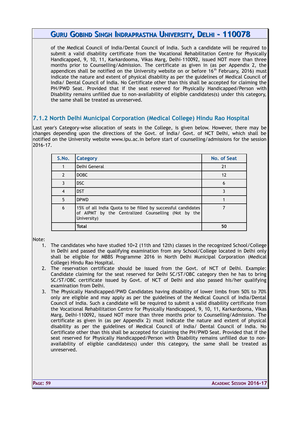of the Medical Council of India/Dental Council of India. Such a candidate will be required to submit a valid disability certificate from the Vocational Rehabilitation Centre for Physically Handicapped, 9, 10, 11, Karkardooma, Vikas Marg, Delhi-110092, issued NOT more than three months prior to Counselling/Admission. The certificate as given in (as per Appendix 2, the appendices shall be notified on the University website on or before  $16<sup>th</sup>$  February, 2016) must indicate the nature and extent of physical disability as per the guidelines of Medical Council of India/ Dental Council of India. No Certificate other than this shall be accepted for claiming the PH/PWD Seat. Provided that if the seat reserved for Physically Handicapped/Person with Disability remains unfilled due to non-availability of eligible candidates(s) under this category, the same shall be treated as unreserved.

### **7.1.2 North Delhi Municipal Corporation (Medical College) Hindu Rao Hospital**

Last year's Category-wise allocation of seats in the College, is given below. However, there may be changes depending upon the directions of the Govt. of India/ Govt. of NCT Delhi, which shall be notified on the University website www.ipu.ac.in before start of counselling/admissions for the session 2016-17.

| S.No.          | <b>Category</b>                                                                                                                    | No. of Seat |
|----------------|------------------------------------------------------------------------------------------------------------------------------------|-------------|
|                | Delhi General                                                                                                                      | 21          |
| $\mathcal{P}$  | DOBC                                                                                                                               | 12          |
| 3              | <b>DSC</b>                                                                                                                         | 6           |
| $\overline{4}$ | <b>DST</b>                                                                                                                         | ζ           |
| 5              | <b>DPWD</b>                                                                                                                        |             |
| 6              | 15% of all India Quota to be filled by successful candidates<br>of AIPMT by the Centralized Counselling (Not by the<br>University) |             |
|                | <b>Total</b>                                                                                                                       | 50          |

Note:

- 1. The candidates who have studied 10+2 (11th and 12th) classes in the recognized School/College in Delhi and passed the qualifying examination from any School/College located in Delhi only shall be eligible for MBBS Programme 2016 in North Delhi Municipal Corporation (Medical College) Hindu Rao Hospital.
- 2. The reservation certificate should be issued from the Govt. of NCT of Delhi. Example: Candidate claiming for the seat reserved for Delhi SC/ST/OBC category then he has to bring SC/ST/OBC certificate issued by Govt. of NCT of Delhi and also passed his/her qualifying examination from Delhi.
- 3. The Physically Handicapped/PWD Candidates having disability of lower limbs from 50% to 70% only are eligible and may apply as per the guidelines of the Medical Council of India/Dental Council of India. Such a candidate will be required to submit a valid disability certificate from the Vocational Rehabilitation Centre for Physically Handicapped, 9, 10, 11, Karkardooma, Vikas Marg, Delhi-110092, issued NOT more than three months prior to Counselling/Admission. The certificate as given in (as per Appendix 2) must indicate the nature and extent of physical disability as per the guidelines of Medical Council of India/ Dental Council of India. No Certificate other than this shall be accepted for claiming the PH/PWD Seat. Provided that if the seat reserved for Physically Handicapped/Person with Disability remains unfilled due to nonavailability of eligible candidates(s) under this category, the same shall be treated as unreserved.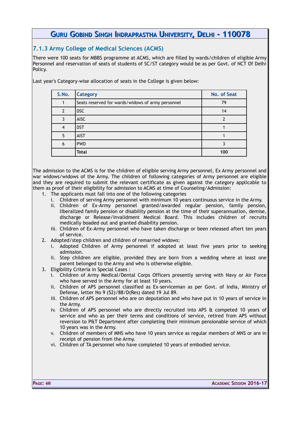### **7.1.3 Army College of Medical Sciences (ACMS)**

There were 100 seats for MBBS programme at ACMS, which are filled by wards/children of eligible Army Personnel and reservation of seats of students of SC/ST category would be as per Govt. of NCT Of Delhi Policy.

Last year's Category-wise allocation of seats in the College is given below:

| S.No. | <b>Category</b>                                   | No. of Seat |
|-------|---------------------------------------------------|-------------|
|       | Seats reserved for wards/widows of army personnel | 79          |
| 2     | DSC                                               | 14          |
| ς     | <b>AISC</b>                                       |             |
|       | <b>DST</b>                                        |             |
| 5     | <b>AIST</b>                                       |             |
| 6     | <b>PWD</b>                                        |             |
|       | <b>Total</b>                                      | 100         |

The admission to the ACMS is for the children of eligible serving Army personnel, Ex Army personnel and war widows/widows of the Army. The children of following categories of Army personnel are eligible and they are required to submit the relevant certificate as given against the category applicable to them as proof of their eligibility for admission to ACMS at time of Counseling/Admission:

- 1. The applicants must fall into one of the following categories
	- i. Children of serving Army personnel with minimum 10 years continuous service in the Army.
	- ii. Children of Ex-Army personnel granted/awarded regular pension, family pension, liberalized family pension or disability pension at the time of their superannuation, demise, discharge or Release/Invalidment Medical Board. This includes children of recruits medically boaded out and granted disability pension.
	- iii. Children of Ex-Army personnel who have taken discharge or been released aftert ten years of service.
- 2. Adopted/step children and children of remarried widows:
	- i. Adopted Children of Army personnel if adopted at least five years prior to seeking admission.
	- ii. Step children are eligible, provided they are born from a wedding where at least one parent belonged to the Army and who is otherwise eligible.
- 3. Eligibility Criteria in Special Cases :
	- i. Children of Army Medical/Dental Corps Officers presently serving with Navy or Air Force who have served in the Army for at least 10 years.
	- ii. Children of APS personnel classified as Ex-serviceman as per Govt. of India, Ministry of Defense, letter No 9 (52)/88/D(Res) dated 19 Jul 89.
	- iii. Children of APS personnel who are on deputation and who have put in 10 years of service in the Army.
	- iv. Children of APS personnel who are directly recruited into APS & competed 10 years of service and who as per their terms and conditions of service, retired from APS without reversion to P&T Department after completing their minimum pensionable service of which 10 years was in the Army.
	- v. Children of members of MNS who have 10 years service as regular members of MNS or are in receipt of pension from the Army.
	- vi. Children of TA personnel who have completed 10 years of embodied service.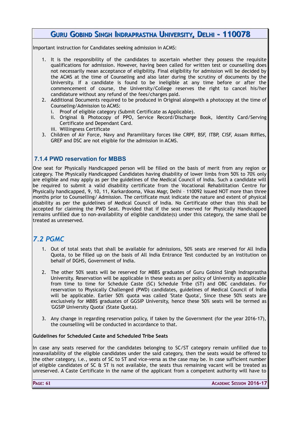Important instruction for Candidates seeking admission in ACMS:

- 1. It is the responsibility of the candidates to ascertain whether they possess the requisite qualifications for admission. However, having been called for written test or counselling does not necessarily mean acceptance of eligibility. Final eligibility for admission will be decided by the ACMS at the time of Counseling and also later during the scrutiny of documents by the University. If a candidate is found to be ineligible at any time before or after the commencement of course, the University/College reserves the right to cancel his/her candidature without any refund of the fees/charges paid.
- 2. Additional Documents required to be produced in Original alongwith a photocopy at the time of Counseling/Admission to ACMS:
	- i. Proof of eligible category (Submit Certificate as Applicable).
	- ii. Original & Photocopy of PPO, Service Record/Discharge Book, Identity Card/Serving Certificate and Dependant Card.
	- iii. Willingness Certificate
- 3. Children of Air Force, Navy and Paramilitary forces like CRPF, BSF, ITBP, CISF, Assam Riffles, GREF and DSC are not eligible for the admission in ACMS.

### **7.1.4 PWD reservation for MBBS**

One seat for Physically Handicapped person will be filled on the basis of merit from any region or category. The Physically Handicapped Candidates having disability of lower limbs from 50% to 70% only are eligible and may apply as per the guidelines of the Medical Council of India. Such a candidate will be required to submit a valid disability certificate from the Vocational Rehabilitation Centre for Physically handicapped, 9, 10, 11, Karkardooma, Vikas Magr, Delhi – 110092 issued NOT more than three months prior to Counselling/ Admission. The certificate must indicate the nature and extent of physical disability as per the guidelines of Medical Council of India. No Certificate other than this shall be accepted for claiming the PWD Seat. Provided that if the seat reserved for Physically Handicapped remains unfilled due to non-availability of eligible candidate(s) under this category, the same shall be treated as unreserved.

# *7.2 PGMC*

- 1. Out of total seats that shall be available for admissions, 50% seats are reserved for All India Quota, to be filled up on the basis of All India Entrance Test conducted by an institution on behalf of DGHS, Government of India.
- 2. The other 50% seats will be reserved for MBBS graduates of Guru Gobind Singh Indraprastha University. Reservation will be applicable in these seats as per policy of University as applicable from time to time for Schedule Caste (SC) Schedule Tribe (ST) and OBC candidates. For reservation to Physically Challenged (PWD) candidates, guidelines of Medical Council of India will be applicable. Earlier 50% quota was called 'State Quota', Since these 50% seats are exclusively for MBBS graduates of GGSIP University, hence these 50% seats will be termed as 'GGSIP University Quota' (State Quota).
- 3. Any change in regarding reservation policy, if taken by the Government (for the year 2016-17), the counselling will be conducted in accordance to that.

#### **Guidelines for Scheduled Caste and Scheduled Tribe Seats**

In case any seats reserved for the candidates belonging to SC/ST category remain unfilled due to nonavailability of the eligible candidates under the said category, then the seats would be offered to the other category, i.e., seats of SC to ST and vice-versa as the case may be. In case sufficient number of eligible candidates of SC & ST is not available, the seats thus remaining vacant will be treated as unreserved. A Caste Certificate in the name of the applicant from a competent authority will have to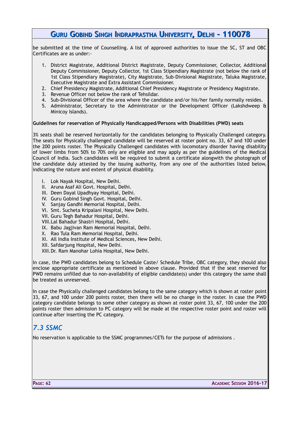be submitted at the time of Counselling. A list of approved authorities to issue the SC, ST and OBC Certificates are as under:-

- 1. District Magistrate, Additional District Magistrate, Deputy Commissioner, Collector, Additional Deputy Commissioner, Deputy Collector, 1st Class Stipendiary Magistrate (not below the rank of 1st Class Stipendiary Magistrate), City Magistrate, Sub-Divisional Magistrate, Taluka Magistrate, Executive Magistrate and Extra Assistant Commissioner.
- 2. Chief Presidency Magistrate, Additional Chief Presidency Magistrate or Presidency Magistrate.
- 3. Revenue Officer not below the rank of Tehsildar.
- 4. Sub-Divisional Officer of the area where the candidate and/or his/her family normally resides.
- 5. Administrator, Secretary to the Administrator or the Development Officer (Lakshdweep & Minicoy Islands).

#### **Guidelines for reservation of Physically Handicapped/Persons with Disabilities (PWD) seats**

3% seats shall be reserved horizontally for the candidates belonging to Physically Challenged category. The seats for Physically challenged candidate will be reserved at roster point no. 33, 67 and 100 under the 200 points roster. The Physically Challenged candidates with locomotary disorder having disability of lower limbs from 50% to 70% only are eligible and may apply as per the guidelines of the Medical Council of India. Such candidates will be required to submit a certificate alongwith the photograph of the candidate duly attested by the issuing authority, from any one of the authorities listed below, indicating the nature and extent of physical disability.

- I. Lok Nayak Hospital, New Delhi.
- II. Aruna Asaf Ali Govt. Hospital, Delhi.
- III. Deen Dayal Upadhyay Hospital, Delhi.
- IV. Guru Gobind Singh Govt. Hospital, Delhi.
- V. Sanjay Gandhi Memorial Hospital, Delhi.
- VI. Smt. Sucheta Kripalani Hospital, New Delhi.
- VII. Guru Tegh Bahadur Hospital, Delhi.
- VIII.Lal Bahadur Shastri Hospital, Delhi.
- IX. Babu Jagjivan Ram Memorial Hospital, Delhi.
- X. Rao Tula Ram Memorial Hospital, Delhi.
- XI. All India Institute of Medical Sciences, New Delhi.
- XII. Safdarjung Hospital, New Delhi.
- XIII.Dr. Ram Manohar Lohia Hospital, New Delhi.

In case, the PWD candidates belong to Schedule Caste/ Schedule Tribe, OBC category, they should also enclose appropriate certificate as mentioned in above clause. Provided that if the seat reserved for PWD remains unfilled due to non-availability of eligible candidate(s) under this category the same shall be treated as unreserved.

In case the Physically challenged candidates belong to the same category which is shown at roster point 33, 67, and 100 under 200 points roster, then there will be no change in the roster. In case the PWD category candidate belongs to some other category as shown at roster point 33, 67, 100 under the 200 points roster then admission to PC category will be made at the respective roster point and roster will continue after inserting the PC category.

### *7.3 SSMC*

No reservation is applicable to the SSMC programmes/CETs for the purpose of admissions .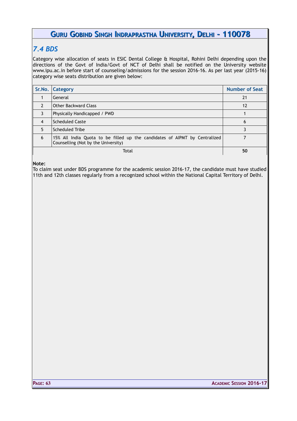### *7.4 BDS*

Category wise allocation of seats in ESIC Dental College & Hospital, Rohini Delhi depending upon the directions of the Govt of India/Govt of NCT of Delhi shall be notified on the University website www.ipu.ac.in before start of counseling/admissions for the session 2016-16. As per last year (2015-16) category wise seats distribution are given below:

| Sr.No.         | <b>Category</b>                                                                                                   | <b>Number of Seat</b> |
|----------------|-------------------------------------------------------------------------------------------------------------------|-----------------------|
|                | General                                                                                                           | 21                    |
| $\overline{2}$ | <b>Other Backward Class</b>                                                                                       | 12                    |
| 3              | Physically Handicapped / PWD                                                                                      |                       |
| 4              | <b>Scheduled Caste</b>                                                                                            | 6                     |
| 5              | <b>Scheduled Tribe</b>                                                                                            |                       |
| 6              | 15% All India Quota to be filled up the candidates of AIPMT by Centralized<br>Counselling (Not by the University) |                       |
|                | Total                                                                                                             | 50                    |

**Note:**

To claim seat under BDS programme for the academic session 2016-17, the candidate must have studied 11th and 12th classes regularly from a recognized school within the National Capital Territory of Delhi.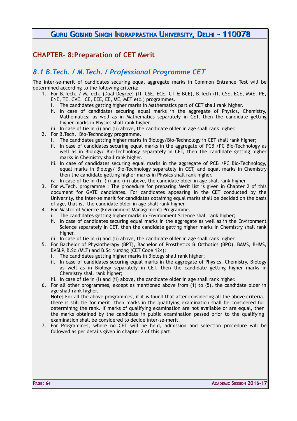# **CHAPTER- 8:Preparation of CET Merit**

### *8.1 B.Tech. / M.Tech. / Professional Programme CET*

The inter-se-merit of candidates securing equal aggregate marks in Common Entrance Test will be determined according to the following criteria:

- 1. For B.Tech. / M.Tech. (Dual Degree) (IT, CSE, ECE, CT & BCE), B.Tech (IT, CSE, ECE, MAE, PE, ENE, TE, CVE, ICE, EEE, EE, ME, MET etc.) programmes.
	- i. The candidates getting higher marks in Mathematics part of CET shall rank higher.
	- ii. In case of candidates securing equal marks in the aggregate of Physics, Chemistry, Mathematics: as well as in Mathematics separately in CET, then the candidate getting higher marks in Physics shall rank higher.
	- iii. In case of tie in (i) and (ii) above, the candidate older in age shall rank higher.
- 2. For B.Tech. Bio-Technology programme.
	- i. The candidates getting higher marks in Biology/Bio-Technology in CET shall rank higher;
	- ii. In case of candidates securing equal marks in the aggregate of PCB /PC Bio-Technology as well as in Biology/ Bio-Technology separately in CET, then the candidate getting higher marks in Chemistry shall rank higher.
	- iii. In case of candidates securing equal marks in the aggregate of PCB /PC Bio-Technology, equal marks in Biology/ Bio-Technology separately in CET, and equal marks in Chemistry then the candidate getting higher marks in Physics shall rank higher.
	- iv. In case of tie in (I), (ii) and (iii) above, the candidate older in age shall rank higher.
- 3. For M.Tech. programme : The procedure for preparing Merit list is given in Chapter 2 of this document for GATE candidates. For candidates appearing in the CET conducted by the University, the inter-se merit for candidates obtaining equal marks shall be decided on the basis of age, that is, the candidate older in age shall rank higher.
- 4. For Master of Science (Environment Management) Programme.
	- i. The candidates getting higher marks in Environment Science shall rank higher;
	- ii. In case of candidates securing equal marks in the aggregate as well as in the Environment Science separately in CET, then the candidate getting higher marks in Chemistry shall rank higher.
	- iii. In case of tie in (i) and (ii) above, the candidate older in age shall rank higher
- 5. For Bachelor of Physiotherapy (BPT), Bachelor of Prosthetics & Orthotics (BPO), BAMS, BHMS, BASLP, B.Sc.(MLT) and B.Sc Nursing (CET Code 124):
	- i. The candidates getting higher marks in Biology shall rank higher;
	- ii. In case of candidates securing equal marks in the aggregate of Physics, Chemistry, Biology as well as in Biology separately in CET, then the candidate getting higher marks in Chemistry shall rank higher;
	- iii. In case of tie in (i) and (ii) above, the candidate older in age shall rank higher.

6. For all other programmes, except as mentioned above from (1) to (5), the candidate older in age shall rank higher.

**Note:** For all the above programmes, if it is found that after considering all the above criteria, there is still tie for merit, then marks in the qualifying examination shall be considered for determining the rank. If marks of qualifying examination are not available or are equal, then the marks obtained by the candidate in public examination passed prior to the qualifying examination shall be considered to decide inter-se-merit.

7. For Programmes, where no CET will be held, admission and selection procedure will be followed as per details given in chapter 2 of this part.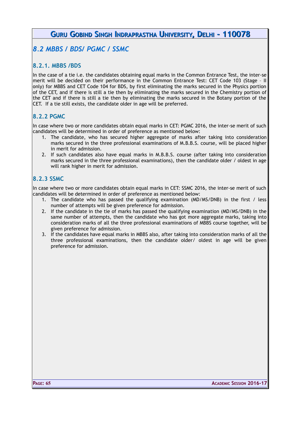### *8.2 MBBS / BDS/ PGMC / SSMC*

### **8.2.1. MBBS /BDS**

In the case of a tie i.e. the candidates obtaining equal marks in the Common Entrance Test, the inter-se merit will be decided on their performance in the Common Entrance Test: CET Code 103 (Stage – II only) for MBBS and CET Code 104 for BDS, by first eliminating the marks secured in the Physics portion of the CET, and if there is still a tie then by eliminating the marks secured in the Chemistry portion of the CET and if there is still a tie then by eliminating the marks secured in the Botany portion of the CET. If a tie still exists, the candidate older in age will be preferred.

### **8.2.2 PGMC**

In case where two or more candidates obtain equal marks in CET: PGMC 2016, the inter-se merit of such candidates will be determined in order of preference as mentioned below:

- 1. The candidate, who has secured higher aggregate of marks after taking into consideration marks secured in the three professional examinations of M.B.B.S. course, will be placed higher in merit for admission.
- 2. If such candidates also have equal marks in M.B.B.S. course (after taking into consideration marks secured in the three professional examinations), then the candidate older / oldest in age will rank higher in merit for admission.

### **8.2.3 SSMC**

In case where two or more candidates obtain equal marks in CET: SSMC 2016, the inter-se merit of such candidates will be determined in order of preference as mentioned below:

- 1. The candidate who has passed the qualifying examination (MD/MS/DNB) in the first / less number of attempts will be given preference for admission.
- 2. If the candidate in the tie of marks has passed the qualifying examination (MD/MS/DNB) in the same number of attempts, then the candidate who has got more aggregate marks, taking into consideration marks of all the three professional examinations of MBBS course together, will be given preference for admission.
- 3. If the candidates have equal marks in MBBS also, after taking into consideration marks of all the three professional examinations, then the candidate older/ oldest in age will be given preference for admission.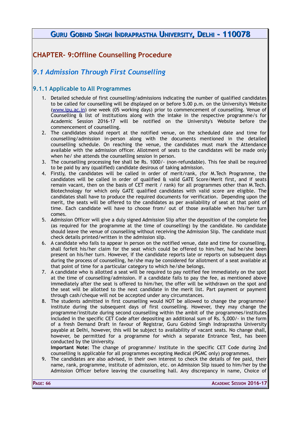# **CHAPTER- 9:Offline Counselling Procedure**

# *9.1 Admission Through First Counselling*

### **9.1.1 Applicable to All Programmes**

- 1. Detailed schedule of first counselling/admissions indicating the number of qualified candidates to be called for counselling will be displayed on or before 5.00 p.m. on the University's Website [\(www.ipu.ac.in\)](http://www.ipu.ac.in/) one week (05 working days) prior to commencement of counselling. Venue of Counselling & list of institutions along with the intake in the respective programme/s for Academic Session 2016-17 will be notified on the University's Website before the commencement of counselling.
- 2. The candidates should report at the notified venue, on the scheduled date and time for counselling/admission in-person along with the documents mentioned in the detailed counselling schedule. On reaching the venue, the candidates must mark the Attendance available with the admission officer. Allotment of seats to the candidates will be made only when he/ she attends the counselling session in person.
- 3. The counselling processing fee shall be Rs. 1000/- (non-refundable). This fee shall be required to be paid by any (qualified) candidate desirous of taking admission.
- 4. Firstly, the candidates will be called in order of merit/rank, (for M.Tech Programme, the candidates will be called in order of qualified & valid GATE Score/Merit first, and if seats remain vacant, then on the basis of CET merit / rank) for all programmes other than M.Tech. Biotechnology for which only GATE qualified candidates with valid score are eligible. The candidates shall have to produce the required documents for verification. Depending upon the merit, the seats will be offered to the candidates as per availability of seat at that point of time. Each candidate will have to choose from/ out of those available when his/her turn comes.
- 5. Admission Officer will give a duly signed Admission Slip after the deposition of the complete fee (as required for the programme at the time of counselling) by the candidate. No candidate should leave the venue of counselling without receiving the Admission Slip. The candidate must check details printed/written in the admission slip.
- 6. A candidate who fails to appear in person on the notified venue, date and time for counselling, shall forfeit his/her claim for the seat which could be offered to him/her, had he/she been present on his/her turn. However, if the candidate reports late or reports on subsequent days during the process of counselling, he/she may be considered for allotment of a seat available at that point of time for a particular category to which he/she belongs.
- 7. A candidate who is allotted a seat will be required to pay notified fee immediately on the spot at the time of counselling/admission. If a candidate fails to pay the fee, as mentioned above immediately after the seat is offered to him/her, the offer will be withdrawn on the spot and the seat will be allotted to the next candidate in the merit list. Part payment or payment through cash/cheque will not be accepted under any circumstances.
- 8. The students admitted in first counselling would NOT be allowed to change the programme/ institute during the subsequent days of first counselling. However, they may change the programme/institute during second counselling within the ambit of the programmes/institutes included in the specific CET Code after depositing an additional sum of Rs. 5,000/- in the form of a fresh Demand Draft in favour of Registrar, Guru Gobind Singh Indraprastha University payable at Delhi, however, this will be subject to availability of vacant seats. No change shall, however, be permitted for a programme for which a separate Entrance Test, has been conducted by the University.
- **Important Note:** The change of programme/ Institute in the specific CET Code during 2nd counselling is applicable for all programmes excepting Medical (PGMC only) programmes.
- 9. The candidates are also advised, in their own interest to check the details of fee paid, their name, rank, programme, institute of admission, etc. on Admission Slip issued to him/her by the Admission Officer before leaving the counselling hall. Any discrepancy in name, Choice of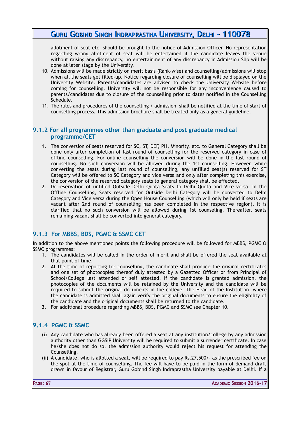allotment of seat etc. should be brought to the notice of Admission Officer. No representation regarding wrong allotment of seat will be entertained if the candidate leaves the venue without raising any discrepancy, no entertainment of any discrepancy in Admission Slip will be done at later stage by the University.

- 10. Admissions will be made strictly on merit basis (Rank-wise) and counselling/admissions will stop when all the seats get filled-up. Notice regarding closure of counselling will be displayed on the University Website. Parents/candidates are advised to check the University Website before coming for counselling. University will not be responsible for any inconvenience caused to parents/candidates due to closure of the counselling prior to dates notified in the Counselling Schedule.
- 11. The rules and procedures of the counselling / admission shall be notified at the time of start of counselling process. This admission brochure shall be treated only as a general guideline.

### **9.1.2 For all programmes other than graduate and post graduate medical programme/CET**

- 1. The conversion of seats reserved for SC, ST, DEF, PH, Minority, etc. to General Category shall be done only after completion of last round of counselling for the reserved category in case of offline counselling. For online counselling the conversion will be done in the last round of counselling. No such conversion will be allowed during the 1st counselling. However, while converting the seats during last round of counselling, any unfilled seat(s) reserved for ST Category will be offered to SC Category and vice versa and only after completing this exercise, the conversion of the reserved category seats to general category shall be effected.
- 2. De-reservation of unfilled Outside Delhi Quota Seats to Delhi Quota and Vice versa: In the Offline Counselling, Seats reserved for Outside Delhi Category will be converted to Delhi Category and Vice versa during the Open House Counselling (which will only be held if seats are vacant after 2nd round of counselling has been completed in the respective region). It is clarified that no such conversion will be allowed during 1st counseling. Thereafter, seats remaining vacant shall be converted into general category.

### **9.1.3 For MBBS, BDS, PGMC & SSMC CET**

In addition to the above mentioned points the following procedure will be followed for MBBS, PGMC & SSMC programmes:

- 1. The candidates will be called in the order of merit and shall be offered the seat available at that point of time.
- 2. At the time of reporting for counselling, the candidate shall produce the original certificates and one set of photocopies thereof duly attested by a Gazetted Officer or from Principal of School/College last attended or self attested. If the candidate is granted admission, the photocopies of the documents will be retained by the University and the candidate will be required to submit the original documents in the college. The Head of the Institution, where the candidate is admitted shall again verify the original documents to ensure the eligibility of the candidate and the original documents shall be returned to the candidate.
- 3. For additional procedure regarding MBBS, BDS, PGMC and SSMC see Chapter 10.

### **9.1.4 PGMC & SSMC**

- (i) Any candidate who has already been offered a seat at any institution/college by any admission authority other than GGSIP University will be required to submit a surrender certificate. In case he/she does not do so, the admission authority would reject his request for attending the Counselling.
- (ii) A candidate, who is allotted a seat, will be required to pay Rs.27,500/- as the prescribed fee on the spot at the time of counselling. The fee will have to be paid in the form of demand draft drawn in favour of Registrar, Guru Gobind Singh Indraprastha University payable at Delhi. If a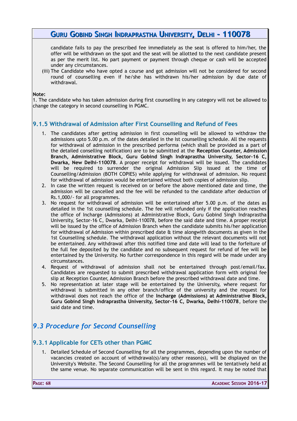candidate fails to pay the prescribed fee immediately as the seat is offered to him/her, the offer will be withdrawn on the spot and the seat will be allotted to the next candidate present as per the merit list. No part payment or payment through cheque or cash will be accepted under any circumstances.

(iii) The Candidate who have opted a course and got admission will not be considered for second round of counselling even if he/she has withdrawn his/her admission by due date of withdrawal.

#### **Note:**

1. The candidate who has taken admission during first counselling in any category will not be allowed to change the category in second counselling in PGMC.

### **9.1.5 Withdrawal of Admission after First Counselling and Refund of Fees**

- 1. The candidates after getting admission in first counselling will be allowed to withdraw the admissions upto 5.00 p.m. of the dates detailed in the Ist counselling schedule. All the requests for withdrawal of admission in the prescribed performa (which shall be provided as a part of the detailed conselling notification) are to be submitted at the **Reception Counter, Admission Branch, Administrative Block, Guru Gobind Singh Indraprastha University, Sector-16 C, Dwarka, New Delhi-110078**. A proper receipt for withdrawal will be issued. The candidates will be required to surrender the original Admission Slip issued at the time of Counselling/Admission (BOTH COPIES) while applying for withdrawal of admission. No request for withdrawal of admission would be entertained without both copies of admission slip.
- 2. In case the written request is received on or before the above mentioned date and time, the admission will be cancelled and the fee will be refunded to the candidate after deduction of Rs.1,000/- for all programmes.
- 3. No request for withdrawal of admission will be entertained after 5.00 p.m. of the dates as detailed in the 1st counselling schedule. The fee will refunded only if the application reaches the office of Incharge (Admissions) at Administrative Block, Guru Gobind Singh Indraprastha University, Sector-16 C, Dwarka, Delhi-110078, before the said date and time. A proper receipt will be issued by the office of Admission Branch when the candidate submits his/her application for withdrawal of Admission within prescribed date & time alongwith documents as given in the 1st Counselling schedule. The withdrawal application without the relevant documents will not be entertained. Any withdrawal after this notified time and date will lead to the forfeiture of the full fee deposited by the candidate and no subsequent request for refund of fee will be entertained by the University. No further correspondence in this regard will be made under any circumstances.
- 4. Request of withdrawal of admission shall not be entertained through post/email/fax. Candidates are requested to submit prescribed withdrawal application form with original fee slip at Reception Counter, Admission Branch before the prescribed withdrawal date and time.
- 5. No representation at later stage will be entertained by the University, where request for withdrawal is submitted in any other branch/office of the university and the request for withdrawal does not reach the office of the **Incharge (Admissions) at Administrative Block, Guru Gobind Singh Indraprastha University, Sector-16 C, Dwarka, Delhi-110078**, before the said date and time.

# *9.3 Procedure for Second Counselling*

### **9.3.1 Applicable for CETs other than PGMC**

1. Detailed Schedule of Second Counselling for all the programmes, depending upon the number of vacancies created on account of withdrawal(s)/any other reason(s), will be displayed on the University's Website. The Second Counselling for all the programmes will be tentatively held at the same venue. No separate communication will be sent in this regard. It may be noted that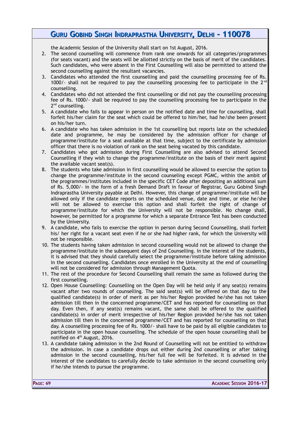the Academic Session of the University shall start on 1st August, 2016.

- 2. The second counselling will commence from rank one onwards for all categories/programmes (for seats vacant) and the seats will be allotted strictly on the basis of merit of the candidates. Such candidates, who were absent in the First Counselling will also be permitted to attend the second counselling against the resultant vacancies.
- 3. Candidates who attended the first counselling and paid the counselling processing fee of Rs. 1000/- shall not be required to pay the counselling processing fee to participate in the  $2^{nd}$ counselling.
- 4. Candidates who did not attended the first counselling or did not pay the counselling processing fee of Rs. 1000/- shall be required to pay the counselling processing fee to participate in the 2<sup>nd</sup> counselling.
- 5. A candidate who fails to appear in person on the notified date and time for counselling, shall forfeit his/her claim for the seat which could be offered to him/her, had he/she been present on his/her turn.
- 6. A candidate who has taken admission in the 1st counselling but reports late on the scheduled date and programme, he may be considered by the admission officer for change of programme/institute for a seat available at that time, subject to the certificate by admission officer that there is no violation of rank on the seat being vacated by this candidate.
- 7. Candidates who got admission during First Counselling are also advised to attend Second Counselling if they wish to change the programme/institute on the basis of their merit against the available vacant seat(s).
- 8. The students who take admission in first counselling would be allowed to exercise the option to change the programme/institute in the second counseling except PGMC, within the ambit of the programmes/institutes included in the specific CET Code after depositing an additional sum of Rs. 5,000/- in the form of a fresh Demand Draft in favour of Registrar, Guru Gobind Singh Indraprastha University payable at Delhi. However, this change of programme/institute will be allowed only if the candidate reports on the scheduled venue, date and time, or else he/she will not be allowed to exercise this option and shall forfeit the right of change of programme/institute for which the University will not be responsible. No change shall, however, be permitted for a programme for which a separate Entrance Test has been conducted by the University.
- 9. A candidate, who fails to exercise the option in person during Second Counselling, shall forfeit his/ her right for a vacant seat even if he or she had higher rank, for which the University will not be responsible.
- 10. The students having taken admission in second counselling would not be allowed to change the programme/institute in the subsequent days of 2nd Counselling. In the interest of the students, it is advised that they should carefully select the programme/institute before taking admission in the second counselling. Candidates once enrolled in the University at the end of counselling will not be considered for admission through Management Quota.
- 11. The rest of the procedure for Second Counselling shall remain the same as followed during the first counselling.
- 12. Open House Counselling: Counselling on the Open Day will be held only if any seat(s) remains vacant after two rounds of counselling. The said seat(s) will be offered on that day to the qualified candidate(s) in order of merit as per his/her Region provided he/she has not taken admission till then in the concerned programme/CET and has reported for counselling on that day. Even then, if any seat(s) remains vacant, the same shall be offered to the qualified candidate(s) in order of merit irrespective of his/her Region provided he/she has not taken admission till then in the concerned programme/CET and has reported for counselling on that day. A counselling processing fee of Rs. 1000/- shall have to be paid by all eligible candidates to participate in the open house counselling. The schedule of the open house counselling shall be notified on 4<sup>th</sup> August, 2016.
- 13. A candidate taking admission in the 2nd Round of Counselling will not be entitled to withdraw the admission. In case a candidate drops out either during 2nd counselling or after taking admission in the second counselling, his/her full fee will be forfeited. It is advised in the interest of the candidates to carefully decide to take admission in the second counselling only if he/she intends to pursue the programme.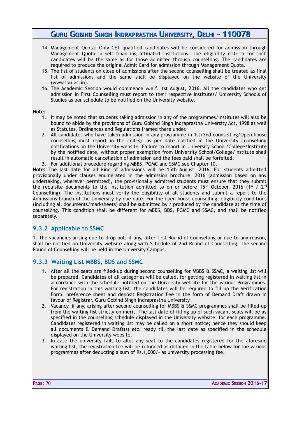- 14. Management Quota: Only CET qualified candidates will be considered for admission through Management Quota in self financing affiliated institutions. The eligibility criteria for such candidates will be the same as for those admitted through counselling. The candidates are required to produce the original Admit Card for admission through Management Quota.
- 15. The list of students on close of admissions after the second counselling shall be treated as final list of admissions and the same shall be displayed on the website of the University (www.ipu.ac.in).
- 16. The Academic Session would commence w.e.f. 1st August, 2016. All the candidates who get admission in First Counselling must report to their respective Institutes/ University Schools of Studies as per schedule to be notified on the University website.

#### **Note:**

- 1. It may be noted that students taking admission in any of the programmes/Institutes will also be bound to abide by the provisions of Guru Gobind Singh Indraprastha University Act, 1998 as well as Statutes, Ordinances and Regulations framed there under.
- 2. All candidates who have taken admission in any programme in 1st/2nd counselling/Open house counselling must report in the college as per date notified in the University counselling notifications on the University website. Failure to report in University School/College/Institute by the notified date, without proper exemption from University School/College/Institute shall result in automatic cancellation of admission and the fees paid shall be forfeited.
- 3. For additional procedure regarding MBBS, PGMC and SSMC see Chapter 10.

**Note:** The last date for all kind of admissions will be 15th August, 2016. For students admitted provisionally under clauses enumerated in the admission brochure, 2016 (admission based on any undertaking, wherever permitted), the provisionally admitted students must ensure that they submit the requisite documents to the Institution admitted to on or before 15<sup>th</sup> October, 2016 (1<sup>st</sup> / 2<sup>nd</sup> Counselling). The Institutions must verify the eligibility of all students and submit a report to the Admissions branch of the University by due date. For the open house counselling, eligibility conditions (including all documents/marksheets) shall be submitted by / produced by the candidate at the time of counselling. This condition shall be different for MBBS, BDS, PGMC and SSMC, and shall be notified separately.

### **9.3.2 Applicable to SSMC**

1. The vacancies arising due to drop out, if any, after first Round of Counselling or due to any reason, shall be notified on University website along with Schedule of 2nd Round of Counselling. The second Round of Counselling will be held in the University Campus.

### **9.3.3 Waiting List MBBS, BDS and SSMC**

- 1. After all the seats are filled-up during second counselling for MBBS & SSMC, a waiting list will be prepared. Candidates of all categories will be called, for getting registered in waiting list in accordance with the schedule notified on the University website for the various Programmes. For registration in this waiting list, the candidates will be required to fill up the Verification Form, preference sheet and deposit Registration Fee in the form of Demand Draft drawn in favour of Registrar, Guru Gobind Singh Indraprastha University.
- 2. Vacancy, if any, arising after second counselling for MBBS & SSMC programmes shall be filled-up from the waiting list strictly on merit. The last date of filling up of such vacant seats will be as specified in the counselling schedule displayed in the University website, for each programme. Candidates registered in waiting list may be called on a short notice; hence they should keep all documents & Demand Draft(s) etc. ready till the last date as specified in the schedule displayed on the University website.
- 3. In case the university fails to allot any seat to the candidates registered for the aforesaid waiting list, the registration fee will be refunded as detailed in the table below for the various programmes after deducting a sum of Rs.1,000/- as university processing fee.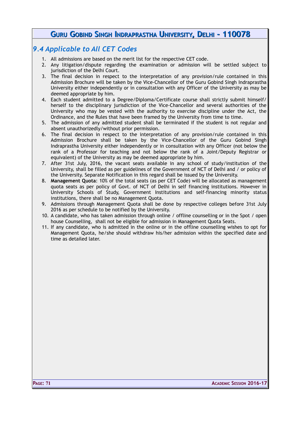### *9.4 Applicable to All CET Codes*

- 1. All admissions are based on the merit list for the respective CET code.
- 2. Any litigation/dispute regarding the examination or admission will be settled subject to jurisdiction of the Delhi Court.
- 3. The final decision in respect to the interpretation of any provision/rule contained in this Admission Brochure will be taken by the Vice-Chancellor of the Guru Gobind Singh Indraprastha University either independently or in consultation with any Officer of the University as may be deemed appropriate by him.
- 4. Each student admitted to a Degree/Diploma/Certificate course shall strictly submit himself/ herself to the disciplinary jurisdiction of the Vice-Chancellor and several authorities of the University who may be vested with the authority to exercise discipline under the Act, the Ordinance, and the Rules that have been framed by the University from time to time.
- 5. The admission of any admitted student shall be terminated if the student is not regular and absent unauthorizedly/without prior permission.
- 6. The final decision in respect to the interpretation of any provision/rule contained in this Admission Brochure shall be taken by the Vice-Chancellor of the Guru Gobind Singh Indraprastha University either independently or in consultation with any Officer (not below the rank of a Professor for teaching and not below the rank of a Joint/Deputy Registrar or equivalent) of the University as may be deemed appropriate by him.
- 7. After 31st July, 2016, the vacant seats available in any school of study/institution of the University, shall be filled as per guidelines of the Government of NCT of Delhi and / or policy of the University. Separate Notification in this regard shall be issued by the University.
- 8. **Management Quota**: 10% of the total seats (as per CET Code) will be allocated as management quota seats as per policy of Govt. of NCT of Delhi in self financing institutions. However in University Schools of Study, Government Institutions and self-financing minority status institutions, there shall be no Management Quota.
- 9. Admissions through Management Quota shall be done by respective colleges before 31st July 2016 as per schedule to be notified by the University.
- 10. A candidate, who has taken admission through online / offline counselling or in the Spot / open house Counselling, shall not be eligible for admission in Management Quota Seats.
- 11. If any candidate, who is admitted in the online or in the offline counselling wishes to opt for Management Quota, he/she should withdraw his/her admission within the specified date and time as detailed later.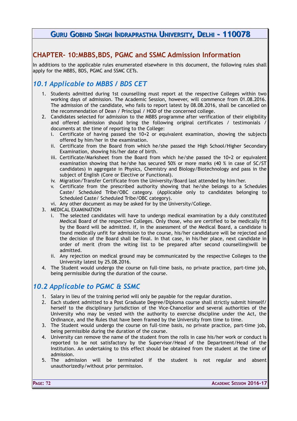### **CHAPTER- 10:MBBS,BDS, PGMC and SSMC Admission Information**

In additions to the applicable rules enumerated elsewhere in this document, the following rules shall apply for the MBBS, BDS, PGMC and SSMC CETs.

## *10.1 Applicable to MBBS / BDS CET*

- 1. Students admitted during 1st counselling must report at the respective Colleges within two working days of admission. The Academic Session, however, will commence from 01.08.2016. The admission of the candidate, who fails to report latest by 08.08.2016, shall be cancelled on the recommendation of Dean / Principal / HOD of the concerned college.
- 2. Candidates selected for admission to the MBBS programme after verification of their eligibility and offered admission should bring the following original certificates / testimonials documents at the time of reporting to the College:
	- Certificate of having passed the  $10+2$  or equivalent examination, showing the subjects offered by him/her in the examination.
	- ii. Certificate from the Board from which he/she passed the High School/Higher Secondary Examination, showing his/her date of birth.
	- iii. Certificate/Marksheet from the Board from which he/she passed the 10+2 or equivalent examination showing that he/she has secured 50% or more marks (40 % in case of SC/ST candidates) in aggregate in Physics, Chemistry and Biology/Biotechnology and pass in the subject of English (Core or Elective or Functional).
	- iv. Migration/Transfer Certificate from the University/Board last attended by him/her.
	- v. Certificate from the prescribed authority showing that he/she belongs to a Schedules Caste/ Scheduled Tribe/OBC category. (Applicable only to candidates belonging to Scheduled Caste/ Scheduled Tribe/OBC category).
	- vi. Any other document as may be asked for by the University/College.
- 3. MEDICAL EXAMINATION
	- The selected candidates will have to undergo medical examination by a duly constituted Medical Board of the respective Colleges. Only those, who are certified to be medically fit by the Board will be admitted. If, in the assessment of the Medical Board, a candidate is found medically unfit for admission to the course, his/her candidature will be rejected and the decision of the Board shall be final. In that case, in his/her place, next candidate in order of merit (from the witing list to be prepared after second counselling)will be admitted.
	- ii. Any rejection on medical ground may be communicated by the respective Colleges to the University latest by 25.08.2016.
- 4. The Student would undergo the course on full-time basis, no private practice, part-time job, being permissible during the duration of the course.

### *10.2 Applicable to PGMC & SSMC*

- 1. Salary in lieu of the training period will only be payable for the regular duration.
- 2. Each student admitted to a Post Graduate Degree/Diploma course shall strictly submit himself/ herself to the disciplinary jurisdiction of the Vice-Chancellor and several authorities of the University who may be vested with the authority to exercise discipline under the Act, the Ordinance, and the Rules that have been framed by the University from time to time.
- 3. The Student would undergo the course on full-time basis, no private practice, part-time job, being permissible during the duration of the course.
- 4. University can remove the name of the student from the rolls in case his/her work or conduct is reported to be not satisfactory by the Supervisor/Head of the Department/Head of the Institution. An undertaking to this effect should be obtained from the student at the time of admission.
- 5. The admission will be terminated if the student is not regular and absent unauthorizedly/without prior permission.

**PAGE: 72 ACADEMIC SESSION 2016-17**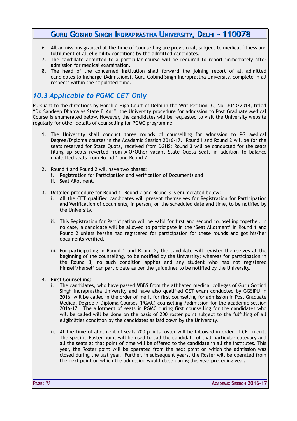- 6. All admissions granted at the time of Counselling are provisional, subject to medical fitness and fulfillment of all eligibility conditions by the admitted candidates.
- 7. The candidate admitted to a particular course will be required to report immediately after admission for medical examination.
- 8. The head of the concerned institution shall forward the joining report of all admitted candidates to Incharge (Admissions), Guru Gobind Singh Indraprastha University, complete in all respects within the stipulated time.

# *10.3 Applicable to PGMC CET Only*

Pursuant to the directions by Hon'ble High Court of Delhi in the Writ Petition (C) No. 3043/2014, titled "Dr. Sandeep Dhama vs State & Anr", the University procedure for admission to Post Graduate Medical Course is enumerated below. However, the candidates will be requested to visit the University website regularly for other details of counselling for PGMC programme.

- 1. The University shall conduct three rounds of counselling for admission to PG Medical Degree/Diploma courses in the Academic Session 2016-17. Round I and Round 2 will be for the seats reserved for State Quota, received from DGHS; Round 3 will be conducted for the seats filling up seats reverted from AIQ/Other vacant State Quota Seats in addition to balance unallotted seats from Round 1 and Round 2.
- 2. Round 1 and Round 2 will have two phases:
	- i. Registration for Participation and Verification of Documents and
	- ii. Seat Allotment.
- 3. Detailed procedure for Round 1, Round 2 and Round 3 is enumerated below:
	- i. All the CET qualified candidates will present themselves for Registration for Participation and Verification of documents, in person, on the scheduled date and time, to be notified by the University.
	- ii. This Registration for Participation will be valid for first and second counselling together. In no case, a candidate will be allowed to participate in the 'Seat Allotment' in Round 1 and Round 2 unless he/she had registered for participation for these rounds and got his/her documents verified.
	- iii. For participating in Round 1 and Round 2, the candidate will register themselves at the beginning of the counselling, to be notified by the University; whereas for participation in the Round 3, no such condition applies and any student who has not registered himself/herself can participate as per the guidelines to be notified by the University.

#### 4. **First Counselling**:

- i. The candidates, who have passed MBBS from the affiliated medical colleges of Guru Gobind Singh Indraprastha University and have also qualified CET exam conducted by GGSIPU in 2016, will be called in the order of merit for first counselling for admission in Post Graduate Medical Degree / Diploma Courses (PGMC) counselling /admission for the academic session 2016-17. The allotment of seats in PGMC during first counselling for the candidates who will be called will be done on the basis of 200 roster point subject to the fulfilling of all eligibilities condition by the candidates as laid down by the University.
- ii. At the time of allotment of seats 200 points roster will be followed in order of CET merit. The specific Roster point will be used to call the candidate of that particular category and all the seats at that point of time will be offered to the candidate in all the institutes. This year, the Roster point will be operated from the next point on which the admission was closed during the last year. Further, in subsequent years, the Roster will be operated from the next point on which the admission would close during this year preceding year.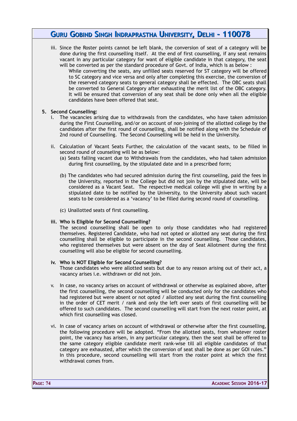iii. Since the Roster points cannot be left blank, the conversion of seat of a category will be done during the first counselling itself. At the end of first counselling, if any seat remains vacant in any particular category for want of eligible candidate in that category, the seat will be converted as per the standard procedure of Govt. of India, which is as below :

While converting the seats, any unfilled seats reserved for ST category will be offered to SC category and vice versa and only after completing this exercise, the conversion of the reserved category seats to general category shall be effected. The OBC seats shall be converted to General Category after exhausting the merit list of the OBC category. It will be ensured that conversion of any seat shall be done only when all the eligible candidates have been offered that seat.

#### **5. Second Counselling:**

- i. The vacancies arising due to withdrawals from the candidates, who have taken admission during the First Counselling, and/or on account of non-joining of the allotted college by the candidates after the first round of counselling, shall be notified along with the Schedule of 2nd round of Counselling. The Second Counselling will be held in the University.
- ii. Calculation of Vacant Seats Further, the calculation of the vacant seats, to be filled in second round of counseling will be as below:
	- (a) Seats falling vacant due to Withdrawals from the candidates, who had taken admission during first counselling, by the stipulated date and in a prescribed form;
	- (b) The candidates who had secured admission during the first counselling, paid the fees in the University, reported in the College but did not join by the stipulated date, will be considered as a Vacant Seat. The respective medical college will give in writing by a stipulated date to be notified by the University, to the University about such vacant seats to be considered as a 'vacancy' to be filled during second round of counselling.
	- (c) Unallotted seats of first counselling.

#### **iii. Who is Eligible for Second Counselling?**

The second counselling shall be open to only those candidates who had registered themselves. Registered Candidate, who had not opted or allotted any seat during the first counselling shall be eligible to participate in the second counselling. Those candidates, who registered themselves but were absent on the day of Seat Allotment during the first counselling will also be eligible for second counselling.

#### **iv. Who is NOT Eligible for Second Counselling?**

Those candidates who were allotted seats but due to any reason arising out of their act, a vacancy arises i.e. withdrawn or did not join.

- v. In case, no vacancy arises on account of withdrawal or otherwise as explained above, after the first counselling, the second counselling will be conducted only for the candidates who had registered but were absent or not opted / allotted any seat during the first counselling in the order of CET merit / rank and only the left over seats of first counselling will be offered to such candidates. The second counselling will start from the next roster point, at which first counselling was closed.
- vi. In case of vacancy arises on account of withdrawal or otherwise after the first counselling, the following procedure will be adopted. "From the allotted seats, from whatever roster point, the vacancy has arisen, in any particular category, then the seat shall be offered to the same category eligible candidate merit rank-wise till all eligible candidates of that category are exhausted, after which the conversion of seat shall be done as per GOI rules." In this procedure, second counselling will start from the roster point at which the first withdrawal comes from.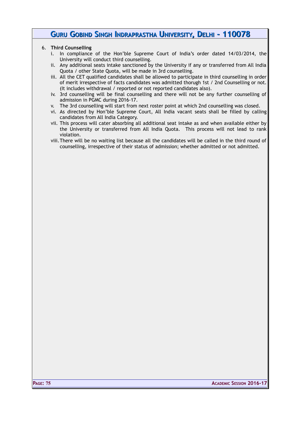#### 6. **Third Counselling**

- i. In compliance of the Hon'ble Supreme Court of India's order dated 14/03/2014, the University will conduct third counselling.
- ii. Any additional seats intake sanctioned by the University if any or transferred from All India Quota / other State Quota, will be made in 3rd counselling.
- iii. All the CET qualified candidates shall be allowed to participate in third counselling in order of merit irrespective of facts candidates was admitted thorugh 1st / 2nd Counselling or not. (It includes withdrawal / reported or not reported candidates also).
- iv. 3rd counselling will be final counselling and there will not be any further counselling of admission in PGMC during 2016-17.
- v. The 3rd counselling will start from next roster point at which 2nd counselling was closed.
- vi. As directed by Hon'ble Supreme Court, All India vacant seats shall be filled by calling candidates from All India Category.
- vii. This process will cater absorbing all additional seat intake as and when available either by the University or transferred from All India Quota. This process will not lead to rank violation.
- viii.There will be no waiting list because all the candidates will be called in the third round of counselling, irrespective of their status of admission; whether admitted or not admitted.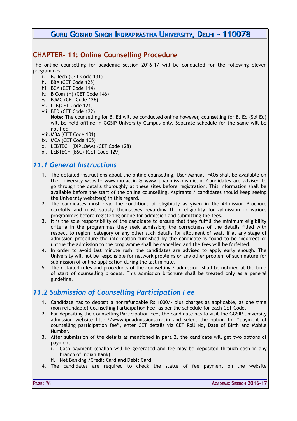### **CHAPTER- 11: Online Counselling Procedure**

The online counselling for academic session 2016-17 will be conducted for the following eleven programmes:

- i. B. Tech (CET Code 131)
- ii. BBA (CET Code 125)
- iii. BCA (CET Code 114)
- iv. B Com (H) (CET Code 146)
- v. BJMC (CET Code 126)
- vi. LLB(CET Code 121)
- vii. BED (CET Code 122)

**Note**: The counselling for B. Ed will be conducted online however, counselling for B. Ed (Spl Ed) will be held offline in GGSIP University Campus only. Separate schedule for the same will be notified.

- viii.MBA (CET Code 101)
- ix. MCA (CET Code 105)
- x. LEBTECH (DIPLOMA) (CET Code 128)
- xi. LEBTECH (BSC) (CET Code 129)

## *11.1 General Instructions*

- 1. The detailed instructions about the online counselling, User Manual, FAQs shall be available on the University website www.ipu.ac.in & www.ipuadmissions.nic.in. Candidates are advised to go through the details thoroughly at these sites before registration. This information shall be available before the start of the online counselling. Aspirants / candidates should keep seeing the University website(s) in this regard.
- 2. The candidates must read the conditions of eligibility as given in the Admission Brochure carefully and must satisfy themselves regarding their eligibility for admission in various programmes before registering online for admission and submitting the fees.
- 3. It is the sole responsibility of the candidate to ensure that they fulfill the minimum eligibility criteria in the programmes they seek admission; the correctness of the details filled with respect to region; category or any other such details for allotment of seat. If at any stage of admission procedure the information furnished by the candidate is found to be incorrect or untrue the admission to the programme shall be cancelled and the fees will be forfeited.
- 4. In order to avoid last minute rush, the candidates are advised to apply early enough. The University will not be responsible for network problems or any other problem of such nature for submission of online application during the last minute.
- 5. The detailed rules and procedures of the counselling / admission shall be notified at the time of start of counselling process. This admission brochure shall be treated only as a general guideline.

## *11.2 Submission of Counselling Participation Fee*

- 1. Candidate has to deposit a nonrefundable Rs 1000/- plus charges as applicable, as one time (non refundable) Counselling Participation Fee, as per the schedule for each CET Code.
- 2. For depositing the Counselling Participation Fee, the candidate has to visit the GGSIP University admission website http://www.ipuadmissions.nic.in and select the option for "payment of counselling participation fee", enter CET details viz CET Roll No, Date of Birth and Mobile Number.
- 3. After submission of the details as mentioned in para 2, the candidate will get two options of payment:
	- i. Cash payment (challan will be generated and fee may be deposited through cash in any branch of Indian Bank)
	- ii. Net Banking /Credit Card and Debit Card.
- 4. The candidates are required to check the status of fee payment on the website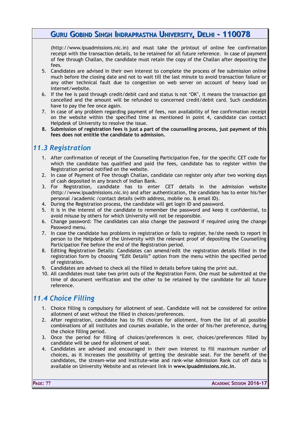(http://www.ipuadmissions.nic.in) and must take the printout of online fee confirmation receipt with the transaction details, to be retained for all future reference. In case of payment of fee through Challan, the candidate must retain the copy of the Challan after depositing the fees.

- 5. Candidates are advised in their own interest to complete the process of fee submission online much before the closing date and not to wait till the last minute to avoid transaction failure or any other technical fault due to congestion on web server on account of heavy load on internet/website.
- 6. If the fee is paid through credit/debit card and status is not 'OK', it means the transaction got cancelled and the amount will be refunded to concerned credit/debit card. Such candidates have to pay the fee once again.
- 7. In case of any problem regarding payment of fees, non availability of fee confirmation receipt on the website within the specified time as mentioned in point 4, candidate can contact Helpdesk of University to resolve the issue.
- **8. Submission of registration fees is just a part of the counselling process, just payment of this fees does not entitle the candidate to admission.**

### *11.3 Registration*

- 1. After confirmation of receipt of the Counselling Participation Fee, for the specific CET code for which the candidate has qualified and paid the fees, candidate has to register within the Registration period notified on the website.
- 2. In case of Payment of Fee through Challan, candidate can register only after two working days of cash deposited in any branch of Indian Bank.
- 3. For Registration, candidate has to enter CET details in the admission website (http://www.ipuadmissions.nic.in) and after authentication, the candidate has to enter his/her personal /academic /contact details (with address, mobile no. & email ID).
- 4. During the Registration process, the candidate will get login ID and password.
- 5. It is in the interest of the candidate to remember the password and keep it confidential, to avoid misuse by others for which University will not be responsible.
- 6. Change password: The candidates can also change the password if required using the change Password menu.
- 7. In case the candidate has problems in registration or fails to register, he/she needs to report in person to the Helpdesk of the University with the relevant proof of depositing the Counselling Participation Fee before the end of the Registration period.
- 8. Editing Registration Details: Candidates can amend/edit the registration details filled in the registration form by choosing "Edit Details" option from the menu within the specified period of registration.
- 9. Candidates are advised to check all the filled in details before taking the print out.
- 10. All candidates must take two print outs of the Registration Form. One must be submitted at the time of document verification and the other to be retained by the candidate for all future reference.

## *11.4 Choice Filling*

- 1. Choice filling is compulsory for allotment of seat. Candidate will not be considered for online allotment of seat without the filled in choices/preferences.
- 2. After registration, candidate has to fill choices for allotment, from the list of all possible combinations of all institutes and courses available, in the order of his/her preference, during the choice filling period.
- 3. Once the period for filling of choices/preferences is over, choices/preferences filled by candidate will be used for allotment of seat.
- 4. Candidates are advised and encouraged in their own interest to fill maximum number of choices, as it increases the possibility of getting the desirable seat. For the benefit of the candidates, the stream-wise and institute-wise and rank-wise Admission Rank cut off data is available on University Website and as relevant link in **www.ipuadmissions.nic.in**.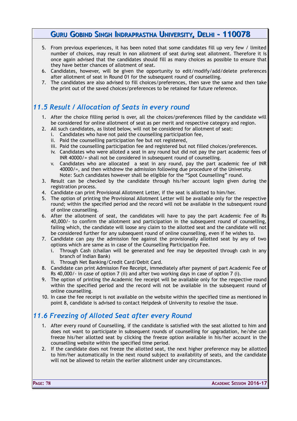- 5. From previous experiences, it has been noted that some candidates fill up very few / limited number of choices, may result in non allotment of seat during seat allotment. Therefore it is once again advised that the candidates should fill as many choices as possible to ensure that they have better chances of allotment of seat.
- 6. Candidates, however, will be given the opportunity to edit/modify/add/delete preferences after allotment of seat in Round 01 for the subsequent round of counselling.
- 7. The candidates are also advised to fill choices/preferences, then save the same and then take the print out of the saved choices/preferences to be retained for future reference.

## *11.5 Result / Allocation of Seats in every round*

- 1. After the choice filling period is over, all the choices/preferences filled by the candidate will be considered for online allotment of seat as per merit and respective category and region.
- 2. All such candidates, as listed below, will not be considered for allotment of seat:
	- i. Candidates who have not paid the counselling participation fee,
	- ii. Paid the counselling participation fee but not registered,
	- iii. Paid the counselling participation fee and registered but not filled choices/preferences.
	- iv. Candidates who were alloted a seat in any round but did not pay the part academic fees of INR 40000/= shall not be considered in subsequent round of counselling.
	- v. Candidates who are allocated a seat in any round, pay the part academic fee of INR 40000/=, and then withdrew the admission following due procedure of the University. Note: Such candidates however shall be eligible for the "Spot Counselling" round.
- 3. Result can be checked by the candidate through his/her account login given during the registration process.
- 4. Candidate can print Provisional Allotment Letter, if the seat is allotted to him/her.
- 5. The option of printing the Provisional Allotment Letter will be available only for the respective round; within the specified period and the record will not be available in the subsequent round of online counselling.
- 6. After the allotment of seat, the candidates will have to pay the part Academic Fee of Rs 40,000/- to confirm the allotment and participation in the subsequent round of counselling, failing which, the candidate will loose any claim to the allotted seat and the candidate will not be considered further for any subsequent round of online counselling, even if he wishes to.
- 7. Candidate can pay the admission fee against the provisionally allotted seat by any of two options which are same as in case of the Counselling Participation Fee.
	- i. Through Cash (challan will be generated and fee may be deposited through cash in any branch of Indian Bank)
	- ii. Through Net Banking/Credit Card/Debit Card.
- 8. Candidate can print Admission Fee Receipt, immediately after payment of part Academic Fee of Rs 40,000/- in case of option 7 (ii) and after two working days in case of option 7 (i).
- 9. The option of printing the Academic fee receipt will be available only for the respective round within the specified period and the record will not be available in the subsequent round of online counselling.
- 10. In case the fee receipt is not available on the website within the specified time as mentioned in point 8, candidate is advised to contact Helpdesk of University to resolve the issue.

# *11.6 Freezing of Alloted Seat after every Round*

- 1. After every round of Counselling, if the candidate is satisfied with the seat allotted to him and does not want to participate in subsequent rounds of counselling for upgradation, he/she can freeze his/her allotted seat by clicking the freeze option available in his/her account in the counselling website within the specified time period.
- 2. If the candidate does not freeze the allotted seat, the next higher preference may be allotted to him/her automatically in the next round subject to availability of seats, and the candidate will not be allowed to retain the earlier allotment under any circumstances.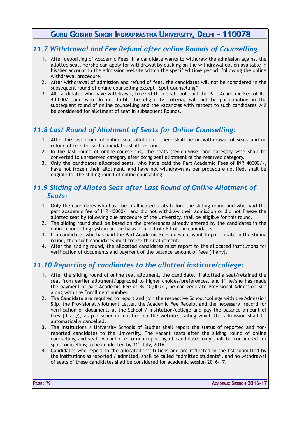## *11.7 Withdrawal and Fee Refund after online Rounds of Counselling*

- 1. After depositing of Academic Fees, if a candidate wants to withdraw the admission against the allotted seat, he/she can apply for withdrawal by clicking on the withdrawal option available in his/her account in the admission website within the specified time period, following the online withdrawal procedure.
- 2. After withdrawal of admission and refund of fees, the candidates will not be considered in the subsequent round of online counselling except "Spot Counselling".
- 3. All candidates who have withdrawn, freezed their seat, not paid the Part Academic Fee of Rs. 40,000/- and who do not fulfill the eligibility criteria, will not be participating in the subsequent round of online counselling and the vacancies with respect to such candidates will be considered for allotment of seat in subsequent Rounds.

## *11.8 Last Round of Allotment of Seats for Online Counselling:*

- 1. After the last round of online seat allotment, there shall be no withdrawal of seats and no refund of fees for such candidates shall be done.
- 2. In the last round of online-counselling, the seats (region-wise) and category wise shall be converted to unreserved category after doing seat allotment of the reserved category.
- 3. Only the candidates allocated seats, who have paid the Part Academic Fees of INR 40000/=, have not frozen their allotment, and have not withdrawn as per procedure notified, shall be eligible for the sliding round of online counselling.

## *11.9 Sliding of Alloted Seat after Last Round of Online Allotment of Seats:*

- 1. Only the candidates who have been allocated seats before the sliding round and who paid the part academic fee of INR 40000/= and did not withdraw their admission or did not freeze the allotted seat by following due procedure of the University, shall be eligible for this round.
- 2. The sliding round shall be based on the preferences already entered by the candidates in the online counselling system on the basis of merit of CET of the candidates.
- 3. If a candidate, who has paid the Part Academic Fees does not want to participate in the sliding round, then such candidates must freeze their allotment.
- 4. After the sliding round, the allocated candidates must report to the allocated institutions for verification of documents and payment of the balance amount of fees (if any).

## *11.10 Reporting of candidates to the allotted institute/college:*

- 1. After the sliding round of online seat allotment, the candidate, if allotted a seat/retained the seat from earlier allotment/upgraded to higher choices/preferences, and if he/she has made the payment of part Academic Fee of Rs 40,000/-, he can generate Provisional Admission Slip along with the Enrollment number.
- 2. The Candidate are required to report and join the respective School/college with the Admission Slip, the Provisional Allotment Letter, the Academic Fee Receipt and the necessary record for verification of documents at the School / institution/college and pay the balance amount of fees (if any), as per schedule notified on the website, failing which the admission shall be automatically cancelled.
- 3. The institutions / University Schools of Studies shall report the status of reported and nonreported candidates to the University. The vacant seats after the sliding round of online counselling and seats vacant due to non-reporting of candidates only shall be considered for spot counselling to be conducted by 31<sup>st</sup> July, 2016.
- 4. Candidates who report to the allocated institutions and are reflected in the list submitted by the institutions as reported / admitted, shall be called "admitted students", and no withdrawal of seats of these candidates shall be considered for academic session 2016-17.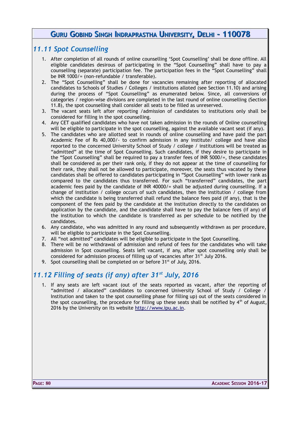#### *11.11 Spot Counselling*

- 1. After completion of all rounds of online counselling 'Spot Counselling' shall be done offline. All eligible candidates desirous of participating in the "Spot Counselling" shall have to pay a counselling (separate) participation fee. The participation fees in the "Spot Counselling" shall be INR 1000/= (non-refundable / transferable).
- 2. The "Spot Counselling" shall be done for vacancies remaining after reporting of allocated candidates to Schools of Studies / Colleges / institutions alloted (see Section 11.10) and arising during the process of "Spot Counselling" as enumerated below. Since, all conversions of categories / region-wise divisions are completed in the last round of online counselling (Section 11.8), the spot counselling shall consider all seats to be filled as unreserved.
- 3. The vacant seats left after reporting /admission of candidates to institutions only shall be considered for filling in the spot counselling.
- 4. Any CET qualified candidates who have not taken admission in the rounds of Online counselling will be eligible to participate in the spot counselling, against the available vacant seat (if any).
- 5. The candidates who are allotted seat in rounds of online counselling and have paid the part Academic Fee of Rs 40,000/- to confirm admission in any institute/ college and have also reported to the concerned University School of Study / college / institutions will be treated as "admitted" at the time of Spot Counselling. Such candidates, if they desire to participate in the "Spot Counselling" shall be required to pay a transfer fees of INR 5000/=, these candidates shall be considered as per their rank only, if they do not appear at the time of counselling for their rank, they shall not be allowed to participate, moreover, the seats thus vacated by these candidates shall be offered to candidates participating in "Spot Counselling" with lower rank as compared to the candidates thus transferred. For such "transferred" candidates, the part academic fees paid by the candidate of INR 40000/= shall be adjusted during counselling. If a change of institution / college occurs of such candidates, then the institution / college from which the candidate is being transferred shall refund the balance fees paid (if any), that is the component of the fees paid by the candidate at the institution directly to the candidates on application by the candidate, and the candidate shall have to pay the balance fees (if any) of the institution to which the candidate is transferred as per schedule to be notified by the candidates.
- 6. Any candidate, who was admitted in any round and subsequently withdrawn as per procedure, will be eligible to participate in the Spot Counselling.
- 7. All "not admitted" candidates will be eligible to participate in the Spot Counselling.
- 8. There will be no withdrawal of admission and refund of fees for the candidates who will take admission in Spot counselling. Seats left vacant, if any, after spot counselling only shall be considered for admission process of filling up of vacancies after 31<sup>st</sup> July 2016.
- 9. Spot counselling shall be completed on or before  $31<sup>st</sup>$  of July, 2016.

## *11.12 Filling of seats (if any) after 31st July, 2016*

1. If any seats are left vacant (out of the seats reported as vacant, after the reporting of "admitted / allocated" candidates to concerned University School of Study / College / Institution and taken to the spot counselling phase for filling up) out of the seats considered in the spot counselling, the procedure for filling up these seats shall be notified by  $4<sup>th</sup>$  of August, 2016 by the University on its website [http://www.ipu.ac.in.](http://www.ipu.ac.in/)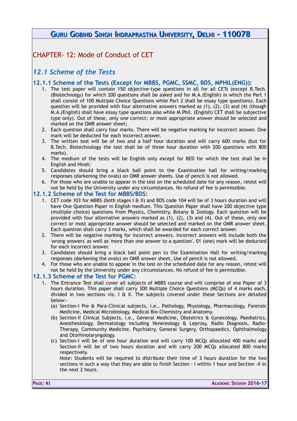CHAPTER- 12: Mode of Conduct of CET

## *12.1 Scheme of the Tests*

#### **12.1.1 Scheme of the Tests (Except for MBBS, PGMC, SSMC, BDS, MPHIL(ENG)):**

- 1. The test paper will contain 150 objective-type questions in all for all CETs (except B.Tech. (Biotechnolgy) for which 200 questions shall be asked and for M.A.(English) in which the Part 1 shall consist of 100 Multiple Choice Questions while Part 2 shall be essay type questions). Each question will be provided with four alternative answers marked as (1), (2), (3) and (4) (though M.A.(English) shall have essay type questions also while M.Phil. (English) CET shall be subjective type only). Out of these, only one correct; or most appropriate answer should be selected and marked on the OMR answer sheet;
- 2. Each question shall carry four marks. There will be negative marking for incorrect answer. One mark will be deducted for each incorrect answer.
- 3. The written test will be of two and a half hour duration and will carry 600 marks (but for B.Tech. Biotechnology the test shall be of three hour duration with 200 questions with 800 marks).
- 4. The medium of the tests will be English only except for BED for which the test shall be in English and Hindi;
- 5. Candidates should bring a black ball point to the Examination hall for writing/marking responses (darkening the ovals) on OMR answer sheets. Use of pencil is not allowed.
- 6. For those who are unable to appear in the test on the scheduled date for any reason, retest will not be held by the University under any circumstances. No refund of fee is permissible.

#### **12.1.2 Scheme of the Test for MBBS/BDS:**

- 1. CET code 103 for MBBS (both stages I & II) and BDS code 104 will be of 3 hours duration and will have One Question Paper in English medium. This Question Paper shall have 200 objective type (multiple choice) questions from Physics, Chemistry, Botany & Zoology. Each question will be provided with four alternative answers marked as (1), (2), (3) and (4). Out of these, only one correct or most appropriate answer should be selected and marked on the OMR answer sheet. Each question shall carry 3 marks, which shall be awarded for each correct answer.
- 2. There will be negative marking for incorrect answers. Incorrect answers will include both the 'wrong answers' as well as 'more than one answer to a question'. 01 (one) mark will be deducted for each incorrect answer.
- 3. Candidates should bring a black ball point pen to the Examination Hall for writing/marking responses (darkening the ovals) on OMR answer sheet. Use of pencil is not allowed.
- 4. For those who are unable to appear in the test on the scheduled date for any reason, retest will not be held by the University under any circumstances. No refund of fee is permissible.

#### **12.1.3 Scheme of the Test for PGMC:**

- 1. The Entrance Test shall cover all subjects of MBBS course and will comprise of one Paper of 3 hours duration. This paper shall carry 300 Multiple Choice Questions (MCQs) of 4 marks each, divided in two sections viz.  $I \oplus II$ . The subjects covered under these Sections are detailed below:-
	- (a) Section-I Pre & Para-Clinical subjects, i.e., Pathology, Physiology, Pharmacology, Forensic Medicine, Medical Microbiology, Medical Bio-Chemistry and Anatomy.
	- (b) Section-II Clinical Subjects, i.e., General Medicine, Obstetrics & Gynecology, Paediatrics, Anesthesiology, Dermatology including Venereology & Leprosy, Radio Diagnosis, Radio-Therapy, Community Medicine, Psychiatry, General Surgery, Orthopaedics, Ophthalmology and Otorhinolaryngology.
	- (c) Section-I will be of one hour duration and will carry 100 MCQs allocated 400 marks and Section-II will be of two hours duration and will carry 200 MCQs allocated 800 marks respectively.

Note: Students will be required to distribute their time of 3 hours duration for the two sections in such a way that they are able to finish Section - I within 1 hour and Section -II in the next 2 hours.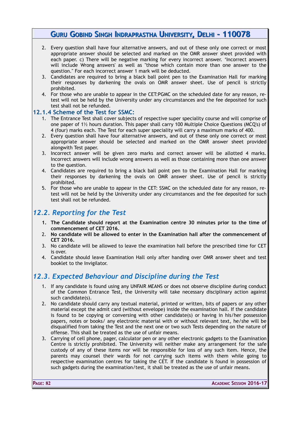- 2. Every question shall have four alternative answers, and out of these only one correct or most appropriate answer should be selected and marked on the OMR answer sheet provided with each paper. c) There will be negative marking for every incorrect answer. 'Incorrect answers will include Wrong answers' as well as "those which contain more than one answer to the question." For each incorrect answer 1 mark will be deducted.
- 3. Candidates are required to bring a black ball point pen to the Examination Hall for marking their responses by darkening the ovals on OMR answer sheet. Use of pencil is strictly prohibited.
- 4. For those who are unable to appear in the CET:PGMC on the scheduled date for any reason, retest will not be held by the University under any circumstances and the fee deposited for such test shall not be refunded.

#### **12.1.4 Scheme of the Test for SSMC:**

- 1. The Entrance Test shall cover subjects of respective super speciality course and will comprise of one paper of 1½ hours duration. This paper shall carry 100 Multiple Choice Questions (MCQ's) of 4 (four) marks each. The Test for each super speciality will carry a maximum marks of 400.
- 2. Every question shall have four alternative answers, and out of these only one correct or most appropriate answer should be selected and marked on the OMR answer sheet provided alongwith Test paper.
- 3. Incorrect answer will be given zero marks and correct answer will be allotted 4 marks. Incorrect answers will include wrong answers as well as those containing more than one answer to the question.
- 4. Candidates are required to bring a black ball point pen to the Examination Hall for marking their responses by darkening the ovals on OMR answer sheet. Use of pencil is strictly prohibited.
- 5. For those who are unable to appear in the CET: SSMC on the scheduled date for any reason, retest will not be held by the University under any circumstances and the fee deposited for such test shall not be refunded.

### *12.2. Reporting for the Test*

- **1. The Candidate should report at the Examination centre 30 minutes prior to the time of commencement of CET 2016.**
- 2. **No candidate will be allowed to enter in the Examination hall after the commencement of CET 2016.**
- 3. No candidate will be allowed to leave the examination hall before the prescribed time for CET is over.
- 4. Candidate should leave Examination Hall only after handing over OMR answer sheet and test booklet to the Invigilator.

## *12.3. Expected Behaviour and Discipline during the Test*

- 1. If any candidate is found using any UNFAIR MEANS or does not observe discipline during conduct of the Common Entrance Test, the University will take necessary disciplinary action against such candidate(s).
- 2. No candidate should carry any textual material, printed or written, bits of papers or any other material except the admit card (without envelope) inside the examination hall. If the candidate is found to be copying or conversing with other candidate(s) or having in his/her possession papers, notes or books/ any electronic material with or without relevant text, he/she will be disqualified from taking the Test and the next one or two such Tests depending on the nature of offense. This shall be treated as the use of unfair means.
- 3. Carrying of cell phone, pager, calculator pen or any other electronic gadgets to the Examination Centre is strictly prohibited. The University will neither make any arrangement for the safe custody of any of these items nor will be responsible for loss of any such item. Hence, the parents may counsel their wards for not carrying such items with them while going to respective examination centres for taking the CET. If the candidate is found in possession of such gadgets during the examination/test, it shall be treated as the use of unfair means.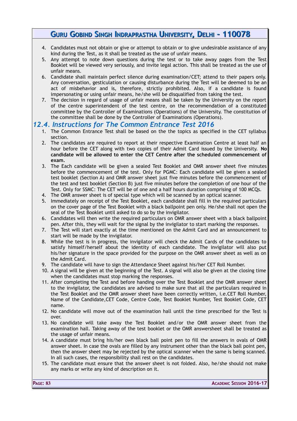- 4. Candidates must not obtain or give or attempt to obtain or to give undesirable assistance of any kind during the Test, as it shall be treated as the use of unfair means.
- 5. Any attempt to note down questions during the test or to take away pages from the Test Booklet will be viewed very seriously, and invite legal action. This shall be treated as the use of unfair means.
- 6. Candidate shall maintain perfect silence during examination/CET; attend to their papers only. Any conversation, gesticulation or causing disturbance during the Test will be deemed to be an act of misbehavior and is, therefore, strictly prohibited. Also, if a candidate is found impersonating or using unfair means, he/she will be disqualified from taking the test.
- 7. The decision in regard of usage of unfair means shall be taken by the University on the report of the centre superintendent of the test centre, on the recommendation of a constituted committee by the Controller of Examinations (Operations) of the University. The constitution of the committee shall be done by the Controller of Examinations (Operations).

#### *12.4. Instructions for The Common Entrance Test 2016*

- 1. The Common Entrance Test shall be based on the the topics as specified in the CET syllabus section.
- 2. The candidates are required to report at their respective Examination Centre at least half an hour before the CET along with two copies of their Admit Card issued by the University. **No candidate will be allowed to enter the CET Centre after the scheduled commencement of exam.**
- 3. The Each candidate will be given a sealed Test Booklet and OMR answer sheet five minutes before the commencement of the test. Only for PGMC: Each candidate will be given a sealed test booklet (Section A) and OMR answer sheet just five minutes before the commencement of the test and test booklet (Section B) just five minutes before the completion of one hour of the Test. Only for SSMC: The CET will be of one and a half hours duration comprising of 100 MCQs.
- 4. The OMR answer sheet is of special type which will be scanned by an optical scanner.
- 5. Immediately on receipt of the Test Booklet, each candidate shall fill in the required particulars on the cover page of the Test Booklet with a black ballpoint pen only. He/she shall not open the seal of the Test Booklet until asked to do so by the invigilator.
- 6. Candidates will then write the required particulars on OMR answer sheet with a black ballpoint pen. After this, they will wait for the signal by the invigilator to start marking the responses.
- 7. The Test will start exactly at the time mentioned on the Admit Card and an announcement to start will be made by the invigilator.
- 8. While the test is in progress, the invigilator will check the Admit Cards of the candidates to satisfy himself/herself about the identity of each candidate. The invigilator will also put his/her signature in the space provided for the purpose on the OMR answer sheet as well as on the Admit Card.
- 9. The candidate will have to sign the Attendance Sheet against his/her CET Roll Number.
- 10. A signal will be given at the beginning of the Test. A signal will also be given at the closing time when the candidates must stop marking the responses.
- 11. After completing the Test and before handing over the Test Booklet and the OMR answer sheet to the invigilator, the candidates are advised to make sure that all the particulars required in the Test Booklet and the OMR answer sheet have been correctly written, i.e.CET Roll Number, Name of the Candidate,CET Code, Centre Code, Test Booklet Number, Test Booklet Code, CET name.
- 12. No candidate will move out of the examination hall until the time prescribed for the Test is over.
- 13. No candidate will take away the Test Booklet and/or the OMR answer sheet from the examination hall. Taking away of the test booklet or the OMR answersheet shall be treated as the usage of unfair means.
- 14. A candidate must bring his/her own black ball point pen to fill the answers in ovals of OMR answer sheet. In case the ovals are filled by any instrument other than the black ball point pen, then the answer sheet may be rejected by the optical scanner when the same is being scanned. In all such cases, the responsibility shall rest on the candidates.
- 15. The candidate must ensure that the answer sheet is not folded. Also, he/she should not make any marks or write any kind of description on it.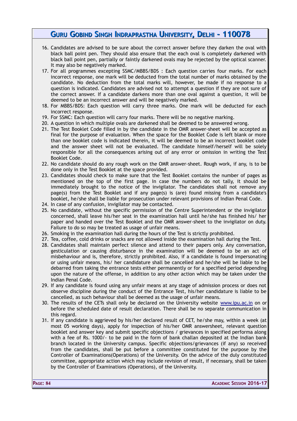- 16. Candidates are advised to be sure about the correct answer before they darken the oval with black ball point pen. They should also ensure that the each oval is completely darkened with black ball point pen, partially or faintly darkened ovals may be rejected by the optical scanner. It may also be negatively marked.
- 17. For all programmes excepting SSMC/MBBS/BDS : Each question carries four marks. For each incorrect response, one mark will be deducted from the total number of marks obtained by the candidate. No deduction from the total marks will, however, be made if no response to a question is indicated. Candidates are advised not to attempt a question if they are not sure of the correct answer. If a candidate darkens more than one oval against a question, it will be deemed to be an incorrect answer and will be negatively marked.
- 18. For MBBS/BDS: Each question will carry three marks. One mark will be deducted for each incorrect response.
- 19. For SSMC: Each question will carry four marks. There will be no negative marking.
- 20. A question in which multiple ovals are darkened shall be deemed to be answered wrong.
- 21. The Test Booklet Code filled in by the candidate in the OMR answer-sheet will be accepted as final for the purpose of evaluation. When the space for the Booklet Code is left blank or more than one booklet code is indicated therein, it will be deemed to be an incorrect booklet code and the answer sheet will not be evaluated. The candidate himself/herself will be solely responsible for all the consequences arising out of any error or omission in writing the Test Booklet Code.
- 22. No candidate should do any rough work on the OMR answer-sheet. Rough work, if any, is to be done only in the Test Booklet at the space provided.
- 23. Candidates should check to make sure that the Test Booklet contains the number of pages as mentioned on the top of the first page. In case the numbers do not tally, it should be immediately brought to the notice of the invigilator. The candidates shall not remove any page(s) from the Test Booklet and if any page(s) is (are) found missing from a candidate's booklet, he/she shall be liable for prosecution under relevant provisions of Indian Penal Code.
- 24. In case of any confusion, invigilator may be contacted.
- 25. No candidate, without the specific permission of the Centre Superintendent or the invigilator concerned, shall leave his/her seat in the examination hall until he/she has finished his/ her paper and handed over the Test Booklet and the OMR answer-sheet to the invigilator on duty. Failure to do so may be treated as usage of unfair means.
- 26. Smoking in the examination hall during the hours of the Test is strictly prohibited.
- 27. Tea, coffee, cold drinks or snacks are not allowed inside the examination hall during the Test.
- 28. Candidates shall maintain perfect silence and attend to their papers only. Any conversation, gesticulation or causing disturbance in the examination will be deemed to be an act of misbehaviour and is, therefore, strictly prohibited. Also, if a candidate is found impersonating or using unfair means, his/ her candidature shall be cancelled and he/she will be liable to be debarred from taking the entrance tests either permanently or for a specified period depending upon the nature of the offense, in addition to any other action which may be taken under the Indian Penal Code.
- 29. If any candidate is found using any unfair means at any stage of admission process or does not observe discipline during the conduct of the Entrance Test, his/her candidature is liable to be cancelled, as such behaviour shall be deemed as the usage of unfair means.
- 30. The results of the CETs shall only be declared on the University website [www.ipu.ac.in](http://www.ipu.ac.in/) on or before the scheduled date of result declaration. There shall be no separate communication in this regard.
- 31. If any candidate is aggrieved by his/her declared result of CET, he/she may, within a week (at most 05 working days), apply for inspection of his/her OMR answersheet, relevant question booklet and answer key and submit specific objections / grievances in specified performa along with a fee of Rs. 1000/- to be paid in the form of bank challan deposited at the Indian bank branch located in the University campus. Specific objections/grievances (if any) so received from the candidates, shall be put before a committee constituted for the purpose by the Controller of Examinations(Operations) of the University. On the advice of the duly constituted committee, appropriate action which may include revision of result, if necessary, shall be taken by the Controller of Examinations (Operations), of the University.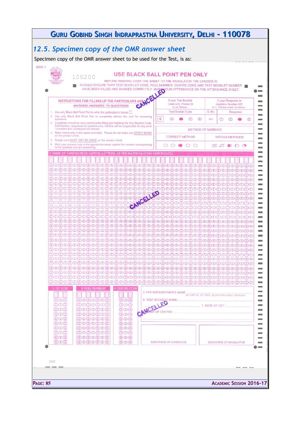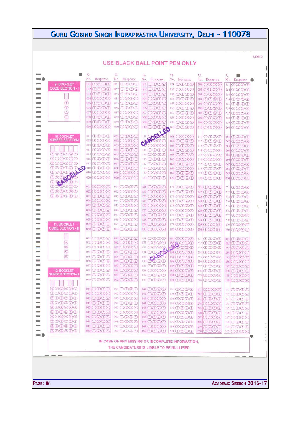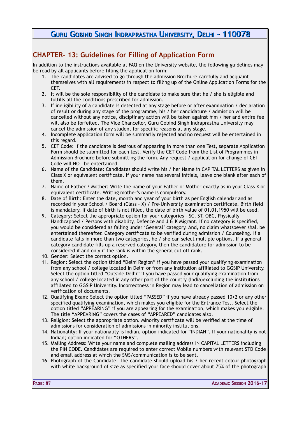# **CHAPTER- 13: Guidelines for Filling of Application Form**

In addition to the instructions available at FAQ on the University website, the following guidelines may be read by all applicants before filling the application form:

- 1. The candidates are advised to go through the admission Brochure carefully and acquaint themselves with all requirements in respect to filling up of the Online Application Forms for the CET.
- 2. It will be the sole responsibility of the candidate to make sure that he / she is eligible and fulfills all the conditions prescribed for admission.
- 3. If ineligibility of a candidate is detected at any stage before or after examination / declaration of result or during any stage of the programme, his / her candidature / admission will be cancelled without any notice, disciplinary action will be taken against him / her and entire fee will also be forfeited. The Vice Chancellor, Guru Gobind Singh Indraprastha University may cancel the admission of any student for specific reasons at any stage.
- 4. Incomplete application form will be summarily rejected and no request will be entertained in this regard.
- 5. CET Code: If the candidate is desirous of appearing in more than one Test, separate Application Form should be submitted for each test. Verify the CET Code from the List of Programmes in Admission Brochure before submitting the form. Any request / application for change of CET Code will NOT be entertained.
- 6. Name of the Candidate: Candidates should write his / her Name in CAPITAL LETTERS as given in Class X or equivalent certificate. If your name has several initials, leave one blank after each of them.
- 7. Name of Father / Mother: Write the name of your Father or Mother exactly as in your Class X or equivalent certificate. Writing mother's name is compulsory.
- 8. Date of Birth: Enter the date, month and year of your birth as per English calendar and as recorded in your School / Board (Class – X) / Pre-University examination certificate. Birth field is mandatory. If date of birth is not filled, the date of birth value of 01.01.1950 will be used.
- 9. Category: Select the appropriate option for your categories SC, ST, OBC, Physically Handicapped / Persons with disablity, Defence and J & K Migrant. If no category is specified, you would be considered as falling under 'General' category. And, no claim whatsoever shall be entertained thereafter. Category certificate to be verified during admission / Counseling. If a candidate falls in more than two categories, he / she can select multiple options. If a general category candidate fills up a reserved category, then the candidature for admission to be considered if and only if the rank is within the general cut off rank.
- 10. Gender: Select the correct option.
- 11. Region: Select the option titled "Delhi Region" if you have passed your qualifying examination from any school / college located in Delhi or from any institution affiliated to GGSIP University. Select the option titled "Outside Delhi" if you have passed your qualifying examination from any school / college located in any other part of the country (India)excluding the institutions affiliated to GGSIP University. Incorrectness in Region may lead to cancellation of admission on verification of documents.
- 12. Qualifying Exam: Select the option titled "PASSED" if you have already passed 10+2 or any other specified qualifying examination, which makes you eligible for the Entrance Test. Select the option titled "APPEARING" if you are appearing for the examination, which makes you eligible. The title "APPEARING" covers the cases of "APPEARED" candidates also.
- 13. Religion: Select the appropriate option. Minority certificate will be verified at the time of admissions for consideration of admissions in minority institutions.
- 14. Nationality: If your nationality is Indian, option indicated for "INDIAN". If your nationality is not Indian; option indicated for "OTHERS".
- 15. Mailing Address: Write your name and complete mailing address IN CAPITAL LETTERS including the PIN CODE. Candidates are required to enter correct Mobile numbers with relevant STD Code and email address at which the SMS/communication is to be sent.
- 16. Photograph of the Candidate: The candidate should upload his / her recent colour photograph with white background of size as specified your face should cover about 75% of the photograph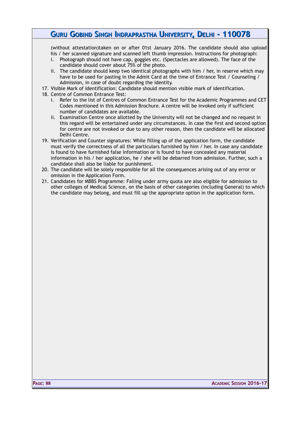(without attestation)taken on or after 01st January 2016. The candidate should also upload his / her scanned signature and scanned left thumb impression. Instructions for photograph:

- i. Photograph should not have cap, goggles etc. (Spectacles are allowed). The face of the candidate should cover about 75% of the photo.
- ii. The candidate should keep two identical photographs with him / her, in reserve which may have to be used for pasting in the Admit Card at the time of Entrance Test / Counseling / Admission, in case of doubt regarding the identity.
- 17. Visible Mark of Identification: Candidate should mention visible mark of identification.
- 18. Centre of Common Entrance Test:
	- i. Refer to the list of Centres of Common Entrance Test for the Academic Programmes and CET Codes mentioned in this Admission Brochure. A centre will be invoked only if sufficient number of candidates are available.
	- ii. Examination Centre once allotted by the University will not be changed and no request in this regard will be entertained under any circumstances. In case the first and second option for centre are not invoked or due to any other reason, then the candidate will be allocated Delhi Centre.
- 19. Verification and Counter signatures: While filling up of the application form, the candidate must verify the correctness of all the particulars furnished by him / her. In case any candidate is found to have furnished false information or is found to have concealed any material information in his / her application, he / she will be debarred from admission. Further, such a candidate shall also be liable for punishment.
- 20. The candidate will be solely responsible for all the consequences arising out of any error or omission in the Application Form.
- 21. Candidates for MBBS Programme: Falling under army quota are also eligible for admission to other colleges of Medical Science, on the basis of other categories (including General) to which the candidate may belong, and must fill up the appropriate option in the application form.